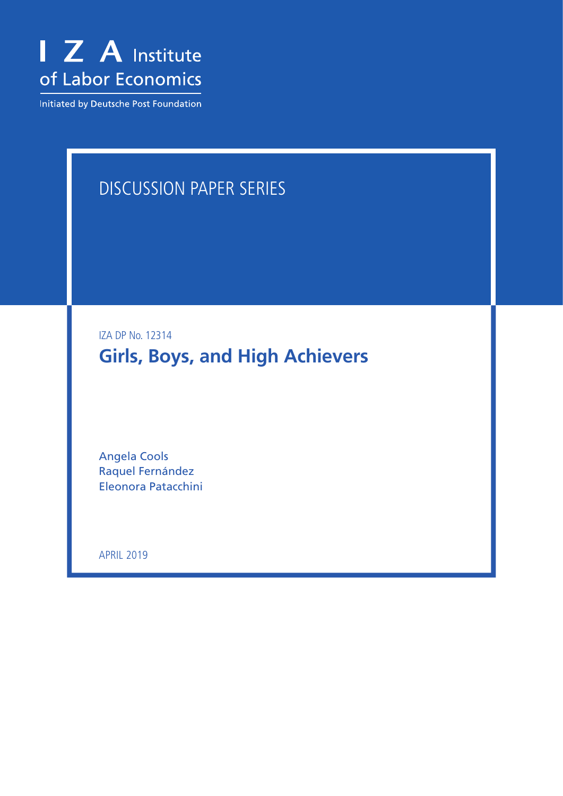

Initiated by Deutsche Post Foundation

# DISCUSSION PAPER SERIES

IZA DP No. 12314

# **Girls, Boys, and High Achievers**

Angela Cools Raquel Fernández Eleonora Patacchini

APRIL 2019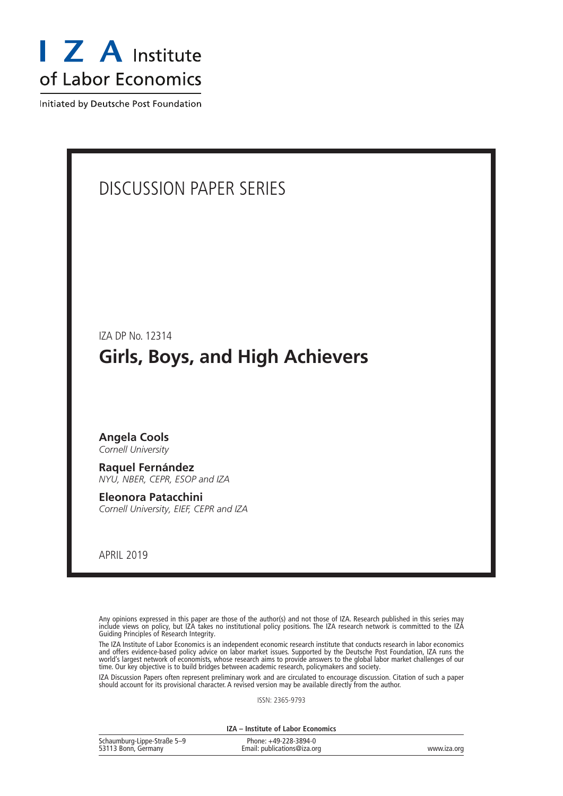

Initiated by Deutsche Post Foundation

## DISCUSSION PAPER SERIES

IZA DP No. 12314

## **Girls, Boys, and High Achievers**

## **Angela Cools**

*Cornell University*

**Raquel Fernández** *NYU, NBER, CEPR, ESOP and IZA*

**Eleonora Patacchini** *Cornell University, EIEF, CEPR and IZA*

APRIL 2019

Any opinions expressed in this paper are those of the author(s) and not those of IZA. Research published in this series may include views on policy, but IZA takes no institutional policy positions. The IZA research network is committed to the IZA Guiding Principles of Research Integrity.

The IZA Institute of Labor Economics is an independent economic research institute that conducts research in labor economics and offers evidence-based policy advice on labor market issues. Supported by the Deutsche Post Foundation, IZA runs the world's largest network of economists, whose research aims to provide answers to the global labor market challenges of our time. Our key objective is to build bridges between academic research, policymakers and society.

IZA Discussion Papers often represent preliminary work and are circulated to encourage discussion. Citation of such a paper should account for its provisional character. A revised version may be available directly from the author.

ISSN: 2365-9793

**IZA – Institute of Labor Economics**

| Schaumburg-Lippe-Straße 5-9 | Phone: +49-228-3894-0       |             |
|-----------------------------|-----------------------------|-------------|
| 53113 Bonn, Germany         | Email: publications@iza.org | www.iza.org |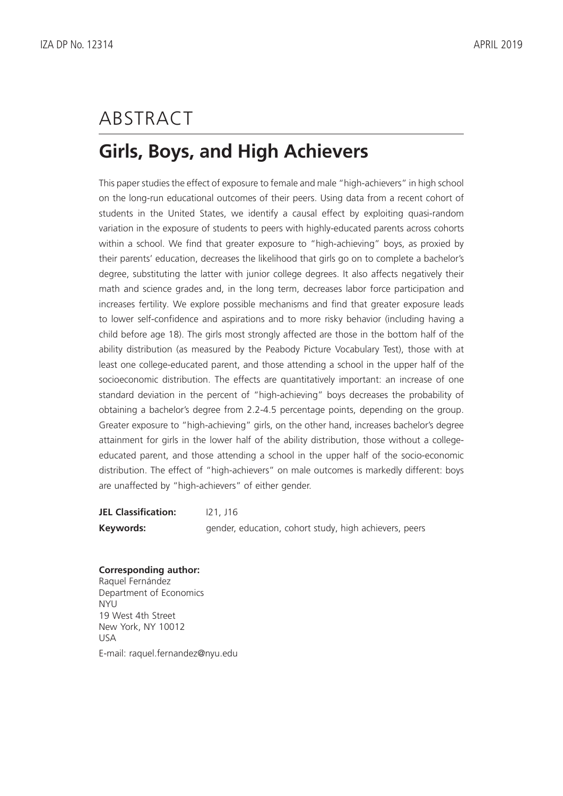# ABSTRACT

# **Girls, Boys, and High Achievers**

This paper studies the effect of exposure to female and male "high-achievers" in high school on the long-run educational outcomes of their peers. Using data from a recent cohort of students in the United States, we identify a causal effect by exploiting quasi-random variation in the exposure of students to peers with highly-educated parents across cohorts within a school. We find that greater exposure to "high-achieving" boys, as proxied by their parents' education, decreases the likelihood that girls go on to complete a bachelor's degree, substituting the latter with junior college degrees. It also affects negatively their math and science grades and, in the long term, decreases labor force participation and increases fertility. We explore possible mechanisms and find that greater exposure leads to lower self-confidence and aspirations and to more risky behavior (including having a child before age 18). The girls most strongly affected are those in the bottom half of the ability distribution (as measured by the Peabody Picture Vocabulary Test), those with at least one college-educated parent, and those attending a school in the upper half of the socioeconomic distribution. The effects are quantitatively important: an increase of one standard deviation in the percent of "high-achieving" boys decreases the probability of obtaining a bachelor's degree from 2.2-4.5 percentage points, depending on the group. Greater exposure to "high-achieving" girls, on the other hand, increases bachelor's degree attainment for girls in the lower half of the ability distribution, those without a collegeeducated parent, and those attending a school in the upper half of the socio-economic distribution. The effect of "high-achievers" on male outcomes is markedly different: boys are unaffected by "high-achievers" of either gender.

**JEL Classification:** I21, J16 **Keywords:** gender, education, cohort study, high achievers, peers

#### **Corresponding author:**

Raquel Fernández Department of Economics NYU 19 West 4th Street New York, NY 10012 USA E-mail: raquel.fernandez@nyu.edu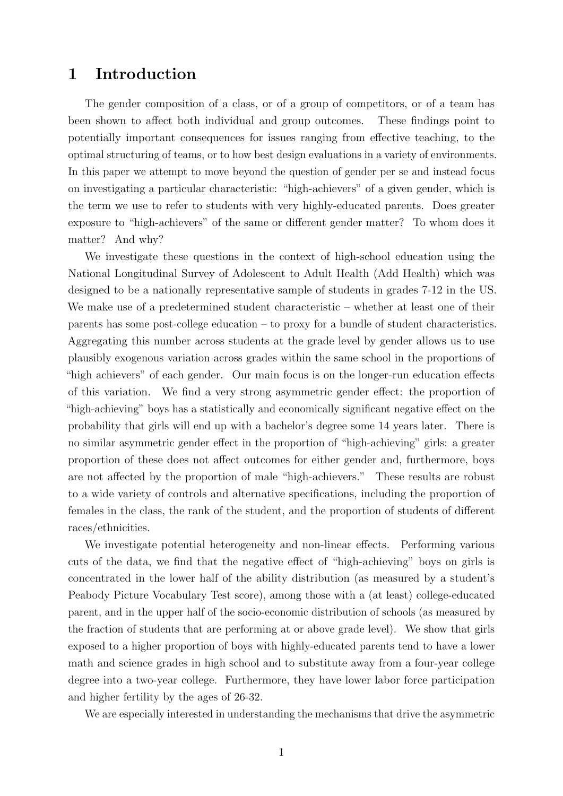## 1 Introduction

The gender composition of a class, or of a group of competitors, or of a team has been shown to affect both individual and group outcomes. These findings point to potentially important consequences for issues ranging from effective teaching, to the optimal structuring of teams, or to how best design evaluations in a variety of environments. In this paper we attempt to move beyond the question of gender per se and instead focus on investigating a particular characteristic: "high-achievers" of a given gender, which is the term we use to refer to students with very highly-educated parents. Does greater exposure to "high-achievers" of the same or different gender matter? To whom does it matter? And why?

We investigate these questions in the context of high-school education using the National Longitudinal Survey of Adolescent to Adult Health (Add Health) which was designed to be a nationally representative sample of students in grades 7-12 in the US. We make use of a predetermined student characteristic – whether at least one of their parents has some post-college education – to proxy for a bundle of student characteristics. Aggregating this number across students at the grade level by gender allows us to use plausibly exogenous variation across grades within the same school in the proportions of "high achievers" of each gender. Our main focus is on the longer-run education effects of this variation. We find a very strong asymmetric gender effect: the proportion of "high-achieving" boys has a statistically and economically significant negative effect on the probability that girls will end up with a bachelor's degree some 14 years later. There is no similar asymmetric gender effect in the proportion of "high-achieving" girls: a greater proportion of these does not affect outcomes for either gender and, furthermore, boys are not affected by the proportion of male "high-achievers." These results are robust to a wide variety of controls and alternative specifications, including the proportion of females in the class, the rank of the student, and the proportion of students of different races/ethnicities.

We investigate potential heterogeneity and non-linear effects. Performing various cuts of the data, we find that the negative effect of "high-achieving" boys on girls is concentrated in the lower half of the ability distribution (as measured by a student's Peabody Picture Vocabulary Test score), among those with a (at least) college-educated parent, and in the upper half of the socio-economic distribution of schools (as measured by the fraction of students that are performing at or above grade level). We show that girls exposed to a higher proportion of boys with highly-educated parents tend to have a lower math and science grades in high school and to substitute away from a four-year college degree into a two-year college. Furthermore, they have lower labor force participation and higher fertility by the ages of 26-32.

We are especially interested in understanding the mechanisms that drive the asymmetric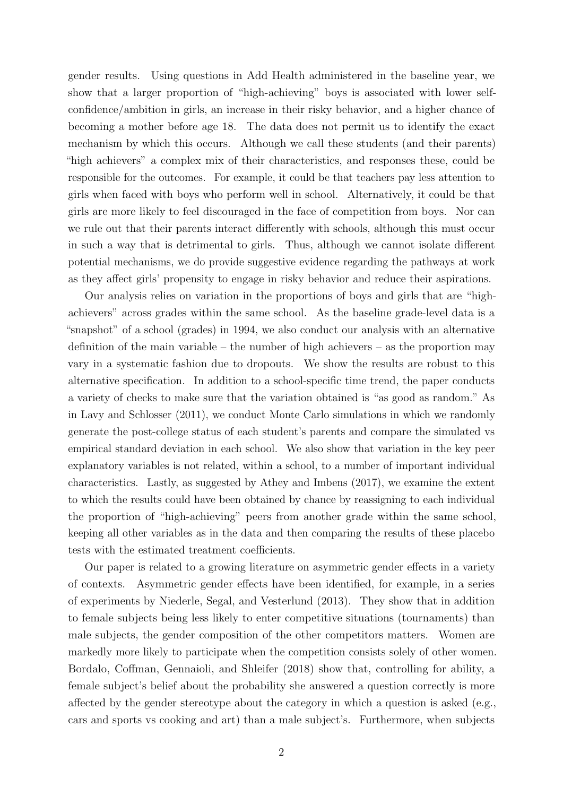gender results. Using questions in Add Health administered in the baseline year, we show that a larger proportion of "high-achieving" boys is associated with lower selfconfidence/ambition in girls, an increase in their risky behavior, and a higher chance of becoming a mother before age 18. The data does not permit us to identify the exact mechanism by which this occurs. Although we call these students (and their parents) "high achievers" a complex mix of their characteristics, and responses these, could be responsible for the outcomes. For example, it could be that teachers pay less attention to girls when faced with boys who perform well in school. Alternatively, it could be that girls are more likely to feel discouraged in the face of competition from boys. Nor can we rule out that their parents interact differently with schools, although this must occur in such a way that is detrimental to girls. Thus, although we cannot isolate different potential mechanisms, we do provide suggestive evidence regarding the pathways at work as they affect girls' propensity to engage in risky behavior and reduce their aspirations.

Our analysis relies on variation in the proportions of boys and girls that are "highachievers" across grades within the same school. As the baseline grade-level data is a "snapshot" of a school (grades) in 1994, we also conduct our analysis with an alternative definition of the main variable – the number of high achievers – as the proportion may vary in a systematic fashion due to dropouts. We show the results are robust to this alternative specification. In addition to a school-specific time trend, the paper conducts a variety of checks to make sure that the variation obtained is "as good as random." As in Lavy and Schlosser (2011), we conduct Monte Carlo simulations in which we randomly generate the post-college status of each student's parents and compare the simulated vs empirical standard deviation in each school. We also show that variation in the key peer explanatory variables is not related, within a school, to a number of important individual characteristics. Lastly, as suggested by Athey and Imbens (2017), we examine the extent to which the results could have been obtained by chance by reassigning to each individual the proportion of "high-achieving" peers from another grade within the same school, keeping all other variables as in the data and then comparing the results of these placebo tests with the estimated treatment coefficients.

Our paper is related to a growing literature on asymmetric gender effects in a variety of contexts. Asymmetric gender effects have been identified, for example, in a series of experiments by Niederle, Segal, and Vesterlund (2013). They show that in addition to female subjects being less likely to enter competitive situations (tournaments) than male subjects, the gender composition of the other competitors matters. Women are markedly more likely to participate when the competition consists solely of other women. Bordalo, Coffman, Gennaioli, and Shleifer (2018) show that, controlling for ability, a female subject's belief about the probability she answered a question correctly is more affected by the gender stereotype about the category in which a question is asked (e.g., cars and sports vs cooking and art) than a male subject's. Furthermore, when subjects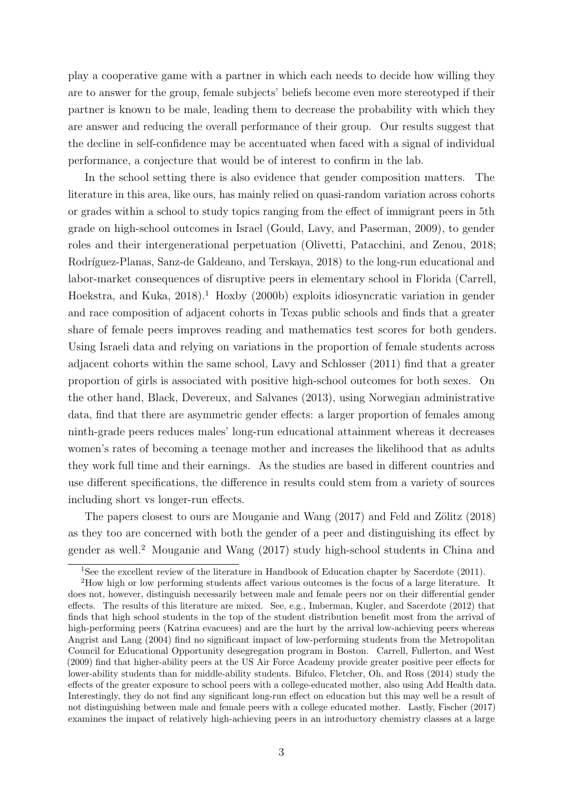play a cooperative game with a partner in which each needs to decide how willing they are to answer for the group, female subjects' beliefs become even more stereotyped if their partner is known to be male, leading them to decrease the probability with which they are answer and reducing the overall performance of their group. Our results suggest that the decline in self-confidence may be accentuated when faced with a signal of individual performance, a conjecture that would be of interest to confirm in the lab.

In the school setting there is also evidence that gender composition matters. The literature in this area, like ours, has mainly relied on quasi-random variation across cohorts or grades within a school to study topics ranging from the effect of immigrant peers in 5th grade on high-school outcomes in Israel (Gould, Lavy, and Paserman, 2009), to gender roles and their intergenerational perpetuation (Olivetti, Patacchini, and Zenou, 2018; Rodríguez-Planas, Sanz-de Galdeano, and Terskaya, 2018) to the long-run educational and labor-market consequences of disruptive peers in elementary school in Florida (Carrell, Hoekstra, and Kuka,  $2018$ <sup>1</sup>. Hoxby (2000b) exploits idiosyncratic variation in gender and race composition of adjacent cohorts in Texas public schools and finds that a greater share of female peers improves reading and mathematics test scores for both genders. Using Israeli data and relying on variations in the proportion of female students across adjacent cohorts within the same school, Lavy and Schlosser (2011) find that a greater proportion of girls is associated with positive high-school outcomes for both sexes. On the other hand, Black, Devereux, and Salvanes (2013), using Norwegian administrative data, find that there are asymmetric gender effects: a larger proportion of females among ninth-grade peers reduces males' long-run educational attainment whereas it decreases women's rates of becoming a teenage mother and increases the likelihood that as adults they work full time and their earnings. As the studies are based in different countries and use different specifications, the difference in results could stem from a variety of sources including short vs longer-run effects.

The papers closest to ours are Mouganie and Wang  $(2017)$  and Feld and Zölitz  $(2018)$ as they too are concerned with both the gender of a peer and distinguishing its effect by gender as well.<sup>2</sup> Mouganie and Wang (2017) study high-school students in China and

<sup>&</sup>lt;sup>1</sup>See the excellent review of the literature in Handbook of Education chapter by Sacerdote (2011).

<sup>2</sup>How high or low performing students affect various outcomes is the focus of a large literature. It does not, however, distinguish necessarily between male and female peers nor on their differential gender effects. The results of this literature are mixed. See, e.g., Imberman, Kugler, and Sacerdote (2012) that finds that high school students in the top of the student distribution benefit most from the arrival of high-performing peers (Katrina evacuees) and are the hurt by the arrival low-achieving peers whereas Angrist and Lang (2004) find no significant impact of low-performing students from the Metropolitan Council for Educational Opportunity desegregation program in Boston. Carrell, Fullerton, and West (2009) find that higher-ability peers at the US Air Force Academy provide greater positive peer effects for lower-ability students than for middle-ability students. Bifulco, Fletcher, Oh, and Ross (2014) study the effects of the greater exposure to school peers with a college-educated mother, also using Add Health data. Interestingly, they do not find any significant long-run effect on education but this may well be a result of not distinguishing between male and female peers with a college educated mother. Lastly, Fischer (2017) examines the impact of relatively high-achieving peers in an introductory chemistry classes at a large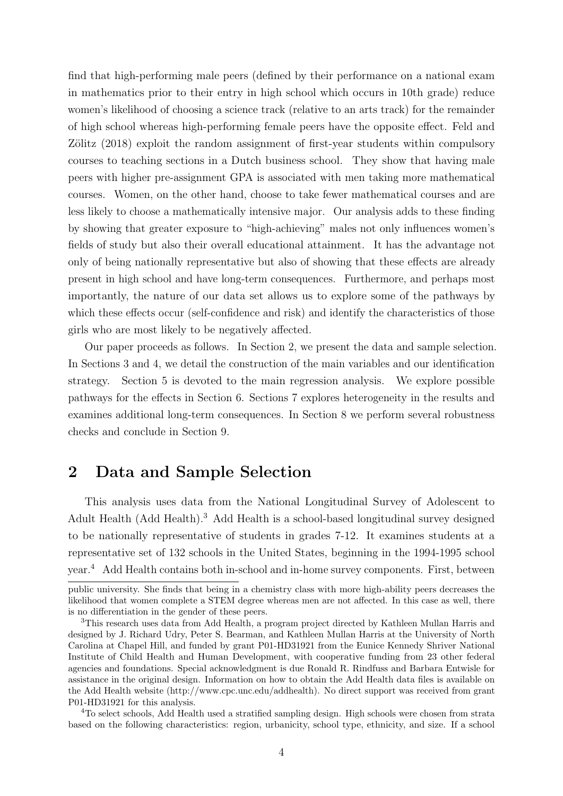find that high-performing male peers (defined by their performance on a national exam in mathematics prior to their entry in high school which occurs in 10th grade) reduce women's likelihood of choosing a science track (relative to an arts track) for the remainder of high school whereas high-performing female peers have the opposite effect. Feld and Zölitz (2018) exploit the random assignment of first-year students within compulsory courses to teaching sections in a Dutch business school. They show that having male peers with higher pre-assignment GPA is associated with men taking more mathematical courses. Women, on the other hand, choose to take fewer mathematical courses and are less likely to choose a mathematically intensive major. Our analysis adds to these finding by showing that greater exposure to "high-achieving" males not only influences women's fields of study but also their overall educational attainment. It has the advantage not only of being nationally representative but also of showing that these effects are already present in high school and have long-term consequences. Furthermore, and perhaps most importantly, the nature of our data set allows us to explore some of the pathways by which these effects occur (self-confidence and risk) and identify the characteristics of those girls who are most likely to be negatively affected.

Our paper proceeds as follows. In Section 2, we present the data and sample selection. In Sections 3 and 4, we detail the construction of the main variables and our identification strategy. Section 5 is devoted to the main regression analysis. We explore possible pathways for the effects in Section 6. Sections 7 explores heterogeneity in the results and examines additional long-term consequences. In Section 8 we perform several robustness checks and conclude in Section 9.

## 2 Data and Sample Selection

This analysis uses data from the National Longitudinal Survey of Adolescent to Adult Health (Add Health).<sup>3</sup> Add Health is a school-based longitudinal survey designed to be nationally representative of students in grades 7-12. It examines students at a representative set of 132 schools in the United States, beginning in the 1994-1995 school year.<sup>4</sup> Add Health contains both in-school and in-home survey components. First, between

<sup>4</sup>To select schools, Add Health used a stratified sampling design. High schools were chosen from strata based on the following characteristics: region, urbanicity, school type, ethnicity, and size. If a school

public university. She finds that being in a chemistry class with more high-ability peers decreases the likelihood that women complete a STEM degree whereas men are not affected. In this case as well, there is no differentiation in the gender of these peers.

<sup>3</sup>This research uses data from Add Health, a program project directed by Kathleen Mullan Harris and designed by J. Richard Udry, Peter S. Bearman, and Kathleen Mullan Harris at the University of North Carolina at Chapel Hill, and funded by grant P01-HD31921 from the Eunice Kennedy Shriver National Institute of Child Health and Human Development, with cooperative funding from 23 other federal agencies and foundations. Special acknowledgment is due Ronald R. Rindfuss and Barbara Entwisle for assistance in the original design. Information on how to obtain the Add Health data files is available on the Add Health website (http://www.cpc.unc.edu/addhealth). No direct support was received from grant P01-HD31921 for this analysis.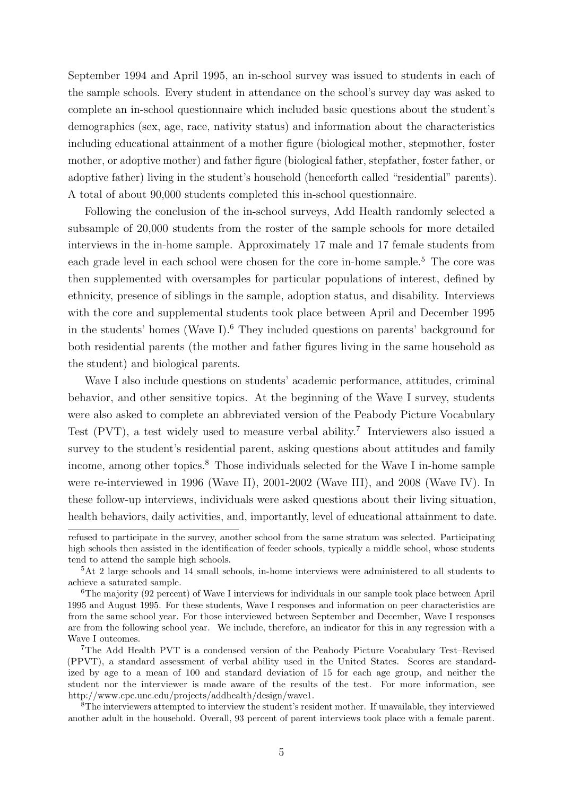September 1994 and April 1995, an in-school survey was issued to students in each of the sample schools. Every student in attendance on the school's survey day was asked to complete an in-school questionnaire which included basic questions about the student's demographics (sex, age, race, nativity status) and information about the characteristics including educational attainment of a mother figure (biological mother, stepmother, foster mother, or adoptive mother) and father figure (biological father, stepfather, foster father, or adoptive father) living in the student's household (henceforth called "residential" parents). A total of about 90,000 students completed this in-school questionnaire.

Following the conclusion of the in-school surveys, Add Health randomly selected a subsample of 20,000 students from the roster of the sample schools for more detailed interviews in the in-home sample. Approximately 17 male and 17 female students from each grade level in each school were chosen for the core in-home sample.<sup>5</sup> The core was then supplemented with oversamples for particular populations of interest, defined by ethnicity, presence of siblings in the sample, adoption status, and disability. Interviews with the core and supplemental students took place between April and December 1995 in the students' homes (Wave I).<sup>6</sup> They included questions on parents' background for both residential parents (the mother and father figures living in the same household as the student) and biological parents.

Wave I also include questions on students' academic performance, attitudes, criminal behavior, and other sensitive topics. At the beginning of the Wave I survey, students were also asked to complete an abbreviated version of the Peabody Picture Vocabulary Test (PVT), a test widely used to measure verbal ability.<sup>7</sup> Interviewers also issued a survey to the student's residential parent, asking questions about attitudes and family income, among other topics.<sup>8</sup> Those individuals selected for the Wave I in-home sample were re-interviewed in 1996 (Wave II), 2001-2002 (Wave III), and 2008 (Wave IV). In these follow-up interviews, individuals were asked questions about their living situation, health behaviors, daily activities, and, importantly, level of educational attainment to date.

refused to participate in the survey, another school from the same stratum was selected. Participating high schools then assisted in the identification of feeder schools, typically a middle school, whose students tend to attend the sample high schools.

<sup>5</sup>At 2 large schools and 14 small schools, in-home interviews were administered to all students to achieve a saturated sample.

<sup>6</sup>The majority (92 percent) of Wave I interviews for individuals in our sample took place between April 1995 and August 1995. For these students, Wave I responses and information on peer characteristics are from the same school year. For those interviewed between September and December, Wave I responses are from the following school year. We include, therefore, an indicator for this in any regression with a Wave I outcomes.

<sup>7</sup>The Add Health PVT is a condensed version of the Peabody Picture Vocabulary Test–Revised (PPVT), a standard assessment of verbal ability used in the United States. Scores are standardized by age to a mean of 100 and standard deviation of 15 for each age group, and neither the student nor the interviewer is made aware of the results of the test. For more information, see http://www.cpc.unc.edu/projects/addhealth/design/wave1.

<sup>8</sup>The interviewers attempted to interview the student's resident mother. If unavailable, they interviewed another adult in the household. Overall, 93 percent of parent interviews took place with a female parent.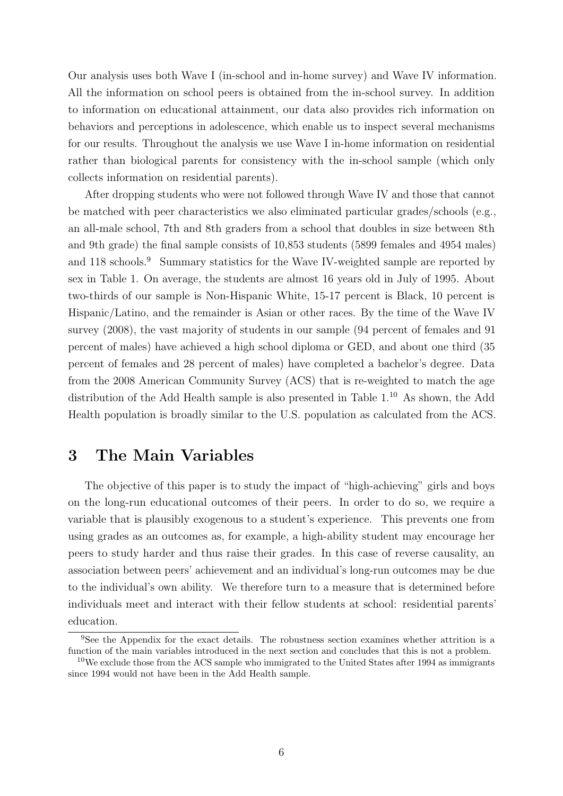Our analysis uses both Wave I (in-school and in-home survey) and Wave IV information. All the information on school peers is obtained from the in-school survey. In addition to information on educational attainment, our data also provides rich information on behaviors and perceptions in adolescence, which enable us to inspect several mechanisms for our results. Throughout the analysis we use Wave I in-home information on residential rather than biological parents for consistency with the in-school sample (which only collects information on residential parents).

After dropping students who were not followed through Wave IV and those that cannot be matched with peer characteristics we also eliminated particular grades/schools (e.g., an all-male school, 7th and 8th graders from a school that doubles in size between 8th and 9th grade) the final sample consists of 10,853 students (5899 females and 4954 males) and 118 schools.<sup>9</sup> Summary statistics for the Wave IV-weighted sample are reported by sex in Table 1. On average, the students are almost 16 years old in July of 1995. About two-thirds of our sample is Non-Hispanic White, 15-17 percent is Black, 10 percent is Hispanic/Latino, and the remainder is Asian or other races. By the time of the Wave IV survey (2008), the vast majority of students in our sample (94 percent of females and 91 percent of males) have achieved a high school diploma or GED, and about one third (35 percent of females and 28 percent of males) have completed a bachelor's degree. Data from the 2008 American Community Survey (ACS) that is re-weighted to match the age distribution of the Add Health sample is also presented in Table  $1<sup>10</sup>$  As shown, the Add Health population is broadly similar to the U.S. population as calculated from the ACS.

## 3 The Main Variables

The objective of this paper is to study the impact of "high-achieving" girls and boys on the long-run educational outcomes of their peers. In order to do so, we require a variable that is plausibly exogenous to a student's experience. This prevents one from using grades as an outcomes as, for example, a high-ability student may encourage her peers to study harder and thus raise their grades. In this case of reverse causality, an association between peers' achievement and an individual's long-run outcomes may be due to the individual's own ability. We therefore turn to a measure that is determined before individuals meet and interact with their fellow students at school: residential parents' education.

<sup>9</sup>See the Appendix for the exact details. The robustness section examines whether attrition is a function of the main variables introduced in the next section and concludes that this is not a problem.

 $10$ We exclude those from the ACS sample who immigrated to the United States after 1994 as immigrants since 1994 would not have been in the Add Health sample.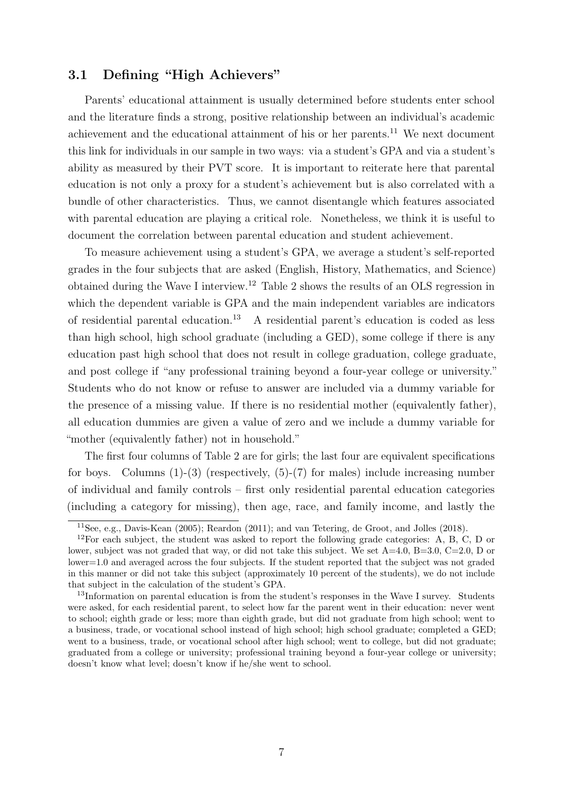## 3.1 Defining "High Achievers"

Parents' educational attainment is usually determined before students enter school and the literature finds a strong, positive relationship between an individual's academic achievement and the educational attainment of his or her parents.<sup>11</sup> We next document this link for individuals in our sample in two ways: via a student's GPA and via a student's ability as measured by their PVT score. It is important to reiterate here that parental education is not only a proxy for a student's achievement but is also correlated with a bundle of other characteristics. Thus, we cannot disentangle which features associated with parental education are playing a critical role. Nonetheless, we think it is useful to document the correlation between parental education and student achievement.

To measure achievement using a student's GPA, we average a student's self-reported grades in the four subjects that are asked (English, History, Mathematics, and Science) obtained during the Wave I interview.<sup>12</sup> Table 2 shows the results of an OLS regression in which the dependent variable is GPA and the main independent variables are indicators of residential parental education.<sup>13</sup> A residential parent's education is coded as less than high school, high school graduate (including a GED), some college if there is any education past high school that does not result in college graduation, college graduate, and post college if "any professional training beyond a four-year college or university." Students who do not know or refuse to answer are included via a dummy variable for the presence of a missing value. If there is no residential mother (equivalently father), all education dummies are given a value of zero and we include a dummy variable for "mother (equivalently father) not in household."

The first four columns of Table 2 are for girls; the last four are equivalent specifications for boys. Columns  $(1)-(3)$  (respectively,  $(5)-(7)$  for males) include increasing number of individual and family controls – first only residential parental education categories (including a category for missing), then age, race, and family income, and lastly the

<sup>11</sup>See, e.g., Davis-Kean (2005); Reardon (2011); and van Tetering, de Groot, and Jolles (2018).

 $12$ For each subject, the student was asked to report the following grade categories: A, B, C, D or lower, subject was not graded that way, or did not take this subject. We set A=4.0, B=3.0, C=2.0, D or lower=1.0 and averaged across the four subjects. If the student reported that the subject was not graded in this manner or did not take this subject (approximately 10 percent of the students), we do not include that subject in the calculation of the student's GPA.

<sup>&</sup>lt;sup>13</sup>Information on parental education is from the student's responses in the Wave I survey. Students were asked, for each residential parent, to select how far the parent went in their education: never went to school; eighth grade or less; more than eighth grade, but did not graduate from high school; went to a business, trade, or vocational school instead of high school; high school graduate; completed a GED; went to a business, trade, or vocational school after high school; went to college, but did not graduate; graduated from a college or university; professional training beyond a four-year college or university; doesn't know what level; doesn't know if he/she went to school.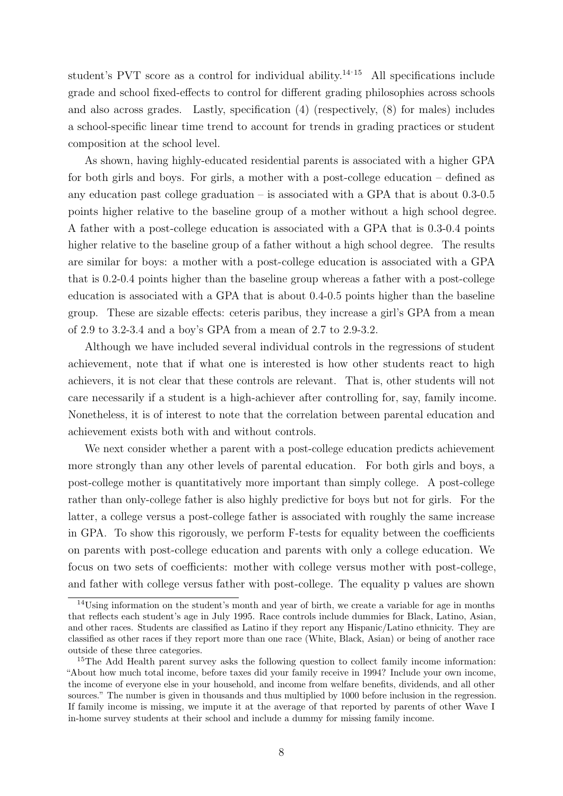student's PVT score as a control for individual ability.<sup>14,15</sup> All specifications include grade and school fixed-effects to control for different grading philosophies across schools and also across grades. Lastly, specification (4) (respectively, (8) for males) includes a school-specific linear time trend to account for trends in grading practices or student composition at the school level.

As shown, having highly-educated residential parents is associated with a higher GPA for both girls and boys. For girls, a mother with a post-college education – defined as any education past college graduation – is associated with a GPA that is about 0.3-0.5 points higher relative to the baseline group of a mother without a high school degree. A father with a post-college education is associated with a GPA that is 0.3-0.4 points higher relative to the baseline group of a father without a high school degree. The results are similar for boys: a mother with a post-college education is associated with a GPA that is 0.2-0.4 points higher than the baseline group whereas a father with a post-college education is associated with a GPA that is about 0.4-0.5 points higher than the baseline group. These are sizable effects: ceteris paribus, they increase a girl's GPA from a mean of 2.9 to 3.2-3.4 and a boy's GPA from a mean of 2.7 to 2.9-3.2.

Although we have included several individual controls in the regressions of student achievement, note that if what one is interested is how other students react to high achievers, it is not clear that these controls are relevant. That is, other students will not care necessarily if a student is a high-achiever after controlling for, say, family income. Nonetheless, it is of interest to note that the correlation between parental education and achievement exists both with and without controls.

We next consider whether a parent with a post-college education predicts achievement more strongly than any other levels of parental education. For both girls and boys, a post-college mother is quantitatively more important than simply college. A post-college rather than only-college father is also highly predictive for boys but not for girls. For the latter, a college versus a post-college father is associated with roughly the same increase in GPA. To show this rigorously, we perform F-tests for equality between the coefficients on parents with post-college education and parents with only a college education. We focus on two sets of coefficients: mother with college versus mother with post-college, and father with college versus father with post-college. The equality p values are shown

 $14$ Using information on the student's month and year of birth, we create a variable for age in months that reflects each student's age in July 1995. Race controls include dummies for Black, Latino, Asian, and other races. Students are classified as Latino if they report any Hispanic/Latino ethnicity. They are classified as other races if they report more than one race (White, Black, Asian) or being of another race outside of these three categories.

<sup>&</sup>lt;sup>15</sup>The Add Health parent survey asks the following question to collect family income information: "About how much total income, before taxes did your family receive in 1994? Include your own income, the income of everyone else in your household, and income from welfare benefits, dividends, and all other sources." The number is given in thousands and thus multiplied by 1000 before inclusion in the regression. If family income is missing, we impute it at the average of that reported by parents of other Wave I in-home survey students at their school and include a dummy for missing family income.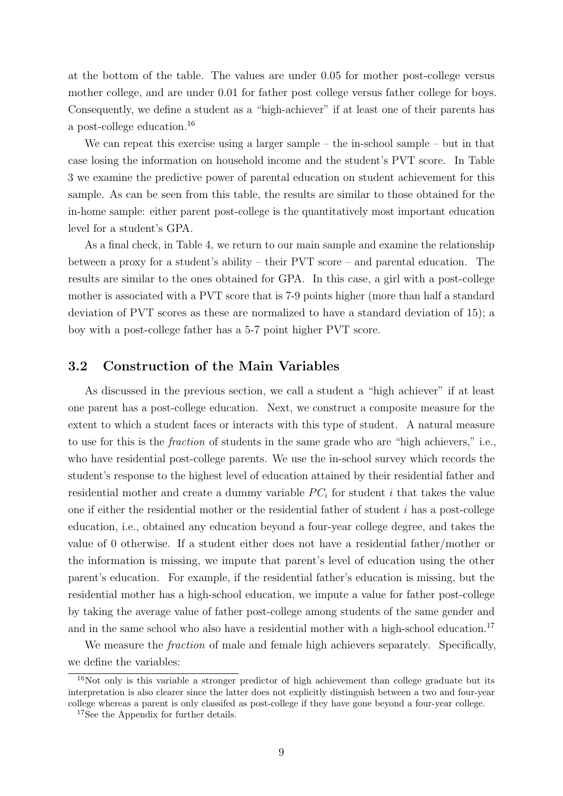at the bottom of the table. The values are under 0.05 for mother post-college versus mother college, and are under 0.01 for father post college versus father college for boys. Consequently, we define a student as a "high-achiever" if at least one of their parents has a post-college education.<sup>16</sup>

We can repeat this exercise using a larger sample – the in-school sample – but in that case losing the information on household income and the student's PVT score. In Table 3 we examine the predictive power of parental education on student achievement for this sample. As can be seen from this table, the results are similar to those obtained for the in-home sample: either parent post-college is the quantitatively most important education level for a student's GPA.

As a final check, in Table 4, we return to our main sample and examine the relationship between a proxy for a student's ability – their PVT score – and parental education. The results are similar to the ones obtained for GPA. In this case, a girl with a post-college mother is associated with a PVT score that is 7-9 points higher (more than half a standard deviation of PVT scores as these are normalized to have a standard deviation of 15); a boy with a post-college father has a 5-7 point higher PVT score.

## 3.2 Construction of the Main Variables

As discussed in the previous section, we call a student a "high achiever" if at least one parent has a post-college education. Next, we construct a composite measure for the extent to which a student faces or interacts with this type of student. A natural measure to use for this is the fraction of students in the same grade who are "high achievers," i.e., who have residential post-college parents. We use the in-school survey which records the student's response to the highest level of education attained by their residential father and residential mother and create a dummy variable  $PC<sub>i</sub>$  for student i that takes the value one if either the residential mother or the residential father of student i has a post-college education, i.e., obtained any education beyond a four-year college degree, and takes the value of 0 otherwise. If a student either does not have a residential father/mother or the information is missing, we impute that parent's level of education using the other parent's education. For example, if the residential father's education is missing, but the residential mother has a high-school education, we impute a value for father post-college by taking the average value of father post-college among students of the same gender and and in the same school who also have a residential mother with a high-school education.<sup>17</sup>

We measure the *fraction* of male and female high achievers separately. Specifically, we define the variables:

 $16$ Not only is this variable a stronger predictor of high achievement than college graduate but its interpretation is also clearer since the latter does not explicitly distinguish between a two and four-year college whereas a parent is only classifed as post-college if they have gone beyond a four-year college.

<sup>17</sup>See the Appendix for further details.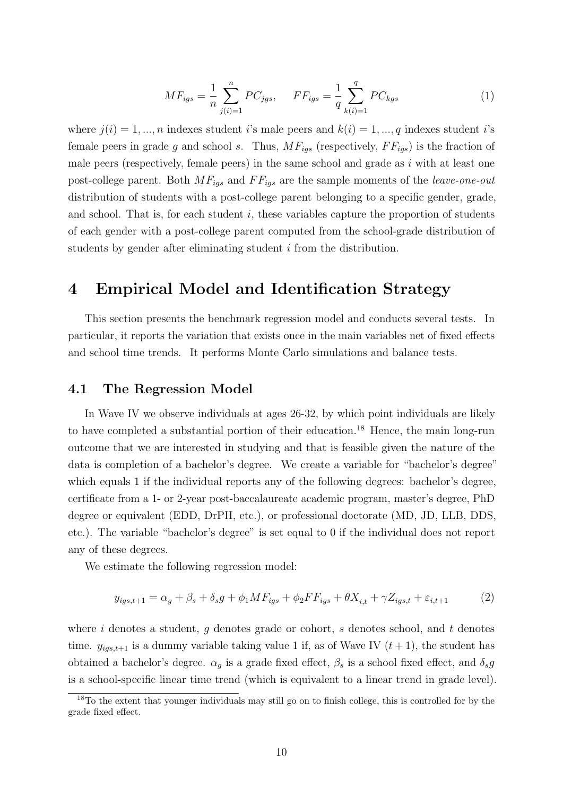$$
MF_{igs} = \frac{1}{n} \sum_{j(i)=1}^{n} PC_{jgs}, \quad FF_{igs} = \frac{1}{q} \sum_{k(i)=1}^{q} PC_{kgs}
$$
 (1)

where  $j(i) = 1, ..., n$  indexes student is male peers and  $k(i) = 1, ..., q$  indexes student is female peers in grade g and school s. Thus,  $MF_{igs}$  (respectively,  $FF_{igs}$ ) is the fraction of male peers (respectively, female peers) in the same school and grade as  $i$  with at least one post-college parent. Both  $MF_{igs}$  and  $FF_{igs}$  are the sample moments of the *leave-one-out* distribution of students with a post-college parent belonging to a specific gender, grade, and school. That is, for each student  $i$ , these variables capture the proportion of students of each gender with a post-college parent computed from the school-grade distribution of students by gender after eliminating student i from the distribution.

## 4 Empirical Model and Identification Strategy

This section presents the benchmark regression model and conducts several tests. In particular, it reports the variation that exists once in the main variables net of fixed effects and school time trends. It performs Monte Carlo simulations and balance tests.

### 4.1 The Regression Model

In Wave IV we observe individuals at ages 26-32, by which point individuals are likely to have completed a substantial portion of their education.<sup>18</sup> Hence, the main long-run outcome that we are interested in studying and that is feasible given the nature of the data is completion of a bachelor's degree. We create a variable for "bachelor's degree" which equals 1 if the individual reports any of the following degrees: bachelor's degree, certificate from a 1- or 2-year post-baccalaureate academic program, master's degree, PhD degree or equivalent (EDD, DrPH, etc.), or professional doctorate (MD, JD, LLB, DDS, etc.). The variable "bachelor's degree" is set equal to 0 if the individual does not report any of these degrees.

We estimate the following regression model:

$$
y_{igs, t+1} = \alpha_g + \beta_s + \delta_s g + \phi_1 M F_{igs} + \phi_2 F F_{igs} + \theta X_{i,t} + \gamma Z_{igs, t} + \varepsilon_{i,t+1} \tag{2}
$$

where  $i$  denotes a student,  $g$  denotes grade or cohort,  $s$  denotes school, and  $t$  denotes time.  $y_{iqs,t+1}$  is a dummy variable taking value 1 if, as of Wave IV  $(t+1)$ , the student has obtained a bachelor's degree.  $\alpha_g$  is a grade fixed effect,  $\beta_s$  is a school fixed effect, and  $\delta_s g$ is a school-specific linear time trend (which is equivalent to a linear trend in grade level).

<sup>18</sup>To the extent that younger individuals may still go on to finish college, this is controlled for by the grade fixed effect.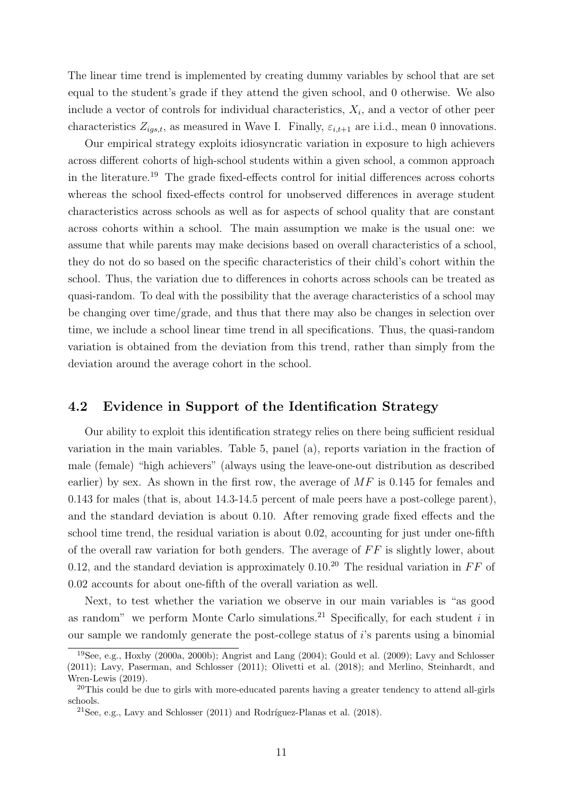The linear time trend is implemented by creating dummy variables by school that are set equal to the student's grade if they attend the given school, and 0 otherwise. We also include a vector of controls for individual characteristics,  $X_i$ , and a vector of other peer characteristics  $Z_{igs,t}$ , as measured in Wave I. Finally,  $\varepsilon_{i,t+1}$  are i.i.d., mean 0 innovations.

Our empirical strategy exploits idiosyncratic variation in exposure to high achievers across different cohorts of high-school students within a given school, a common approach in the literature.<sup>19</sup> The grade fixed-effects control for initial differences across cohorts whereas the school fixed-effects control for unobserved differences in average student characteristics across schools as well as for aspects of school quality that are constant across cohorts within a school. The main assumption we make is the usual one: we assume that while parents may make decisions based on overall characteristics of a school, they do not do so based on the specific characteristics of their child's cohort within the school. Thus, the variation due to differences in cohorts across schools can be treated as quasi-random. To deal with the possibility that the average characteristics of a school may be changing over time/grade, and thus that there may also be changes in selection over time, we include a school linear time trend in all specifications. Thus, the quasi-random variation is obtained from the deviation from this trend, rather than simply from the deviation around the average cohort in the school.

## 4.2 Evidence in Support of the Identification Strategy

Our ability to exploit this identification strategy relies on there being sufficient residual variation in the main variables. Table 5, panel (a), reports variation in the fraction of male (female) "high achievers" (always using the leave-one-out distribution as described earlier) by sex. As shown in the first row, the average of  $MF$  is 0.145 for females and 0.143 for males (that is, about 14.3-14.5 percent of male peers have a post-college parent), and the standard deviation is about 0.10. After removing grade fixed effects and the school time trend, the residual variation is about 0.02, accounting for just under one-fifth of the overall raw variation for both genders. The average of  $FF$  is slightly lower, about 0.12, and the standard deviation is approximately 0.10.<sup>20</sup> The residual variation in  $FF$  of 0.02 accounts for about one-fifth of the overall variation as well.

Next, to test whether the variation we observe in our main variables is "as good as random" we perform Monte Carlo simulations.<sup>21</sup> Specifically, for each student  $i$  in our sample we randomly generate the post-college status of i's parents using a binomial

<sup>19</sup>See, e.g., Hoxby (2000a, 2000b); Angrist and Lang (2004); Gould et al. (2009); Lavy and Schlosser (2011); Lavy, Paserman, and Schlosser (2011); Olivetti et al. (2018); and Merlino, Steinhardt, and Wren-Lewis (2019).

<sup>&</sup>lt;sup>20</sup>This could be due to girls with more-educated parents having a greater tendency to attend all-girls schools.

<sup>&</sup>lt;sup>21</sup>See, e.g., Lavy and Schlosser  $(2011)$  and Rodríguez-Planas et al.  $(2018)$ .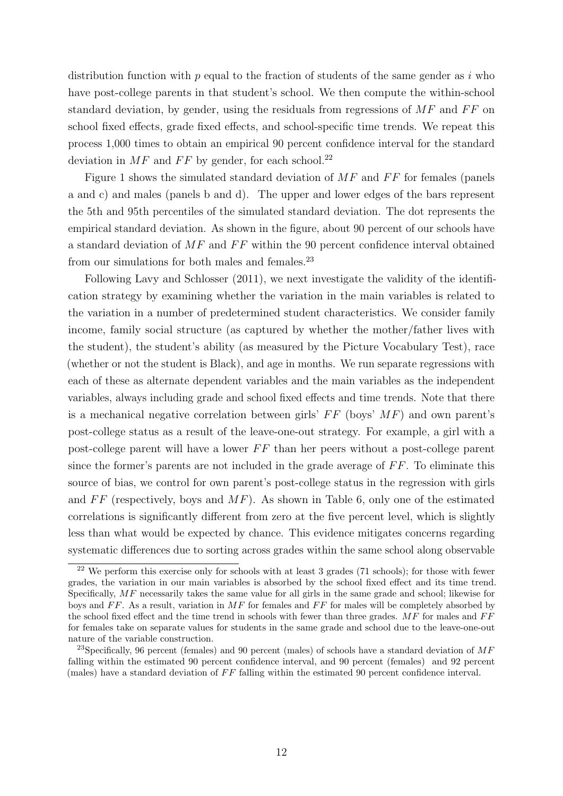distribution function with  $p$  equal to the fraction of students of the same gender as i who have post-college parents in that student's school. We then compute the within-school standard deviation, by gender, using the residuals from regressions of  $MF$  and  $FF$  on school fixed effects, grade fixed effects, and school-specific time trends. We repeat this process 1,000 times to obtain an empirical 90 percent confidence interval for the standard deviation in  $MF$  and  $FF$  by gender, for each school.<sup>22</sup>

Figure 1 shows the simulated standard deviation of  $MF$  and  $FF$  for females (panels a and c) and males (panels b and d). The upper and lower edges of the bars represent the 5th and 95th percentiles of the simulated standard deviation. The dot represents the empirical standard deviation. As shown in the figure, about 90 percent of our schools have a standard deviation of  $MF$  and  $FF$  within the 90 percent confidence interval obtained from our simulations for both males and females.<sup>23</sup>

Following Lavy and Schlosser (2011), we next investigate the validity of the identification strategy by examining whether the variation in the main variables is related to the variation in a number of predetermined student characteristics. We consider family income, family social structure (as captured by whether the mother/father lives with the student), the student's ability (as measured by the Picture Vocabulary Test), race (whether or not the student is Black), and age in months. We run separate regressions with each of these as alternate dependent variables and the main variables as the independent variables, always including grade and school fixed effects and time trends. Note that there is a mechanical negative correlation between girls'  $FF$  (boys'  $MF$ ) and own parent's post-college status as a result of the leave-one-out strategy. For example, a girl with a post-college parent will have a lower  $FF$  than her peers without a post-college parent since the former's parents are not included in the grade average of  $FF$ . To eliminate this source of bias, we control for own parent's post-college status in the regression with girls and  $FF$  (respectively, boys and  $MF$ ). As shown in Table 6, only one of the estimated correlations is significantly different from zero at the five percent level, which is slightly less than what would be expected by chance. This evidence mitigates concerns regarding systematic differences due to sorting across grades within the same school along observable

<sup>&</sup>lt;sup>22</sup> We perform this exercise only for schools with at least 3 grades (71 schools); for those with fewer grades, the variation in our main variables is absorbed by the school fixed effect and its time trend. Specifically, MF necessarily takes the same value for all girls in the same grade and school; likewise for boys and  $FF$ . As a result, variation in  $MF$  for females and  $FF$  for males will be completely absorbed by the school fixed effect and the time trend in schools with fewer than three grades.  $MF$  for males and  $FF$ for females take on separate values for students in the same grade and school due to the leave-one-out nature of the variable construction.

<sup>&</sup>lt;sup>23</sup>Specifically, 96 percent (females) and 90 percent (males) of schools have a standard deviation of  $MF$ falling within the estimated 90 percent confidence interval, and 90 percent (females) and 92 percent (males) have a standard deviation of  $FF$  falling within the estimated 90 percent confidence interval.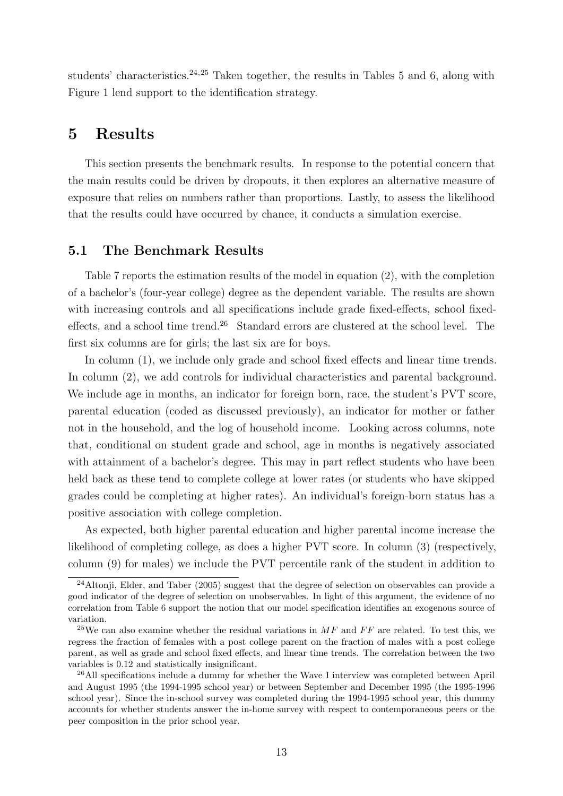students' characteristics.<sup>24,25</sup> Taken together, the results in Tables 5 and 6, along with Figure 1 lend support to the identification strategy.

## 5 Results

This section presents the benchmark results. In response to the potential concern that the main results could be driven by dropouts, it then explores an alternative measure of exposure that relies on numbers rather than proportions. Lastly, to assess the likelihood that the results could have occurred by chance, it conducts a simulation exercise.

## 5.1 The Benchmark Results

Table 7 reports the estimation results of the model in equation (2), with the completion of a bachelor's (four-year college) degree as the dependent variable. The results are shown with increasing controls and all specifications include grade fixed-effects, school fixedeffects, and a school time trend.<sup>26</sup> Standard errors are clustered at the school level. The first six columns are for girls; the last six are for boys.

In column (1), we include only grade and school fixed effects and linear time trends. In column  $(2)$ , we add controls for individual characteristics and parental background. We include age in months, an indicator for foreign born, race, the student's PVT score, parental education (coded as discussed previously), an indicator for mother or father not in the household, and the log of household income. Looking across columns, note that, conditional on student grade and school, age in months is negatively associated with attainment of a bachelor's degree. This may in part reflect students who have been held back as these tend to complete college at lower rates (or students who have skipped grades could be completing at higher rates). An individual's foreign-born status has a positive association with college completion.

As expected, both higher parental education and higher parental income increase the likelihood of completing college, as does a higher PVT score. In column (3) (respectively, column (9) for males) we include the PVT percentile rank of the student in addition to

<sup>&</sup>lt;sup>24</sup>Altonii, Elder, and Taber (2005) suggest that the degree of selection on observables can provide a good indicator of the degree of selection on unobservables. In light of this argument, the evidence of no correlation from Table 6 support the notion that our model specification identifies an exogenous source of variation.

<sup>&</sup>lt;sup>25</sup>We can also examine whether the residual variations in  $MF$  and  $FF$  are related. To test this, we regress the fraction of females with a post college parent on the fraction of males with a post college parent, as well as grade and school fixed effects, and linear time trends. The correlation between the two variables is 0.12 and statistically insignificant.

<sup>&</sup>lt;sup>26</sup>All specifications include a dummy for whether the Wave I interview was completed between April and August 1995 (the 1994-1995 school year) or between September and December 1995 (the 1995-1996 school year). Since the in-school survey was completed during the 1994-1995 school year, this dummy accounts for whether students answer the in-home survey with respect to contemporaneous peers or the peer composition in the prior school year.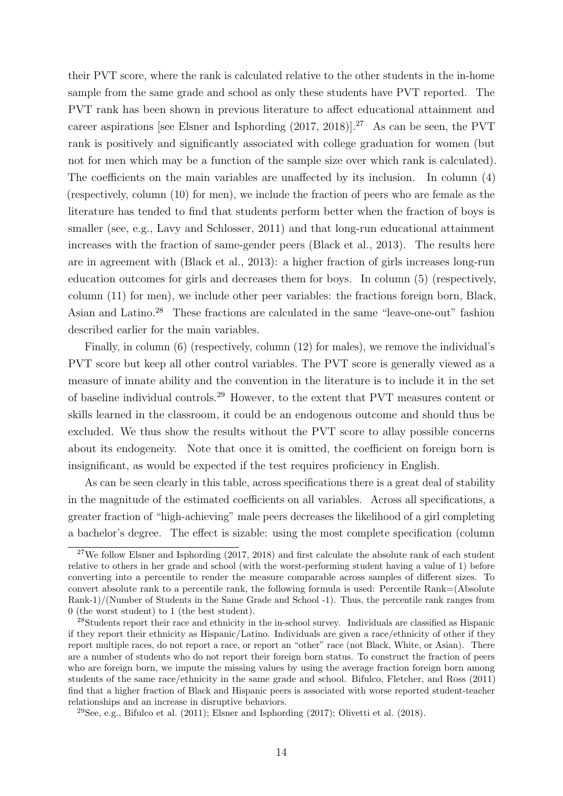their PVT score, where the rank is calculated relative to the other students in the in-home sample from the same grade and school as only these students have PVT reported. The PVT rank has been shown in previous literature to affect educational attainment and career aspirations [see Elsner and Isphording  $(2017, 2018)$ ].<sup>27</sup> As can be seen, the PVT rank is positively and significantly associated with college graduation for women (but not for men which may be a function of the sample size over which rank is calculated). The coefficients on the main variables are unaffected by its inclusion. In column (4) (respectively, column (10) for men), we include the fraction of peers who are female as the literature has tended to find that students perform better when the fraction of boys is smaller (see, e.g., Lavy and Schlosser, 2011) and that long-run educational attainment increases with the fraction of same-gender peers (Black et al., 2013). The results here are in agreement with (Black et al., 2013): a higher fraction of girls increases long-run education outcomes for girls and decreases them for boys. In column (5) (respectively, column (11) for men), we include other peer variables: the fractions foreign born, Black, Asian and Latino.<sup>28</sup> These fractions are calculated in the same "leave-one-out" fashion described earlier for the main variables.

Finally, in column (6) (respectively, column (12) for males), we remove the individual's PVT score but keep all other control variables. The PVT score is generally viewed as a measure of innate ability and the convention in the literature is to include it in the set of baseline individual controls.<sup>29</sup> However, to the extent that PVT measures content or skills learned in the classroom, it could be an endogenous outcome and should thus be excluded. We thus show the results without the PVT score to allay possible concerns about its endogeneity. Note that once it is omitted, the coefficient on foreign born is insignificant, as would be expected if the test requires proficiency in English.

As can be seen clearly in this table, across specifications there is a great deal of stability in the magnitude of the estimated coefficients on all variables. Across all specifications, a greater fraction of "high-achieving" male peers decreases the likelihood of a girl completing a bachelor's degree. The effect is sizable: using the most complete specification (column

<sup>&</sup>lt;sup>27</sup>We follow Elsner and Isphording  $(2017, 2018)$  and first calculate the absolute rank of each student relative to others in her grade and school (with the worst-performing student having a value of 1) before converting into a percentile to render the measure comparable across samples of different sizes. To convert absolute rank to a percentile rank, the following formula is used: Percentile Rank=(Absolute Rank-1)/(Number of Students in the Same Grade and School -1). Thus, the percentile rank ranges from 0 (the worst student) to 1 (the best student).

<sup>&</sup>lt;sup>28</sup>Students report their race and ethnicity in the in-school survey. Individuals are classified as Hispanic if they report their ethnicity as Hispanic/Latino. Individuals are given a race/ethnicity of other if they report multiple races, do not report a race, or report an "other" race (not Black, White, or Asian). There are a number of students who do not report their foreign born status. To construct the fraction of peers who are foreign born, we impute the missing values by using the average fraction foreign born among students of the same race/ethnicity in the same grade and school. Bifulco, Fletcher, and Ross (2011) find that a higher fraction of Black and Hispanic peers is associated with worse reported student-teacher relationships and an increase in disruptive behaviors.

<sup>&</sup>lt;sup>29</sup>See, e.g., Bifulco et al.  $(2011)$ ; Elsner and Isphording  $(2017)$ ; Olivetti et al.  $(2018)$ .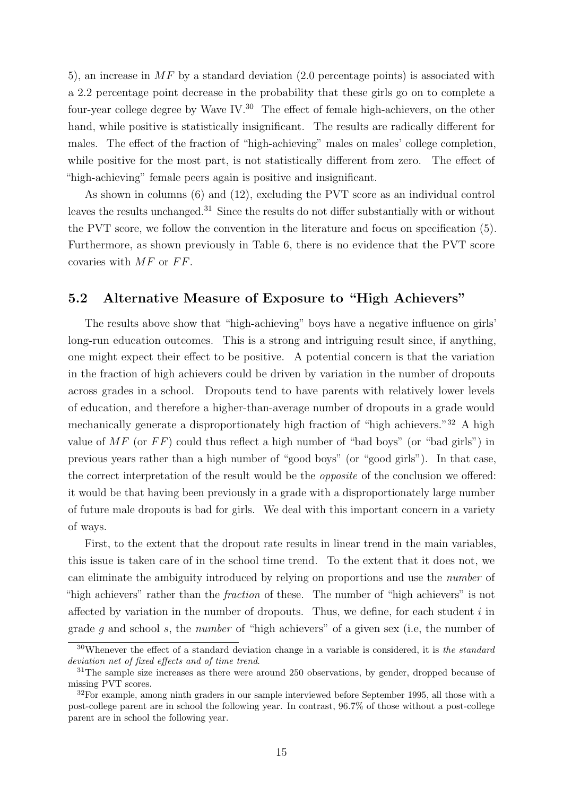5), an increase in  $MF$  by a standard deviation (2.0 percentage points) is associated with a 2.2 percentage point decrease in the probability that these girls go on to complete a four-year college degree by Wave IV.<sup>30</sup> The effect of female high-achievers, on the other hand, while positive is statistically insignificant. The results are radically different for males. The effect of the fraction of "high-achieving" males on males' college completion, while positive for the most part, is not statistically different from zero. The effect of "high-achieving" female peers again is positive and insignificant.

As shown in columns (6) and (12), excluding the PVT score as an individual control leaves the results unchanged.<sup>31</sup> Since the results do not differ substantially with or without the PVT score, we follow the convention in the literature and focus on specification (5). Furthermore, as shown previously in Table 6, there is no evidence that the PVT score covaries with  $MF$  or  $FF$ .

## 5.2 Alternative Measure of Exposure to "High Achievers"

The results above show that "high-achieving" boys have a negative influence on girls' long-run education outcomes. This is a strong and intriguing result since, if anything, one might expect their effect to be positive. A potential concern is that the variation in the fraction of high achievers could be driven by variation in the number of dropouts across grades in a school. Dropouts tend to have parents with relatively lower levels of education, and therefore a higher-than-average number of dropouts in a grade would mechanically generate a disproportionately high fraction of "high achievers."<sup>32</sup> A high value of  $MF$  (or  $FF$ ) could thus reflect a high number of "bad boys" (or "bad girls") in previous years rather than a high number of "good boys" (or "good girls"). In that case, the correct interpretation of the result would be the opposite of the conclusion we offered: it would be that having been previously in a grade with a disproportionately large number of future male dropouts is bad for girls. We deal with this important concern in a variety of ways.

First, to the extent that the dropout rate results in linear trend in the main variables, this issue is taken care of in the school time trend. To the extent that it does not, we can eliminate the ambiguity introduced by relying on proportions and use the number of "high achievers" rather than the *fraction* of these. The number of "high achievers" is not affected by variation in the number of dropouts. Thus, we define, for each student  $i$  in grade g and school s, the number of "high achievers" of a given sex (i.e, the number of

 $30$ Whenever the effect of a standard deviation change in a variable is considered, it is the standard deviation net of fixed effects and of time trend.

 $31$ The sample size increases as there were around 250 observations, by gender, dropped because of missing PVT scores.

<sup>&</sup>lt;sup>32</sup>For example, among ninth graders in our sample interviewed before September 1995, all those with a post-college parent are in school the following year. In contrast, 96.7% of those without a post-college parent are in school the following year.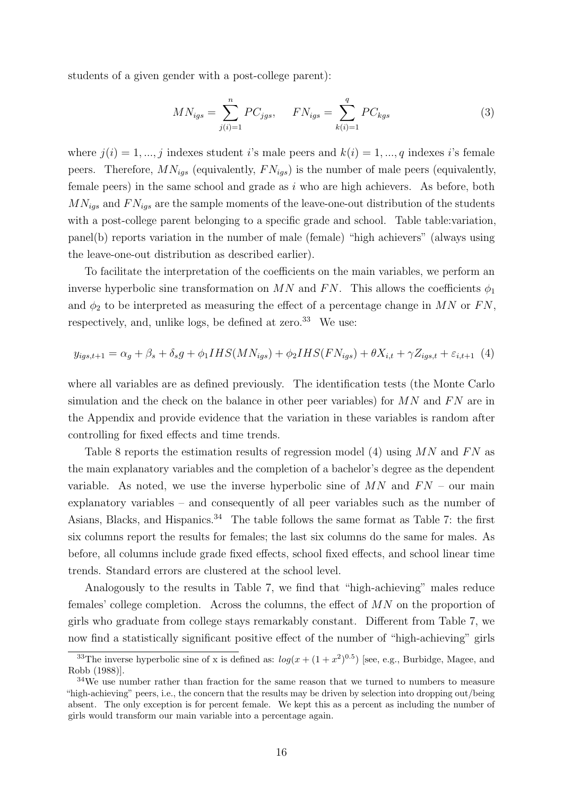students of a given gender with a post-college parent):

$$
MN_{igs} = \sum_{j(i)=1}^{n} PC_{jgs}, \qquad FN_{igs} = \sum_{k(i)=1}^{q} PC_{kgs}
$$
 (3)

where  $j(i) = 1, ..., j$  indexes student i's male peers and  $k(i) = 1, ..., q$  indexes i's female peers. Therefore,  $MN_{iqs}$  (equivalently,  $FN_{iqs}$ ) is the number of male peers (equivalently, female peers) in the same school and grade as  $i$  who are high achievers. As before, both  $MN_{igs}$  and  $FN_{igs}$  are the sample moments of the leave-one-out distribution of the students with a post-college parent belonging to a specific grade and school. Table table:variation, panel(b) reports variation in the number of male (female) "high achievers" (always using the leave-one-out distribution as described earlier).

To facilitate the interpretation of the coefficients on the main variables, we perform an inverse hyperbolic sine transformation on MN and FN. This allows the coefficients  $\phi_1$ and  $\phi_2$  to be interpreted as measuring the effect of a percentage change in MN or FN, respectively, and, unlike logs, be defined at zero.<sup>33</sup> We use:

$$
y_{igs,t+1} = \alpha_g + \beta_s + \delta_s g + \phi_1 IHS(MN_{igs}) + \phi_2 IHS(FN_{igs}) + \theta X_{i,t} + \gamma Z_{igs,t} + \varepsilon_{i,t+1} \tag{4}
$$

where all variables are as defined previously. The identification tests (the Monte Carlo simulation and the check on the balance in other peer variables) for  $MN$  and  $FN$  are in the Appendix and provide evidence that the variation in these variables is random after controlling for fixed effects and time trends.

Table 8 reports the estimation results of regression model (4) using  $MN$  and  $FN$  as the main explanatory variables and the completion of a bachelor's degree as the dependent variable. As noted, we use the inverse hyperbolic sine of  $MN$  and  $FN$  – our main explanatory variables – and consequently of all peer variables such as the number of Asians, Blacks, and Hispanics.<sup>34</sup> The table follows the same format as Table 7: the first six columns report the results for females; the last six columns do the same for males. As before, all columns include grade fixed effects, school fixed effects, and school linear time trends. Standard errors are clustered at the school level.

Analogously to the results in Table 7, we find that "high-achieving" males reduce females' college completion. Across the columns, the effect of  $MN$  on the proportion of girls who graduate from college stays remarkably constant. Different from Table 7, we now find a statistically significant positive effect of the number of "high-achieving" girls

<sup>&</sup>lt;sup>33</sup>The inverse hyperbolic sine of x is defined as:  $log(x + (1 + x^2)^{0.5})$  [see, e.g., Burbidge, Magee, and Robb (1988)].

<sup>&</sup>lt;sup>34</sup>We use number rather than fraction for the same reason that we turned to numbers to measure "high-achieving" peers, i.e., the concern that the results may be driven by selection into dropping out/being absent. The only exception is for percent female. We kept this as a percent as including the number of girls would transform our main variable into a percentage again.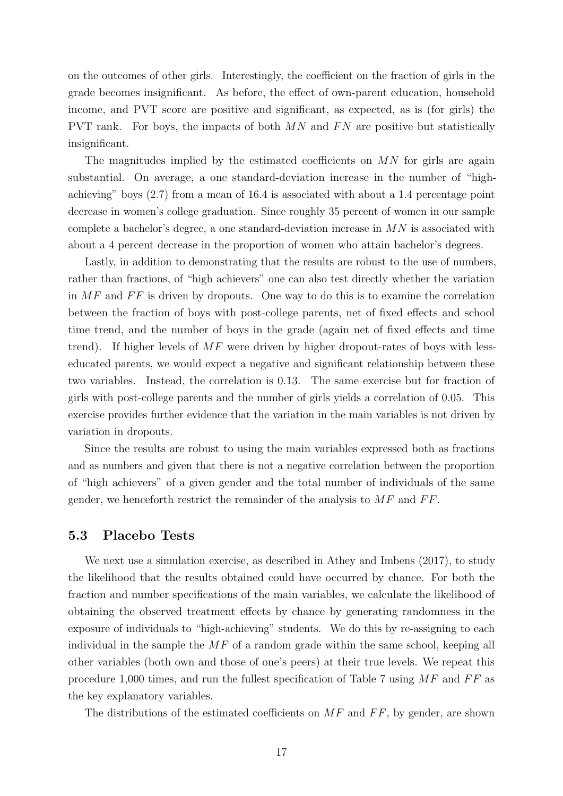on the outcomes of other girls. Interestingly, the coefficient on the fraction of girls in the grade becomes insignificant. As before, the effect of own-parent education, household income, and PVT score are positive and significant, as expected, as is (for girls) the PVT rank. For boys, the impacts of both  $MN$  and  $FN$  are positive but statistically insignificant.

The magnitudes implied by the estimated coefficients on  $MN$  for girls are again substantial. On average, a one standard-deviation increase in the number of "highachieving" boys (2.7) from a mean of 16.4 is associated with about a 1.4 percentage point decrease in women's college graduation. Since roughly 35 percent of women in our sample complete a bachelor's degree, a one standard-deviation increase in  $MN$  is associated with about a 4 percent decrease in the proportion of women who attain bachelor's degrees.

Lastly, in addition to demonstrating that the results are robust to the use of numbers, rather than fractions, of "high achievers" one can also test directly whether the variation in  $MF$  and  $FF$  is driven by dropouts. One way to do this is to examine the correlation between the fraction of boys with post-college parents, net of fixed effects and school time trend, and the number of boys in the grade (again net of fixed effects and time trend). If higher levels of  $MF$  were driven by higher dropout-rates of boys with lesseducated parents, we would expect a negative and significant relationship between these two variables. Instead, the correlation is 0.13. The same exercise but for fraction of girls with post-college parents and the number of girls yields a correlation of 0.05. This exercise provides further evidence that the variation in the main variables is not driven by variation in dropouts.

Since the results are robust to using the main variables expressed both as fractions and as numbers and given that there is not a negative correlation between the proportion of "high achievers" of a given gender and the total number of individuals of the same gender, we henceforth restrict the remainder of the analysis to  $MF$  and  $FF$ .

## 5.3 Placebo Tests

We next use a simulation exercise, as described in Athey and Imbens (2017), to study the likelihood that the results obtained could have occurred by chance. For both the fraction and number specifications of the main variables, we calculate the likelihood of obtaining the observed treatment effects by chance by generating randomness in the exposure of individuals to "high-achieving" students. We do this by re-assigning to each individual in the sample the  $MF$  of a random grade within the same school, keeping all other variables (both own and those of one's peers) at their true levels. We repeat this procedure 1,000 times, and run the fullest specification of Table 7 using  $MF$  and  $FF$  as the key explanatory variables.

The distributions of the estimated coefficients on  $MF$  and  $FF$ , by gender, are shown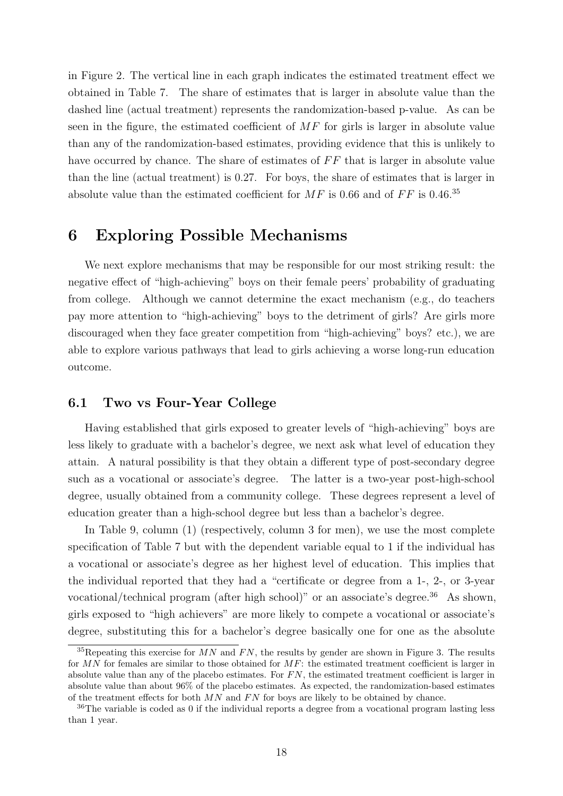in Figure 2. The vertical line in each graph indicates the estimated treatment effect we obtained in Table 7. The share of estimates that is larger in absolute value than the dashed line (actual treatment) represents the randomization-based p-value. As can be seen in the figure, the estimated coefficient of MF for girls is larger in absolute value than any of the randomization-based estimates, providing evidence that this is unlikely to have occurred by chance. The share of estimates of  $FF$  that is larger in absolute value than the line (actual treatment) is 0.27. For boys, the share of estimates that is larger in absolute value than the estimated coefficient for  $MF$  is 0.66 and of  $FF$  is 0.46.<sup>35</sup>

## 6 Exploring Possible Mechanisms

We next explore mechanisms that may be responsible for our most striking result: the negative effect of "high-achieving" boys on their female peers' probability of graduating from college. Although we cannot determine the exact mechanism (e.g., do teachers pay more attention to "high-achieving" boys to the detriment of girls? Are girls more discouraged when they face greater competition from "high-achieving" boys? etc.), we are able to explore various pathways that lead to girls achieving a worse long-run education outcome.

## 6.1 Two vs Four-Year College

Having established that girls exposed to greater levels of "high-achieving" boys are less likely to graduate with a bachelor's degree, we next ask what level of education they attain. A natural possibility is that they obtain a different type of post-secondary degree such as a vocational or associate's degree. The latter is a two-year post-high-school degree, usually obtained from a community college. These degrees represent a level of education greater than a high-school degree but less than a bachelor's degree.

In Table 9, column (1) (respectively, column 3 for men), we use the most complete specification of Table 7 but with the dependent variable equal to 1 if the individual has a vocational or associate's degree as her highest level of education. This implies that the individual reported that they had a "certificate or degree from a 1-, 2-, or 3-year vocational/technical program (after high school)" or an associate's degree.<sup>36</sup> As shown, girls exposed to "high achievers" are more likely to compete a vocational or associate's degree, substituting this for a bachelor's degree basically one for one as the absolute

<sup>&</sup>lt;sup>35</sup>Repeating this exercise for  $MN$  and  $FN$ , the results by gender are shown in Figure 3. The results for MN for females are similar to those obtained for MF: the estimated treatment coefficient is larger in absolute value than any of the placebo estimates. For  $FN$ , the estimated treatment coefficient is larger in absolute value than about 96% of the placebo estimates. As expected, the randomization-based estimates of the treatment effects for both  $MN$  and  $FN$  for boys are likely to be obtained by chance.

<sup>&</sup>lt;sup>36</sup>The variable is coded as 0 if the individual reports a degree from a vocational program lasting less than 1 year.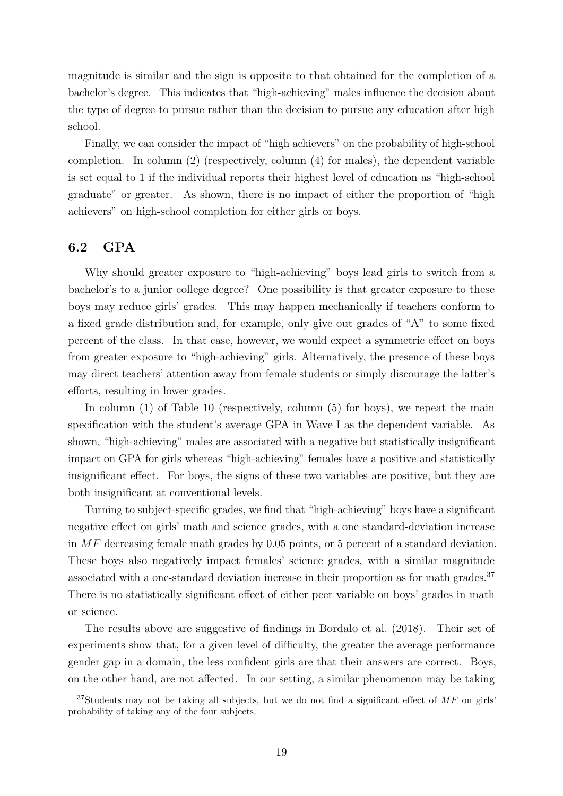magnitude is similar and the sign is opposite to that obtained for the completion of a bachelor's degree. This indicates that "high-achieving" males influence the decision about the type of degree to pursue rather than the decision to pursue any education after high school.

Finally, we can consider the impact of "high achievers" on the probability of high-school completion. In column (2) (respectively, column (4) for males), the dependent variable is set equal to 1 if the individual reports their highest level of education as "high-school graduate" or greater. As shown, there is no impact of either the proportion of "high achievers" on high-school completion for either girls or boys.

## 6.2 GPA

Why should greater exposure to "high-achieving" boys lead girls to switch from a bachelor's to a junior college degree? One possibility is that greater exposure to these boys may reduce girls' grades. This may happen mechanically if teachers conform to a fixed grade distribution and, for example, only give out grades of "A" to some fixed percent of the class. In that case, however, we would expect a symmetric effect on boys from greater exposure to "high-achieving" girls. Alternatively, the presence of these boys may direct teachers' attention away from female students or simply discourage the latter's efforts, resulting in lower grades.

In column (1) of Table 10 (respectively, column (5) for boys), we repeat the main specification with the student's average GPA in Wave I as the dependent variable. As shown, "high-achieving" males are associated with a negative but statistically insignificant impact on GPA for girls whereas "high-achieving" females have a positive and statistically insignificant effect. For boys, the signs of these two variables are positive, but they are both insignificant at conventional levels.

Turning to subject-specific grades, we find that "high-achieving" boys have a significant negative effect on girls' math and science grades, with a one standard-deviation increase in  $MF$  decreasing female math grades by 0.05 points, or 5 percent of a standard deviation. These boys also negatively impact females' science grades, with a similar magnitude associated with a one-standard deviation increase in their proportion as for math grades.<sup>37</sup> There is no statistically significant effect of either peer variable on boys' grades in math or science.

The results above are suggestive of findings in Bordalo et al. (2018). Their set of experiments show that, for a given level of difficulty, the greater the average performance gender gap in a domain, the less confident girls are that their answers are correct. Boys, on the other hand, are not affected. In our setting, a similar phenomenon may be taking

 $37$ Students may not be taking all subjects, but we do not find a significant effect of MF on girls' probability of taking any of the four subjects.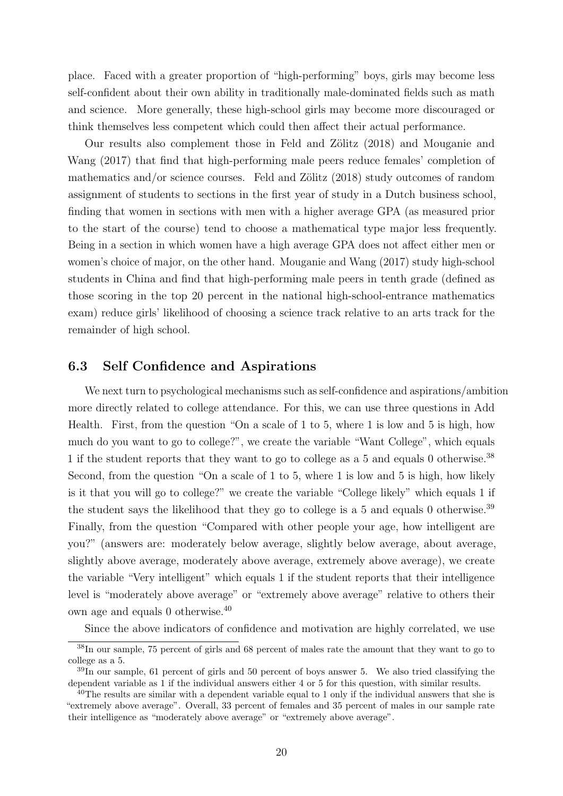place. Faced with a greater proportion of "high-performing" boys, girls may become less self-confident about their own ability in traditionally male-dominated fields such as math and science. More generally, these high-school girls may become more discouraged or think themselves less competent which could then affect their actual performance.

Our results also complement those in Feld and Zölitz (2018) and Mouganie and Wang (2017) that find that high-performing male peers reduce females' completion of mathematics and/or science courses. Feld and Zölitz  $(2018)$  study outcomes of random assignment of students to sections in the first year of study in a Dutch business school, finding that women in sections with men with a higher average GPA (as measured prior to the start of the course) tend to choose a mathematical type major less frequently. Being in a section in which women have a high average GPA does not affect either men or women's choice of major, on the other hand. Mouganie and Wang (2017) study high-school students in China and find that high-performing male peers in tenth grade (defined as those scoring in the top 20 percent in the national high-school-entrance mathematics exam) reduce girls' likelihood of choosing a science track relative to an arts track for the remainder of high school.

## 6.3 Self Confidence and Aspirations

We next turn to psychological mechanisms such as self-confidence and aspirations/ambition more directly related to college attendance. For this, we can use three questions in Add Health. First, from the question "On a scale of 1 to 5, where 1 is low and 5 is high, how much do you want to go to college?", we create the variable "Want College", which equals 1 if the student reports that they want to go to college as a 5 and equals 0 otherwise.<sup>38</sup> Second, from the question "On a scale of 1 to 5, where 1 is low and 5 is high, how likely is it that you will go to college?" we create the variable "College likely" which equals 1 if the student says the likelihood that they go to college is a 5 and equals 0 otherwise.<sup>39</sup> Finally, from the question "Compared with other people your age, how intelligent are you?" (answers are: moderately below average, slightly below average, about average, slightly above average, moderately above average, extremely above average), we create the variable "Very intelligent" which equals 1 if the student reports that their intelligence level is "moderately above average" or "extremely above average" relative to others their own age and equals 0 otherwise.<sup>40</sup>

Since the above indicators of confidence and motivation are highly correlated, we use

<sup>38</sup>In our sample, 75 percent of girls and 68 percent of males rate the amount that they want to go to college as a 5.

 $39\text{ In our sample, }61$  percent of girls and 50 percent of boys answer 5. We also tried classifying the dependent variable as 1 if the individual answers either 4 or 5 for this question, with similar results.

<sup>&</sup>lt;sup>40</sup>The results are similar with a dependent variable equal to 1 only if the individual answers that she is "extremely above average". Overall, 33 percent of females and 35 percent of males in our sample rate their intelligence as "moderately above average" or "extremely above average".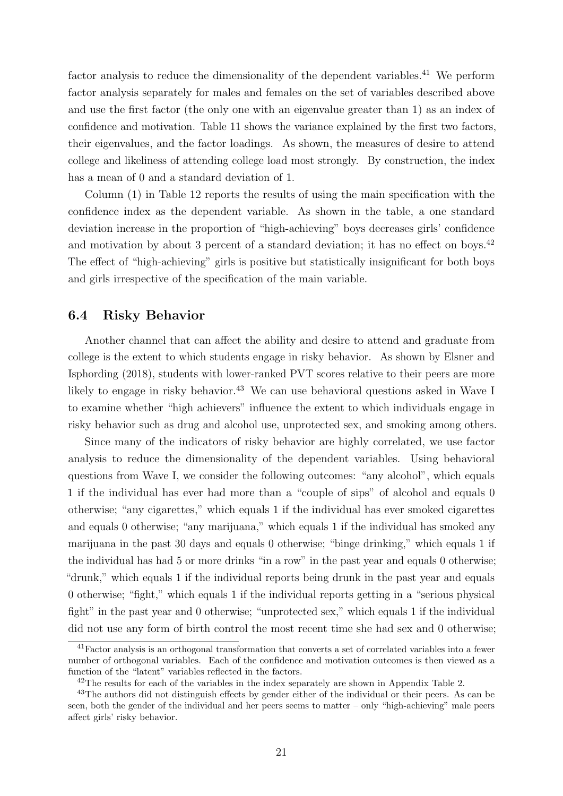factor analysis to reduce the dimensionality of the dependent variables.<sup>41</sup> We perform factor analysis separately for males and females on the set of variables described above and use the first factor (the only one with an eigenvalue greater than 1) as an index of confidence and motivation. Table 11 shows the variance explained by the first two factors, their eigenvalues, and the factor loadings. As shown, the measures of desire to attend college and likeliness of attending college load most strongly. By construction, the index has a mean of 0 and a standard deviation of 1.

Column (1) in Table 12 reports the results of using the main specification with the confidence index as the dependent variable. As shown in the table, a one standard deviation increase in the proportion of "high-achieving" boys decreases girls' confidence and motivation by about 3 percent of a standard deviation; it has no effect on boys.<sup>42</sup> The effect of "high-achieving" girls is positive but statistically insignificant for both boys and girls irrespective of the specification of the main variable.

## 6.4 Risky Behavior

Another channel that can affect the ability and desire to attend and graduate from college is the extent to which students engage in risky behavior. As shown by Elsner and Isphording (2018), students with lower-ranked PVT scores relative to their peers are more likely to engage in risky behavior.<sup>43</sup> We can use behavioral questions asked in Wave I to examine whether "high achievers" influence the extent to which individuals engage in risky behavior such as drug and alcohol use, unprotected sex, and smoking among others.

Since many of the indicators of risky behavior are highly correlated, we use factor analysis to reduce the dimensionality of the dependent variables. Using behavioral questions from Wave I, we consider the following outcomes: "any alcohol", which equals 1 if the individual has ever had more than a "couple of sips" of alcohol and equals 0 otherwise; "any cigarettes," which equals 1 if the individual has ever smoked cigarettes and equals 0 otherwise; "any marijuana," which equals 1 if the individual has smoked any marijuana in the past 30 days and equals 0 otherwise; "binge drinking," which equals 1 if the individual has had 5 or more drinks "in a row" in the past year and equals 0 otherwise; "drunk," which equals 1 if the individual reports being drunk in the past year and equals 0 otherwise; "fight," which equals 1 if the individual reports getting in a "serious physical fight" in the past year and 0 otherwise; "unprotected sex," which equals 1 if the individual did not use any form of birth control the most recent time she had sex and 0 otherwise;

<sup>41</sup>Factor analysis is an orthogonal transformation that converts a set of correlated variables into a fewer number of orthogonal variables. Each of the confidence and motivation outcomes is then viewed as a function of the "latent" variables reflected in the factors.

<sup>&</sup>lt;sup>42</sup>The results for each of the variables in the index separately are shown in Appendix Table 2.

<sup>&</sup>lt;sup>43</sup>The authors did not distinguish effects by gender either of the individual or their peers. As can be seen, both the gender of the individual and her peers seems to matter – only "high-achieving" male peers affect girls' risky behavior.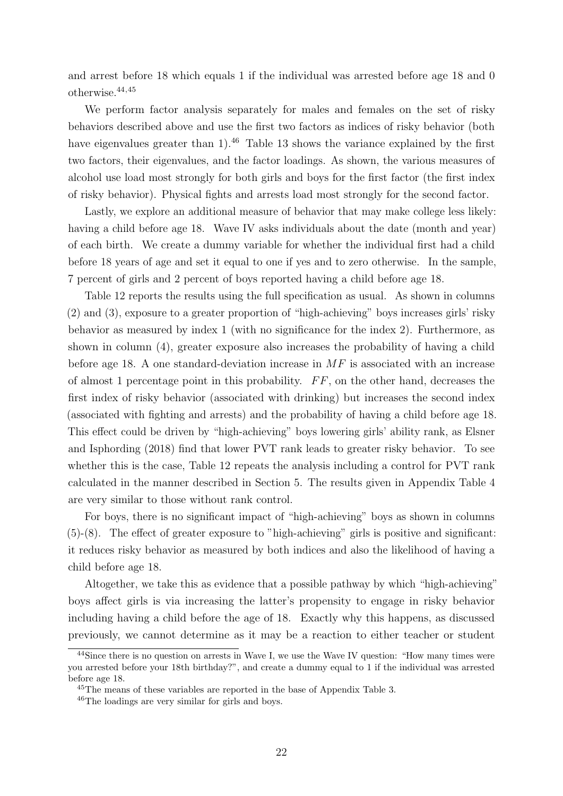and arrest before 18 which equals 1 if the individual was arrested before age 18 and 0 otherwise.44,45

We perform factor analysis separately for males and females on the set of risky behaviors described above and use the first two factors as indices of risky behavior (both have eigenvalues greater than  $1$ ).<sup>46</sup> Table 13 shows the variance explained by the first two factors, their eigenvalues, and the factor loadings. As shown, the various measures of alcohol use load most strongly for both girls and boys for the first factor (the first index of risky behavior). Physical fights and arrests load most strongly for the second factor.

Lastly, we explore an additional measure of behavior that may make college less likely: having a child before age 18. Wave IV asks individuals about the date (month and year) of each birth. We create a dummy variable for whether the individual first had a child before 18 years of age and set it equal to one if yes and to zero otherwise. In the sample, 7 percent of girls and 2 percent of boys reported having a child before age 18.

Table 12 reports the results using the full specification as usual. As shown in columns (2) and (3), exposure to a greater proportion of "high-achieving" boys increases girls' risky behavior as measured by index 1 (with no significance for the index 2). Furthermore, as shown in column (4), greater exposure also increases the probability of having a child before age 18. A one standard-deviation increase in  $MF$  is associated with an increase of almost 1 percentage point in this probability.  $FF$ , on the other hand, decreases the first index of risky behavior (associated with drinking) but increases the second index (associated with fighting and arrests) and the probability of having a child before age 18. This effect could be driven by "high-achieving" boys lowering girls' ability rank, as Elsner and Isphording (2018) find that lower PVT rank leads to greater risky behavior. To see whether this is the case, Table 12 repeats the analysis including a control for PVT rank calculated in the manner described in Section 5. The results given in Appendix Table 4 are very similar to those without rank control.

For boys, there is no significant impact of "high-achieving" boys as shown in columns (5)-(8). The effect of greater exposure to "high-achieving" girls is positive and significant: it reduces risky behavior as measured by both indices and also the likelihood of having a child before age 18.

Altogether, we take this as evidence that a possible pathway by which "high-achieving" boys affect girls is via increasing the latter's propensity to engage in risky behavior including having a child before the age of 18. Exactly why this happens, as discussed previously, we cannot determine as it may be a reaction to either teacher or student

<sup>&</sup>lt;sup>44</sup>Since there is no question on arrests in Wave I, we use the Wave IV question: "How many times were you arrested before your 18th birthday?", and create a dummy equal to 1 if the individual was arrested before age 18.

<sup>45</sup>The means of these variables are reported in the base of Appendix Table 3.

<sup>46</sup>The loadings are very similar for girls and boys.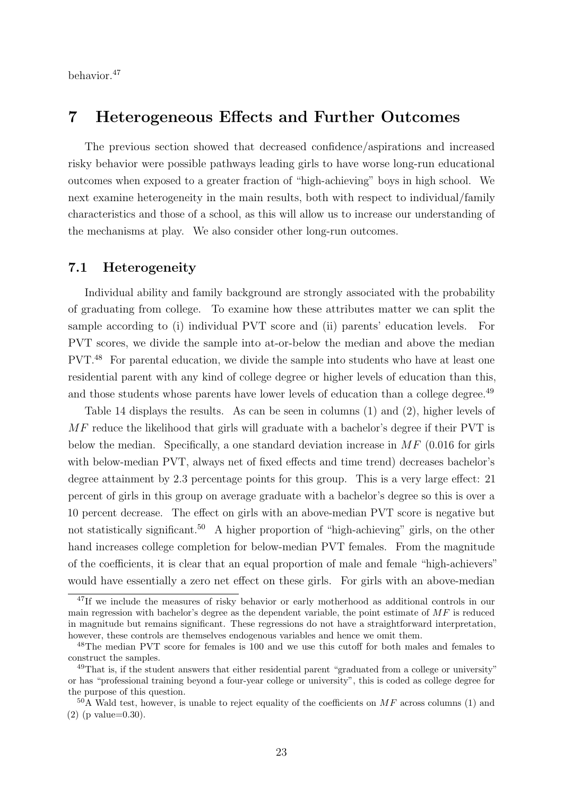behavior.<sup>47</sup>

## 7 Heterogeneous Effects and Further Outcomes

The previous section showed that decreased confidence/aspirations and increased risky behavior were possible pathways leading girls to have worse long-run educational outcomes when exposed to a greater fraction of "high-achieving" boys in high school. We next examine heterogeneity in the main results, both with respect to individual/family characteristics and those of a school, as this will allow us to increase our understanding of the mechanisms at play. We also consider other long-run outcomes.

### 7.1 Heterogeneity

Individual ability and family background are strongly associated with the probability of graduating from college. To examine how these attributes matter we can split the sample according to (i) individual PVT score and (ii) parents' education levels. For PVT scores, we divide the sample into at-or-below the median and above the median PVT.<sup>48</sup> For parental education, we divide the sample into students who have at least one residential parent with any kind of college degree or higher levels of education than this, and those students whose parents have lower levels of education than a college degree.<sup>49</sup>

Table 14 displays the results. As can be seen in columns (1) and (2), higher levels of MF reduce the likelihood that girls will graduate with a bachelor's degree if their PVT is below the median. Specifically, a one standard deviation increase in  $MF(0.016$  for girls with below-median PVT, always net of fixed effects and time trend) decreases bachelor's degree attainment by 2.3 percentage points for this group. This is a very large effect: 21 percent of girls in this group on average graduate with a bachelor's degree so this is over a 10 percent decrease. The effect on girls with an above-median PVT score is negative but not statistically significant.<sup>50</sup> A higher proportion of "high-achieving" girls, on the other hand increases college completion for below-median PVT females. From the magnitude of the coefficients, it is clear that an equal proportion of male and female "high-achievers" would have essentially a zero net effect on these girls. For girls with an above-median

<sup>&</sup>lt;sup>47</sup>If we include the measures of risky behavior or early motherhood as additional controls in our main regression with bachelor's degree as the dependent variable, the point estimate of  $MF$  is reduced in magnitude but remains significant. These regressions do not have a straightforward interpretation, however, these controls are themselves endogenous variables and hence we omit them.

<sup>48</sup>The median PVT score for females is 100 and we use this cutoff for both males and females to construct the samples.

<sup>&</sup>lt;sup>49</sup>That is, if the student answers that either residential parent "graduated from a college or university" or has "professional training beyond a four-year college or university", this is coded as college degree for the purpose of this question.

 $50$ A Wald test, however, is unable to reject equality of the coefficients on MF across columns (1) and (2) (p value=0.30).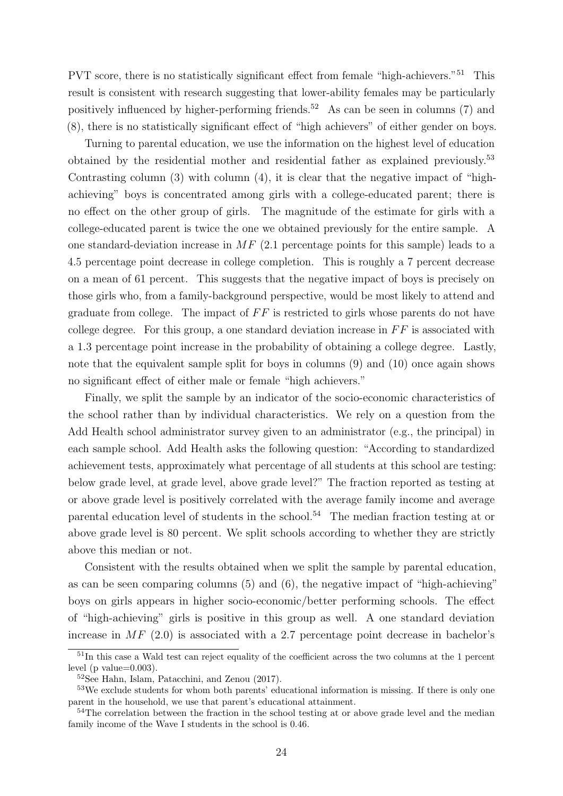PVT score, there is no statistically significant effect from female "high-achievers."<sup>51</sup> This result is consistent with research suggesting that lower-ability females may be particularly positively influenced by higher-performing friends.<sup>52</sup> As can be seen in columns  $(7)$  and (8), there is no statistically significant effect of "high achievers" of either gender on boys.

Turning to parental education, we use the information on the highest level of education obtained by the residential mother and residential father as explained previously.<sup>53</sup> Contrasting column (3) with column (4), it is clear that the negative impact of "highachieving" boys is concentrated among girls with a college-educated parent; there is no effect on the other group of girls. The magnitude of the estimate for girls with a college-educated parent is twice the one we obtained previously for the entire sample. A one standard-deviation increase in  $MF(2.1$  percentage points for this sample) leads to a 4.5 percentage point decrease in college completion. This is roughly a 7 percent decrease on a mean of 61 percent. This suggests that the negative impact of boys is precisely on those girls who, from a family-background perspective, would be most likely to attend and graduate from college. The impact of  $FF$  is restricted to girls whose parents do not have college degree. For this group, a one standard deviation increase in  $FF$  is associated with a 1.3 percentage point increase in the probability of obtaining a college degree. Lastly, note that the equivalent sample split for boys in columns (9) and (10) once again shows no significant effect of either male or female "high achievers."

Finally, we split the sample by an indicator of the socio-economic characteristics of the school rather than by individual characteristics. We rely on a question from the Add Health school administrator survey given to an administrator (e.g., the principal) in each sample school. Add Health asks the following question: "According to standardized achievement tests, approximately what percentage of all students at this school are testing: below grade level, at grade level, above grade level?" The fraction reported as testing at or above grade level is positively correlated with the average family income and average parental education level of students in the school.<sup>54</sup> The median fraction testing at or above grade level is 80 percent. We split schools according to whether they are strictly above this median or not.

Consistent with the results obtained when we split the sample by parental education, as can be seen comparing columns (5) and (6), the negative impact of "high-achieving" boys on girls appears in higher socio-economic/better performing schools. The effect of "high-achieving" girls is positive in this group as well. A one standard deviation increase in  $MF(2.0)$  is associated with a 2.7 percentage point decrease in bachelor's

<sup>51</sup>In this case a Wald test can reject equality of the coefficient across the two columns at the 1 percent level (p value=0.003).

<sup>52</sup>See Hahn, Islam, Patacchini, and Zenou (2017).

<sup>&</sup>lt;sup>53</sup>We exclude students for whom both parents' educational information is missing. If there is only one parent in the household, we use that parent's educational attainment.

<sup>&</sup>lt;sup>54</sup>The correlation between the fraction in the school testing at or above grade level and the median family income of the Wave I students in the school is 0.46.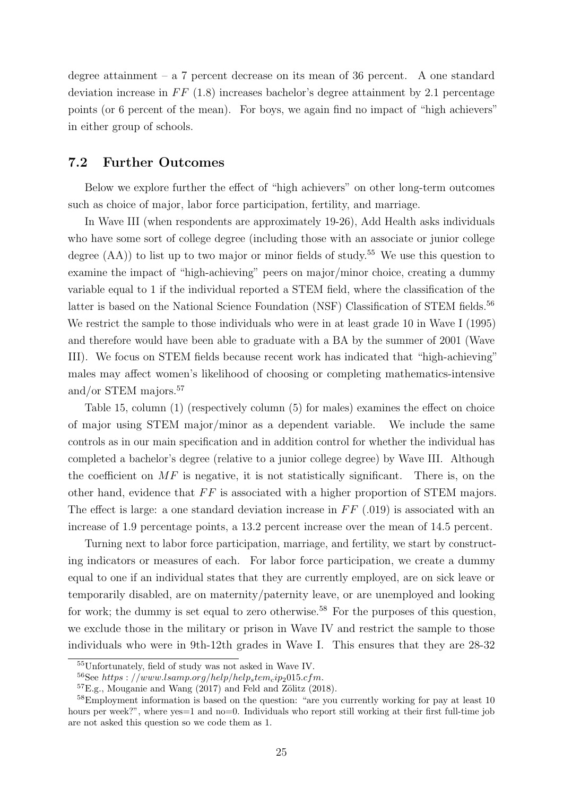degree attainment – a  $7$  percent decrease on its mean of 36 percent. A one standard deviation increase in  $FF$  (1.8) increases bachelor's degree attainment by 2.1 percentage points (or 6 percent of the mean). For boys, we again find no impact of "high achievers" in either group of schools.

## 7.2 Further Outcomes

Below we explore further the effect of "high achievers" on other long-term outcomes such as choice of major, labor force participation, fertility, and marriage.

In Wave III (when respondents are approximately 19-26), Add Health asks individuals who have some sort of college degree (including those with an associate or junior college degree  $(AA)$ ) to list up to two major or minor fields of study.<sup>55</sup> We use this question to examine the impact of "high-achieving" peers on major/minor choice, creating a dummy variable equal to 1 if the individual reported a STEM field, where the classification of the latter is based on the National Science Foundation (NSF) Classification of STEM fields.<sup>56</sup> We restrict the sample to those individuals who were in at least grade 10 in Wave I (1995) and therefore would have been able to graduate with a BA by the summer of 2001 (Wave III). We focus on STEM fields because recent work has indicated that "high-achieving" males may affect women's likelihood of choosing or completing mathematics-intensive and/or STEM majors.<sup>57</sup>

Table 15, column (1) (respectively column (5) for males) examines the effect on choice of major using STEM major/minor as a dependent variable. We include the same controls as in our main specification and in addition control for whether the individual has completed a bachelor's degree (relative to a junior college degree) by Wave III. Although the coefficient on  $MF$  is negative, it is not statistically significant. There is, on the other hand, evidence that  $FF$  is associated with a higher proportion of STEM majors. The effect is large: a one standard deviation increase in  $FF(0.019)$  is associated with an increase of 1.9 percentage points, a 13.2 percent increase over the mean of 14.5 percent.

Turning next to labor force participation, marriage, and fertility, we start by constructing indicators or measures of each. For labor force participation, we create a dummy equal to one if an individual states that they are currently employed, are on sick leave or temporarily disabled, are on maternity/paternity leave, or are unemployed and looking for work; the dummy is set equal to zero otherwise.<sup>58</sup> For the purposes of this question, we exclude those in the military or prison in Wave IV and restrict the sample to those individuals who were in 9th-12th grades in Wave I. This ensures that they are 28-32

<sup>55</sup>Unfortunately, field of study was not asked in Wave IV.

 $56$ See https : //www.lsamp.org/help/help<sub>s</sub>tem<sub>c</sub>ip<sub>2</sub>015.cfm.

 ${}^{57}E.g.,$  Mouganie and Wang  $(2017)$  and Feld and Zölitz  $(2018).$ 

<sup>&</sup>lt;sup>58</sup>Employment information is based on the question: "are you currently working for pay at least 10 hours per week?", where yes=1 and no=0. Individuals who report still working at their first full-time job are not asked this question so we code them as 1.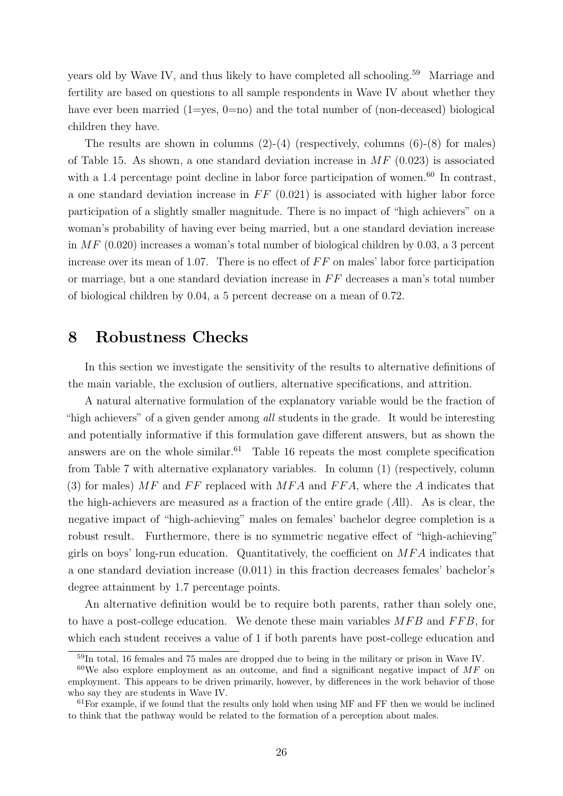years old by Wave IV, and thus likely to have completed all schooling.<sup>59</sup> Marriage and fertility are based on questions to all sample respondents in Wave IV about whether they have ever been married  $(1=$ yes,  $(0=$ no) and the total number of  $(non-deceased)$  biological children they have.

The results are shown in columns  $(2)-(4)$  (respectively, columns  $(6)-(8)$ ) for males) of Table 15. As shown, a one standard deviation increase in  $MF(0.023)$  is associated with a 1.4 percentage point decline in labor force participation of women.<sup>60</sup> In contrast, a one standard deviation increase in  $FF(0.021)$  is associated with higher labor force participation of a slightly smaller magnitude. There is no impact of "high achievers" on a woman's probability of having ever being married, but a one standard deviation increase in  $MF(0.020)$  increases a woman's total number of biological children by 0.03, a 3 percent increase over its mean of 1.07. There is no effect of  $FF$  on males' labor force participation or marriage, but a one standard deviation increase in  $FF$  decreases a man's total number of biological children by 0.04, a 5 percent decrease on a mean of 0.72.

## 8 Robustness Checks

In this section we investigate the sensitivity of the results to alternative definitions of the main variable, the exclusion of outliers, alternative specifications, and attrition.

A natural alternative formulation of the explanatory variable would be the fraction of "high achievers" of a given gender among all students in the grade. It would be interesting and potentially informative if this formulation gave different answers, but as shown the answers are on the whole similar.<sup>61</sup> Table 16 repeats the most complete specification from Table 7 with alternative explanatory variables. In column (1) (respectively, column (3) for males)  $MF$  and  $FF$  replaced with  $MFA$  and  $FFA$ , where the A indicates that the high-achievers are measured as a fraction of the entire grade (All). As is clear, the negative impact of "high-achieving" males on females' bachelor degree completion is a robust result. Furthermore, there is no symmetric negative effect of "high-achieving" girls on boys' long-run education. Quantitatively, the coefficient on  $MFA$  indicates that a one standard deviation increase (0.011) in this fraction decreases females' bachelor's degree attainment by 1.7 percentage points.

An alternative definition would be to require both parents, rather than solely one, to have a post-college education. We denote these main variables  $MFB$  and  $FFB$ , for which each student receives a value of 1 if both parents have post-college education and

<sup>59</sup>In total, 16 females and 75 males are dropped due to being in the military or prison in Wave IV.

 $60$ We also explore employment as an outcome, and find a significant negative impact of MF on employment. This appears to be driven primarily, however, by differences in the work behavior of those who say they are students in Wave IV.

 $61$  For example, if we found that the results only hold when using MF and FF then we would be inclined to think that the pathway would be related to the formation of a perception about males.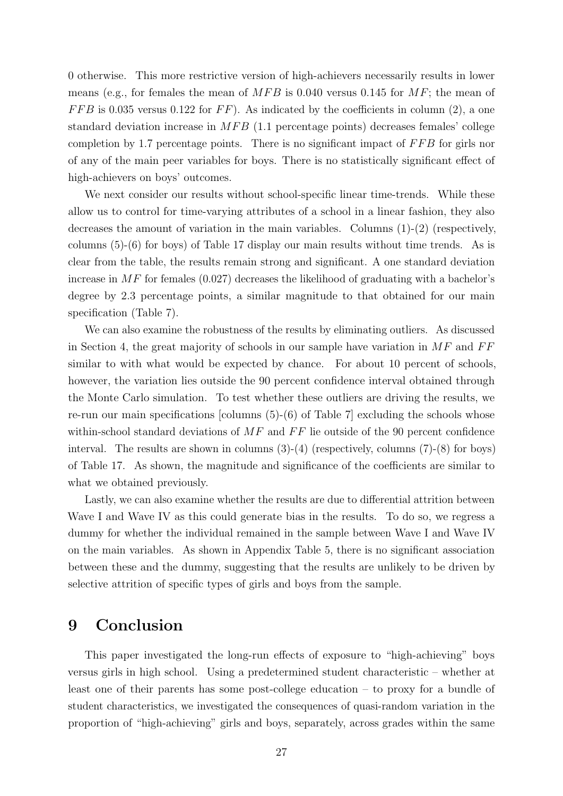0 otherwise. This more restrictive version of high-achievers necessarily results in lower means (e.g., for females the mean of  $MFB$  is 0.040 versus 0.145 for  $MF$ ; the mean of  $FFB$  is 0.035 versus 0.122 for  $FF$ ). As indicated by the coefficients in column (2), a one standard deviation increase in  $MFB$  (1.1 percentage points) decreases females' college completion by 1.7 percentage points. There is no significant impact of  $FFB$  for girls nor of any of the main peer variables for boys. There is no statistically significant effect of high-achievers on boys' outcomes.

We next consider our results without school-specific linear time-trends. While these allow us to control for time-varying attributes of a school in a linear fashion, they also decreases the amount of variation in the main variables. Columns (1)-(2) (respectively, columns (5)-(6) for boys) of Table 17 display our main results without time trends. As is clear from the table, the results remain strong and significant. A one standard deviation increase in  $MF$  for females (0.027) decreases the likelihood of graduating with a bachelor's degree by 2.3 percentage points, a similar magnitude to that obtained for our main specification (Table 7).

We can also examine the robustness of the results by eliminating outliers. As discussed in Section 4, the great majority of schools in our sample have variation in  $MF$  and  $FF$ similar to with what would be expected by chance. For about 10 percent of schools, however, the variation lies outside the 90 percent confidence interval obtained through the Monte Carlo simulation. To test whether these outliers are driving the results, we re-run our main specifications [columns (5)-(6) of Table 7] excluding the schools whose within-school standard deviations of  $MF$  and  $FF$  lie outside of the 90 percent confidence interval. The results are shown in columns  $(3)-(4)$  (respectively, columns  $(7)-(8)$  for boys) of Table 17. As shown, the magnitude and significance of the coefficients are similar to what we obtained previously.

Lastly, we can also examine whether the results are due to differential attrition between Wave I and Wave IV as this could generate bias in the results. To do so, we regress a dummy for whether the individual remained in the sample between Wave I and Wave IV on the main variables. As shown in Appendix Table 5, there is no significant association between these and the dummy, suggesting that the results are unlikely to be driven by selective attrition of specific types of girls and boys from the sample.

## 9 Conclusion

This paper investigated the long-run effects of exposure to "high-achieving" boys versus girls in high school. Using a predetermined student characteristic – whether at least one of their parents has some post-college education – to proxy for a bundle of student characteristics, we investigated the consequences of quasi-random variation in the proportion of "high-achieving" girls and boys, separately, across grades within the same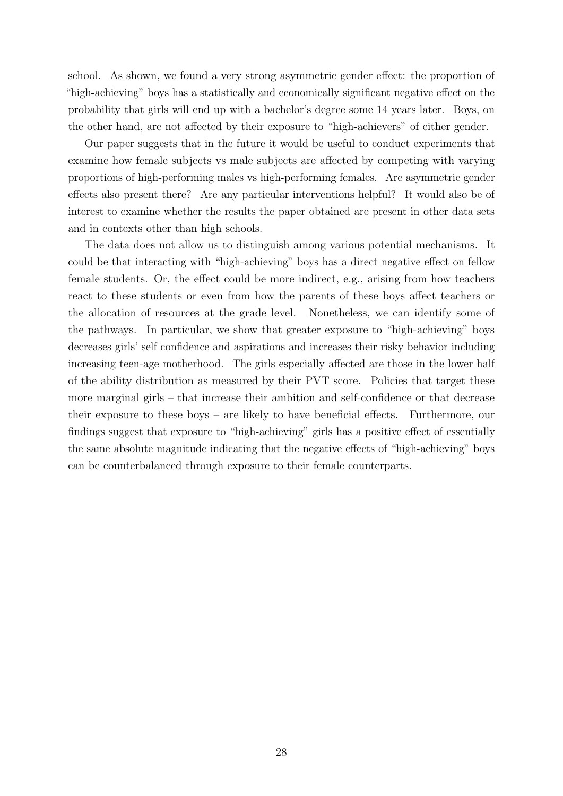school. As shown, we found a very strong asymmetric gender effect: the proportion of "high-achieving" boys has a statistically and economically significant negative effect on the probability that girls will end up with a bachelor's degree some 14 years later. Boys, on the other hand, are not affected by their exposure to "high-achievers" of either gender.

Our paper suggests that in the future it would be useful to conduct experiments that examine how female subjects vs male subjects are affected by competing with varying proportions of high-performing males vs high-performing females. Are asymmetric gender effects also present there? Are any particular interventions helpful? It would also be of interest to examine whether the results the paper obtained are present in other data sets and in contexts other than high schools.

The data does not allow us to distinguish among various potential mechanisms. It could be that interacting with "high-achieving" boys has a direct negative effect on fellow female students. Or, the effect could be more indirect, e.g., arising from how teachers react to these students or even from how the parents of these boys affect teachers or the allocation of resources at the grade level. Nonetheless, we can identify some of the pathways. In particular, we show that greater exposure to "high-achieving" boys decreases girls' self confidence and aspirations and increases their risky behavior including increasing teen-age motherhood. The girls especially affected are those in the lower half of the ability distribution as measured by their PVT score. Policies that target these more marginal girls – that increase their ambition and self-confidence or that decrease their exposure to these boys – are likely to have beneficial effects. Furthermore, our findings suggest that exposure to "high-achieving" girls has a positive effect of essentially the same absolute magnitude indicating that the negative effects of "high-achieving" boys can be counterbalanced through exposure to their female counterparts.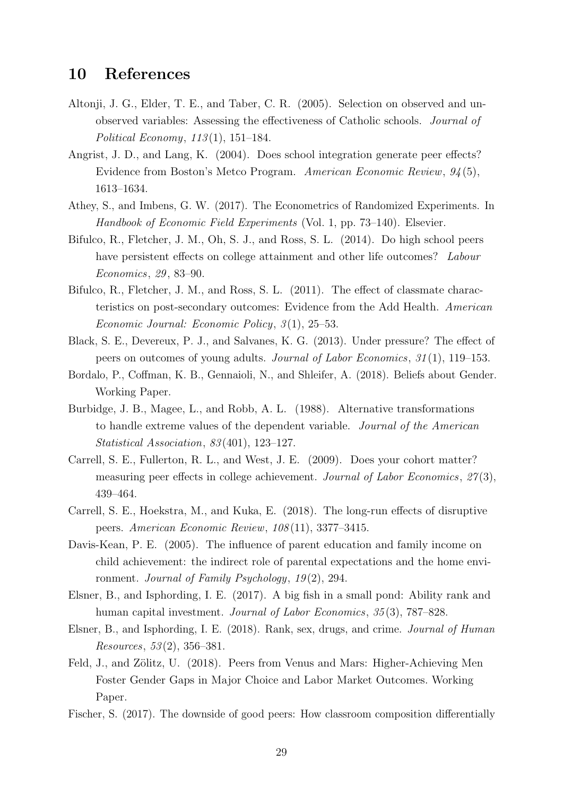## 10 References

- Altonji, J. G., Elder, T. E., and Taber, C. R. (2005). Selection on observed and unobserved variables: Assessing the effectiveness of Catholic schools. Journal of Political Economy,  $113(1)$ , 151–184.
- Angrist, J. D., and Lang, K. (2004). Does school integration generate peer effects? Evidence from Boston's Metco Program. American Economic Review, 94 (5), 1613–1634.
- Athey, S., and Imbens, G. W. (2017). The Econometrics of Randomized Experiments. In Handbook of Economic Field Experiments (Vol. 1, pp. 73–140). Elsevier.
- Bifulco, R., Fletcher, J. M., Oh, S. J., and Ross, S. L. (2014). Do high school peers have persistent effects on college attainment and other life outcomes? Labour Economics, 29 , 83–90.
- Bifulco, R., Fletcher, J. M., and Ross, S. L. (2011). The effect of classmate characteristics on post-secondary outcomes: Evidence from the Add Health. American Economic Journal: Economic Policy, 3(1), 25–53.
- Black, S. E., Devereux, P. J., and Salvanes, K. G. (2013). Under pressure? The effect of peers on outcomes of young adults. Journal of Labor Economics, 31 (1), 119–153.
- Bordalo, P., Coffman, K. B., Gennaioli, N., and Shleifer, A. (2018). Beliefs about Gender. Working Paper.
- Burbidge, J. B., Magee, L., and Robb, A. L. (1988). Alternative transformations to handle extreme values of the dependent variable. Journal of the American Statistical Association, 83 (401), 123–127.
- Carrell, S. E., Fullerton, R. L., and West, J. E. (2009). Does your cohort matter? measuring peer effects in college achievement. Journal of Labor Economics,  $27(3)$ , 439–464.
- Carrell, S. E., Hoekstra, M., and Kuka, E. (2018). The long-run effects of disruptive peers. American Economic Review, 108 (11), 3377–3415.
- Davis-Kean, P. E. (2005). The influence of parent education and family income on child achievement: the indirect role of parental expectations and the home environment. Journal of Family Psychology,  $19(2)$ , 294.
- Elsner, B., and Isphording, I. E. (2017). A big fish in a small pond: Ability rank and human capital investment. *Journal of Labor Economics*, 35(3), 787–828.
- Elsner, B., and Isphording, I. E. (2018). Rank, sex, drugs, and crime. Journal of Human Resources, 53 (2), 356–381.
- Feld, J., and Zölitz, U. (2018). Peers from Venus and Mars: Higher-Achieving Men Foster Gender Gaps in Major Choice and Labor Market Outcomes. Working Paper.
- Fischer, S. (2017). The downside of good peers: How classroom composition differentially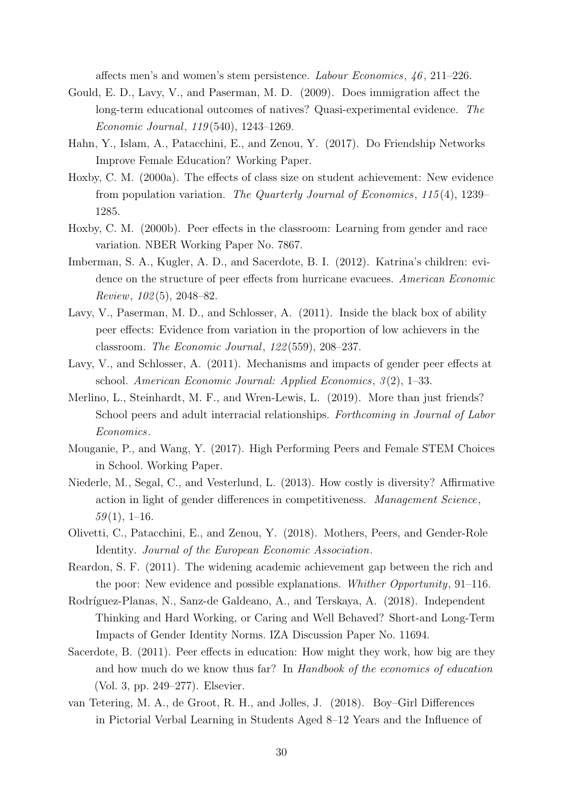affects men's and women's stem persistence. Labour Economics,  $46, 211-226$ .

- Gould, E. D., Lavy, V., and Paserman, M. D. (2009). Does immigration affect the long-term educational outcomes of natives? Quasi-experimental evidence. The Economic Journal, 119 (540), 1243–1269.
- Hahn, Y., Islam, A., Patacchini, E., and Zenou, Y. (2017). Do Friendship Networks Improve Female Education? Working Paper.
- Hoxby, C. M. (2000a). The effects of class size on student achievement: New evidence from population variation. The Quarterly Journal of Economics, 115 (4), 1239– 1285.
- Hoxby, C. M. (2000b). Peer effects in the classroom: Learning from gender and race variation. NBER Working Paper No. 7867.
- Imberman, S. A., Kugler, A. D., and Sacerdote, B. I. (2012). Katrina's children: evidence on the structure of peer effects from hurricane evacuees. American Economic  $Review, 102(5), 2048-82.$
- Lavy, V., Paserman, M. D., and Schlosser, A. (2011). Inside the black box of ability peer effects: Evidence from variation in the proportion of low achievers in the classroom. The Economic Journal, 122 (559), 208–237.
- Lavy, V., and Schlosser, A. (2011). Mechanisms and impacts of gender peer effects at school. American Economic Journal: Applied Economics, 3(2), 1-33.
- Merlino, L., Steinhardt, M. F., and Wren-Lewis, L. (2019). More than just friends? School peers and adult interracial relationships. Forthcoming in Journal of Labor Economics.
- Mouganie, P., and Wang, Y. (2017). High Performing Peers and Female STEM Choices in School. Working Paper.
- Niederle, M., Segal, C., and Vesterlund, L. (2013). How costly is diversity? Affirmative action in light of gender differences in competitiveness. Management Science,  $59(1), 1-16.$
- Olivetti, C., Patacchini, E., and Zenou, Y. (2018). Mothers, Peers, and Gender-Role Identity. Journal of the European Economic Association.
- Reardon, S. F. (2011). The widening academic achievement gap between the rich and the poor: New evidence and possible explanations. Whither Opportunity, 91–116.
- Rodríguez-Planas, N., Sanz-de Galdeano, A., and Terskaya, A. (2018). Independent Thinking and Hard Working, or Caring and Well Behaved? Short-and Long-Term Impacts of Gender Identity Norms. IZA Discussion Paper No. 11694.
- Sacerdote, B. (2011). Peer effects in education: How might they work, how big are they and how much do we know thus far? In Handbook of the economics of education (Vol. 3, pp. 249–277). Elsevier.
- van Tetering, M. A., de Groot, R. H., and Jolles, J. (2018). Boy–Girl Differences in Pictorial Verbal Learning in Students Aged 8–12 Years and the Influence of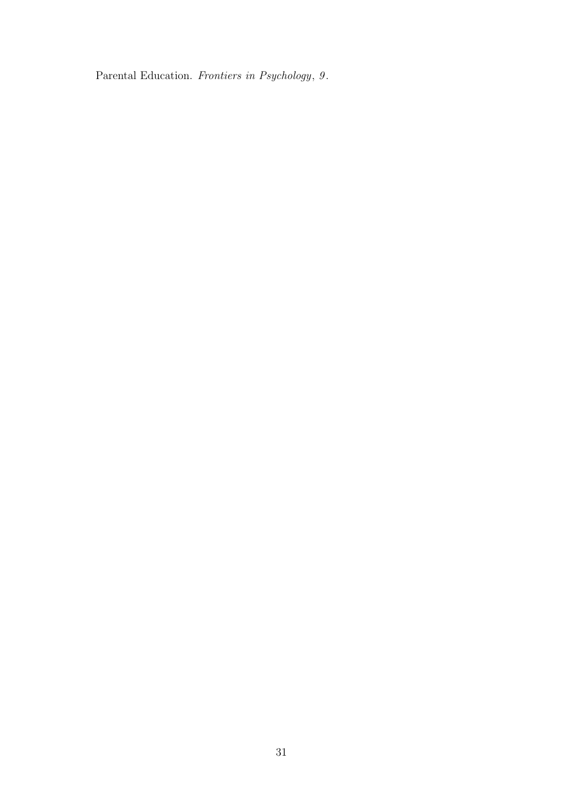Parental Education. Frontiers in Psychology, 9.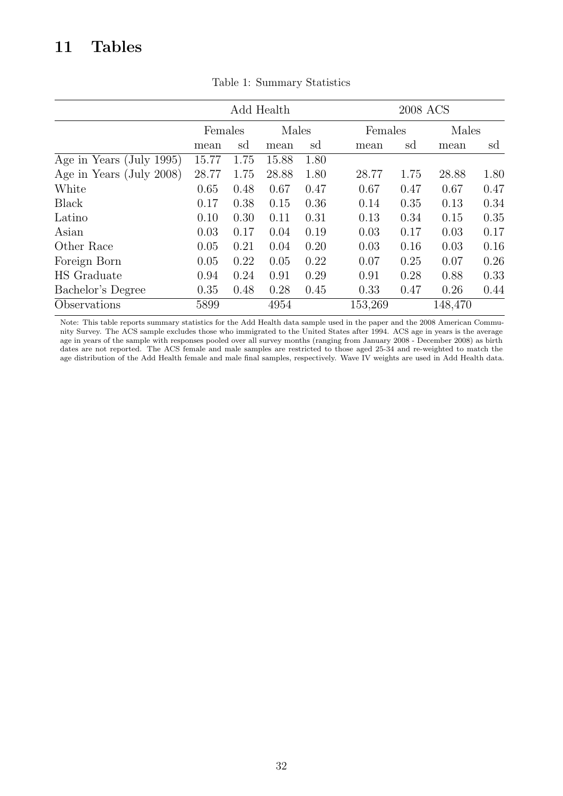## 11 Tables

|                          |       |         | Add Health |       |         | 2008 ACS |         |      |  |  |
|--------------------------|-------|---------|------------|-------|---------|----------|---------|------|--|--|
|                          |       | Females |            | Males | Females |          | Males   |      |  |  |
|                          | mean  | sd      | mean       | sd    | mean    | sd       | mean    | sd   |  |  |
| Age in Years (July 1995) | 15.77 | 1.75    | 15.88      | 1.80  |         |          |         |      |  |  |
| Age in Years (July 2008) | 28.77 | 1.75    | 28.88      | 1.80  | 28.77   | 1.75     | 28.88   | 1.80 |  |  |
| White                    | 0.65  | 0.48    | 0.67       | 0.47  | 0.67    | 0.47     | 0.67    | 0.47 |  |  |
| Black                    | 0.17  | 0.38    | 0.15       | 0.36  | 0.14    | 0.35     | 0.13    | 0.34 |  |  |
| Latino                   | 0.10  | 0.30    | 0.11       | 0.31  | 0.13    | 0.34     | 0.15    | 0.35 |  |  |
| Asian                    | 0.03  | 0.17    | 0.04       | 0.19  | 0.03    | 0.17     | 0.03    | 0.17 |  |  |
| Other Race               | 0.05  | 0.21    | 0.04       | 0.20  | 0.03    | 0.16     | 0.03    | 0.16 |  |  |
| Foreign Born             | 0.05  | 0.22    | 0.05       | 0.22  | 0.07    | 0.25     | 0.07    | 0.26 |  |  |
| HS Graduate              | 0.94  | 0.24    | 0.91       | 0.29  | 0.91    | 0.28     | 0.88    | 0.33 |  |  |
| Bachelor's Degree        | 0.35  | 0.48    | 0.28       | 0.45  | 0.33    | 0.47     | 0.26    | 0.44 |  |  |
| Observations             | 5899  |         | 4954       |       | 153,269 |          | 148,470 |      |  |  |
|                          |       |         |            |       |         |          |         |      |  |  |

Table 1: Summary Statistics

Note: This table reports summary statistics for the Add Health data sample used in the paper and the 2008 American Community Survey. The ACS sample excludes those who immigrated to the United States after 1994. ACS age in years is the average age in years of the sample with responses pooled over all survey months (ranging from January 2008 - December 2008) as birth dates are not reported. The ACS female and male samples are restricted to those aged 25-34 and re-weighted to match the age distribution of the Add Health female and male final samples, respectively. Wave IV weights are used in Add Health data.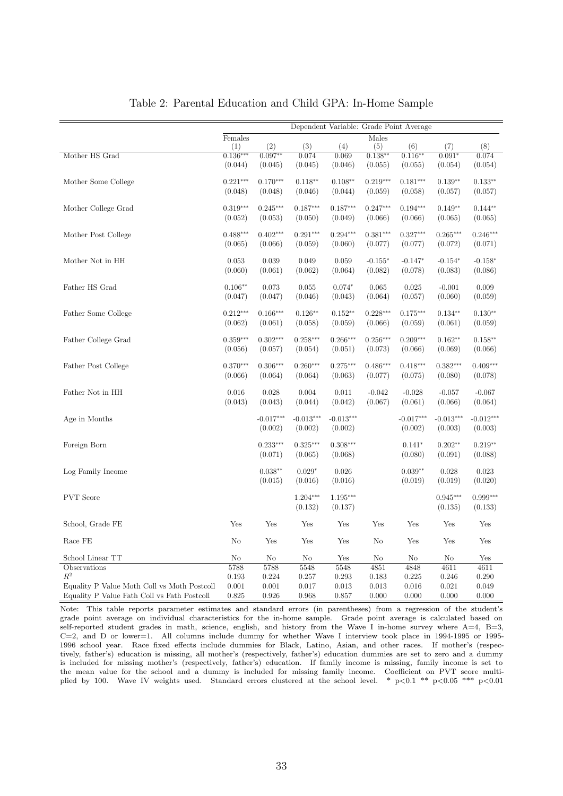|                                             |            |             |                | Dependent Variable: Grade Point Average |            |             |                |             |
|---------------------------------------------|------------|-------------|----------------|-----------------------------------------|------------|-------------|----------------|-------------|
|                                             | Females    |             |                |                                         | Males      |             |                |             |
|                                             | (1)        | (2)         | (3)            | (4)                                     | (5)        | (6)         | (7)            | (8)         |
| Mother HS Grad                              | $0.136***$ | $0.097**$   | 0.074          | 0.069                                   | $0.138**$  | $0.116**$   | $0.091*$       | 0.074       |
|                                             | (0.044)    | (0.045)     | (0.045)        | (0.046)                                 | (0.055)    | (0.055)     | (0.054)        | (0.054)     |
| Mother Some College                         | $0.221***$ | $0.170***$  | $0.118**$      | $0.108**$                               | $0.219***$ | $0.181***$  | $0.139**$      | $0.133**$   |
|                                             | (0.048)    | (0.048)     | (0.046)        | (0.044)                                 | (0.059)    | (0.058)     | (0.057)        | (0.057)     |
|                                             |            |             |                |                                         |            |             |                |             |
| Mother College Grad                         | $0.319***$ | $0.245***$  | $0.187***$     | $0.187***$                              | $0.247***$ | $0.194***$  | $0.149**$      | $0.144**$   |
|                                             | (0.052)    | (0.053)     | (0.050)        | (0.049)                                 | (0.066)    | (0.066)     | (0.065)        | (0.065)     |
|                                             |            |             |                |                                         |            |             |                |             |
| Mother Post College                         | $0.488***$ | $0.402***$  | $0.291***$     | $0.294***$                              | $0.381***$ | $0.327***$  | $0.265***$     | $0.246***$  |
|                                             | (0.065)    | (0.066)     | (0.059)        | (0.060)                                 | (0.077)    | (0.077)     | (0.072)        | (0.071)     |
| Mother Not in HH                            | 0.053      | 0.039       | 0.049          | 0.059                                   | $-0.155*$  | $-0.147*$   | $-0.154*$      | $-0.158*$   |
|                                             | (0.060)    | (0.061)     | (0.062)        | (0.064)                                 | (0.082)    | (0.078)     | (0.083)        | (0.086)     |
|                                             |            |             |                |                                         |            |             |                |             |
| Father HS Grad                              | $0.106**$  | 0.073       | 0.055          | $0.074*$                                | 0.065      | 0.025       | $-0.001$       | 0.009       |
|                                             | (0.047)    | (0.047)     | (0.046)        | (0.043)                                 | (0.064)    | (0.057)     | (0.060)        | (0.059)     |
|                                             |            |             |                |                                         |            |             |                |             |
| Father Some College                         | $0.212***$ | $0.166***$  | $0.126**$      | $0.152**$                               | $0.228***$ | $0.175***$  | $0.134**$      | $0.130**$   |
|                                             | (0.062)    | (0.061)     | (0.058)        | (0.059)                                 | (0.066)    | (0.059)     | (0.061)        | (0.059)     |
| Father College Grad                         | $0.359***$ | $0.302***$  | $0.258***$     | $0.266***$                              | $0.256***$ | $0.209***$  | $0.162**$      | $0.158**$   |
|                                             | (0.056)    | (0.057)     | (0.054)        | (0.051)                                 | (0.073)    | (0.066)     | (0.069)        | (0.066)     |
|                                             |            |             |                |                                         |            |             |                |             |
| Father Post College                         | $0.370***$ | $0.306***$  | $0.260***$     | $0.275***$                              | $0.486***$ | $0.418***$  | $0.382***$     | $0.409***$  |
|                                             | (0.066)    | (0.064)     | (0.064)        | (0.063)                                 | (0.077)    | (0.075)     | (0.080)        | (0.078)     |
| Father Not in HH                            | 0.016      | 0.028       | 0.004          | 0.011                                   | $-0.042$   | $-0.028$    | $-0.057$       | $-0.067$    |
|                                             | (0.043)    | (0.043)     | (0.044)        | (0.042)                                 | (0.067)    | (0.061)     | (0.066)        | (0.064)     |
|                                             |            |             |                |                                         |            |             |                |             |
| Age in Months                               |            | $-0.017***$ | $-0.013***$    | $-0.013***$                             |            | $-0.017***$ | $-0.013***$    | $-0.012***$ |
|                                             |            | (0.002)     | (0.002)        | (0.002)                                 |            | (0.002)     | (0.003)        | (0.003)     |
|                                             |            |             |                |                                         |            |             |                |             |
| Foreign Born                                |            | $0.233***$  | $0.325***$     | $0.308***$                              |            | $0.141*$    | $0.202**$      | $0.219**$   |
|                                             |            | (0.071)     | (0.065)        | (0.068)                                 |            | (0.080)     | (0.091)        | (0.088)     |
| Log Family Income                           |            | $0.038**$   | $0.029^{\ast}$ | 0.026                                   |            | $0.039**$   | 0.028          | 0.023       |
|                                             |            | (0.015)     | (0.016)        | (0.016)                                 |            | (0.019)     | (0.019)        | (0.020)     |
|                                             |            |             |                |                                         |            |             |                |             |
| <b>PVT</b> Score                            |            |             | $1.204***$     | 1.195***                                |            |             | $0.945***$     | $0.999***$  |
|                                             |            |             | (0.132)        | (0.137)                                 |            |             | (0.135)        | (0.133)     |
|                                             |            |             |                |                                         |            |             |                |             |
| School, Grade FE                            | Yes        | Yes         | Yes            | Yes                                     | Yes        | Yes         | Yes            | Yes         |
| Race FE                                     | No         | Yes         | Yes            | Yes                                     | No         | Yes         | Yes            | Yes         |
|                                             |            |             |                |                                         |            |             |                |             |
| School Linear TT                            | No         | No          | No             | Yes                                     | No         | No          | N <sub>o</sub> | Yes         |
| Observations                                | 5788       | 5788        | 5548           | 5548                                    | 4851       | 4848        | 4611           | 4611        |
| $\mathbb{R}^2$                              | 0.193      | 0.224       | 0.257          | 0.293                                   | 0.183      | 0.225       | 0.246          | 0.290       |
| Equality P Value Moth Coll vs Moth Postcoll | 0.001      | 0.001       | 0.017          | 0.013                                   | 0.013      | 0.016       | 0.021          | 0.049       |
| Equality P Value Fath Coll vs Fath Postcoll | 0.825      | 0.926       | 0.968          | 0.857                                   | 0.000      | 0.000       | 0.000          | 0.000       |

#### Table 2: Parental Education and Child GPA: In-Home Sample

Note: This table reports parameter estimates and standard errors (in parentheses) from a regression of the student's grade point average on individual characteristics for the in-home sample. Grade point average is calculated based on self-reported student grades in math, science, english, and history from the Wave I in-home survey where A=4, B=3, C=2, and D or lower=1. All columns include dummy for whether Wave I interview took place in 1994-1995 or 1995- 1996 school year. Race fixed effects include dummies for Black, Latino, Asian, and other races. If mother's (respectively, father's) education is missing, all mother's (respectively, father's) education dummies are set to zero and a dummy is included for missing mother's (respectively, father's) education. If family income is missing, family income is set to the mean value for the school and a dummy is included for missing family income. Coefficient on PVT score multiplied by 100. Wave IV weights used. Standard errors clustered at the school level. \* p<0.1 \*\* p<0.05 \*\*\* p<0.01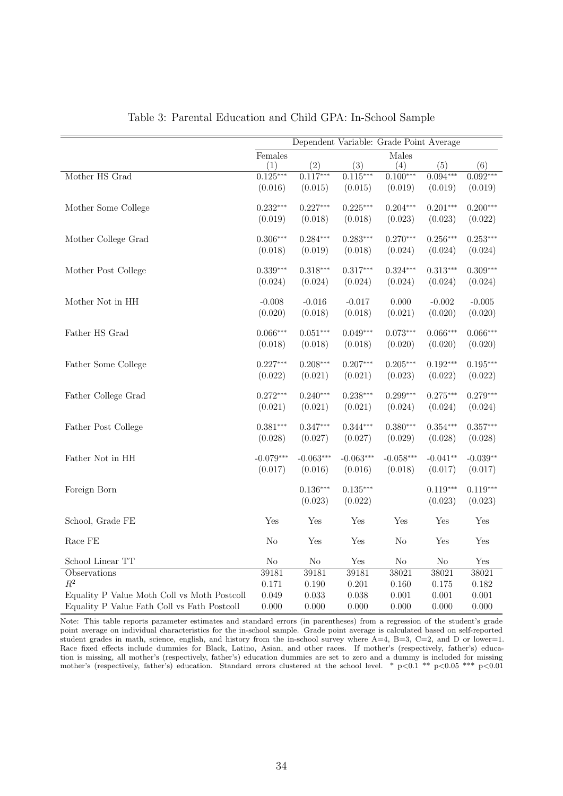|                                             |             | Dependent Variable: Grade Point Average |                      |                  |            |                      |
|---------------------------------------------|-------------|-----------------------------------------|----------------------|------------------|------------|----------------------|
|                                             | Females     |                                         |                      | Males            |            |                      |
|                                             | (1)         | (2)                                     | (3)                  | $\left(4\right)$ | (5)        | (6)                  |
| Mother HS Grad                              | $0.125***$  | $0.117***$                              | $0.115***$           | $0.100***$       | $0.094***$ | $0.092***$           |
|                                             | (0.016)     | (0.015)                                 | (0.015)              | (0.019)          | (0.019)    | (0.019)              |
| Mother Some College                         | $0.232***$  | $0.227***$                              | $0.225***$           | $0.204***$       | $0.201***$ | $0.200***$           |
|                                             | (0.019)     | (0.018)                                 | (0.018)              | (0.023)          | (0.023)    | (0.022)              |
| Mother College Grad                         | $0.306***$  | $0.284***$                              | $0.283***$           | $0.270***$       | $0.256***$ | $0.253***$           |
|                                             | (0.018)     | (0.019)                                 | (0.018)              | (0.024)          | (0.024)    | (0.024)              |
| Mother Post College                         | $0.339***$  | $0.318***$                              | $0.317***$           | $0.324***$       | $0.313***$ | $0.309***$           |
|                                             | (0.024)     | (0.024)                                 | (0.024)              | (0.024)          | (0.024)    | (0.024)              |
| Mother Not in HH                            | $-0.008$    | $-0.016$                                | $-0.017$             | 0.000            | $-0.002$   | $-0.005$             |
|                                             | (0.020)     | (0.018)                                 | (0.018)              | (0.021)          | (0.020)    | (0.020)              |
| Father HS Grad                              | $0.066***$  | $0.051***$                              | $0.049***$           | $0.073***$       | $0.066***$ | $0.066***$           |
|                                             | (0.018)     | (0.018)                                 | (0.018)              | (0.020)          | (0.020)    | (0.020)              |
| Father Some College                         | $0.227***$  | $0.208***$                              | $0.207***$           | $0.205***$       | $0.192***$ | $0.195***$           |
|                                             | (0.022)     | (0.021)                                 | (0.021)              | (0.023)          | (0.022)    | (0.022)              |
| Father College Grad                         | $0.272***$  | $0.240***$                              | $0.238***$           | $0.299***$       | $0.275***$ | $0.279***$           |
|                                             | (0.021)     | (0.021)                                 | (0.021)              | (0.024)          | (0.024)    | (0.024)              |
| Father Post College                         | $0.381***$  | $0.347***$                              | $0.344***$           | $0.380***$       | $0.354***$ | $0.357***$           |
|                                             | (0.028)     | (0.027)                                 | (0.027)              | (0.029)          | (0.028)    | (0.028)              |
| Father Not in HH                            | $-0.079***$ | $-0.063***$                             | $-0.063***$          | $-0.058***$      | $-0.041**$ | $-0.039**$           |
|                                             | (0.017)     | (0.016)                                 | (0.016)              | (0.018)          | (0.017)    | (0.017)              |
| Foreign Born                                |             | $0.136***$                              | $0.135***$           |                  | $0.119***$ | $0.119***$           |
|                                             |             | (0.023)                                 | (0.022)              |                  | (0.023)    | (0.023)              |
| School, Grade FE                            | Yes         | Yes                                     | Yes                  | Yes              | Yes        | Yes                  |
| Race FE                                     | $\rm No$    | Yes                                     | Yes                  | N <sub>o</sub>   | Yes        | Yes                  |
| School Linear TT                            | $\rm No$    | $\rm No$                                | $\operatorname{Yes}$ | No               | $\rm No$   | $\operatorname{Yes}$ |
| O <sub>best</sub> <sup>variance</sup>       | 39181       | 39181                                   | 39181                | 38021            | 38021      | 38021                |
| $R^2$                                       | 0.171       | 0.190                                   | 0.201                | 0.160            | 0.175      | 0.182                |
| Equality P Value Moth Coll vs Moth Postcoll | 0.049       | 0.033                                   | 0.038                | 0.001            | 0.001      | 0.001                |
| Equality P Value Fath Coll vs Fath Postcoll | 0.000       | 0.000                                   | 0.000                | 0.000            | 0.000      | 0.000                |

Table 3: Parental Education and Child GPA: In-School Sample

Note: This table reports parameter estimates and standard errors (in parentheses) from a regression of the student's grade point average on individual characteristics for the in-school sample. Grade point average is calculated based on self-reported student grades in math, science, english, and history from the in-school survey where  $A=4$ ,  $B=3$ ,  $C=2$ , and D or lower=1. Race fixed effects include dummies for Black, Latino, Asian, and other races. If mother's (respectively, father's) education is missing, all mother's (respectively, father's) education dummies are set to zero and a dummy is included for missing mother's (respectively, father's) education. Standard errors clustered at the school level. \* p<0.1 \*\* p<0.05 \*\*\* p<0.01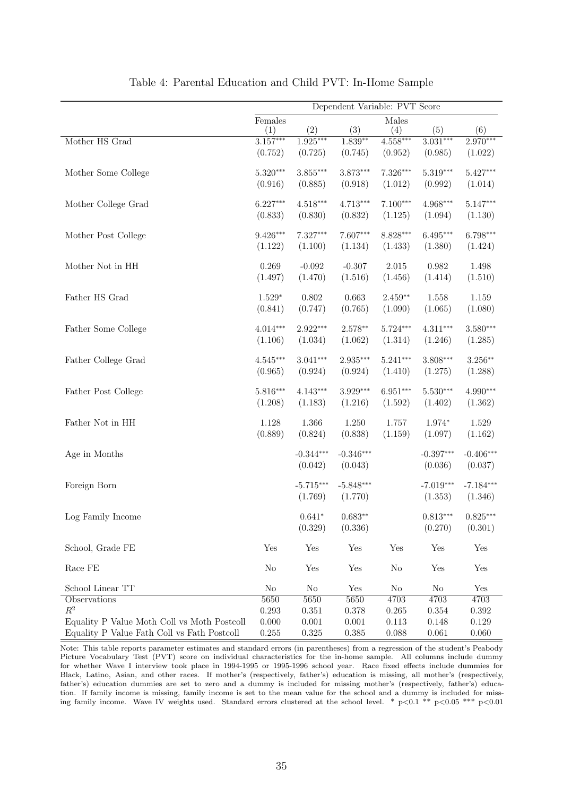|                                             | Dependent Variable: PVT Score |                |             |                |                |                        |  |  |  |
|---------------------------------------------|-------------------------------|----------------|-------------|----------------|----------------|------------------------|--|--|--|
|                                             | Females                       |                |             | Males          |                |                        |  |  |  |
|                                             | (1)                           | (2)            | (3)         | (4)            | (5)            | (6)                    |  |  |  |
| Mother HS Grad                              | $3.157***$                    | $1.925***$     | $1.839**$   | $4.558***$     | $3.031***$     | $2.970***$             |  |  |  |
|                                             | (0.752)                       | (0.725)        | (0.745)     | (0.952)        | (0.985)        | (1.022)                |  |  |  |
| Mother Some College                         | $5.320***$                    | $3.855***$     | $3.873***$  | $7.326***$     | 5.319***       | $5.427***$             |  |  |  |
|                                             | (0.916)                       | (0.885)        | (0.918)     | (1.012)        | (0.992)        | (1.014)                |  |  |  |
| Mother College Grad                         | $6.227***$                    | $4.518***$     | $4.713***$  | $7.100***$     | 4.968***       | $5.147***$             |  |  |  |
|                                             | (0.833)                       | (0.830)        | (0.832)     | (1.125)        | (1.094)        | (1.130)                |  |  |  |
| Mother Post College                         | $9.426***$                    | 7.327***       | 7.607***    | 8.828***       | $6.495***$     | 6.798***               |  |  |  |
|                                             | (1.122)                       | (1.100)        | (1.134)     | (1.433)        | (1.380)        | (1.424)                |  |  |  |
| Mother Not in HH                            | 0.269                         | $-0.092$       | $-0.307$    | $2.015\,$      | $\,0.982\,$    | 1.498                  |  |  |  |
|                                             | (1.497)                       | (1.470)        | (1.516)     | (1.456)        | (1.414)        | (1.510)                |  |  |  |
| Father HS Grad                              | $1.529*$                      | 0.802          | 0.663       | $2.459**$      | 1.558          | 1.159                  |  |  |  |
|                                             | (0.841)                       | (0.747)        | (0.765)     | (1.090)        | (1.065)        | (1.080)                |  |  |  |
| Father Some College                         | $4.014***$                    | 2.922***       | $2.578**$   | $5.724***$     | $4.311***$     | $3.580***$             |  |  |  |
|                                             | (1.106)                       | (1.034)        | (1.062)     | (1.314)        | (1.246)        | (1.285)                |  |  |  |
| Father College Grad                         | $4.545***$                    | $3.041***$     | 2.935***    | $5.241***$     | $3.808***$     | $3.256**$              |  |  |  |
|                                             | (0.965)                       | (0.924)        | (0.924)     | (1.410)        | (1.275)        | (1.288)                |  |  |  |
| Father Post College                         | $5.816***$                    | $4.143***$     | $3.929***$  | $6.951***$     | $5.530***$     | 4.990***               |  |  |  |
|                                             | (1.208)                       | (1.183)        | (1.216)     | (1.592)        | (1.402)        | (1.362)                |  |  |  |
| Father Not in HH                            | 1.128                         | 1.366          | 1.250       | 1.757          | $1.974*$       | 1.529                  |  |  |  |
|                                             | (0.889)                       | (0.824)        | (0.838)     | (1.159)        | (1.097)        | (1.162)                |  |  |  |
| Age in Months                               |                               | $-0.344***$    | $-0.346***$ |                | $-0.397***$    | $-0.406***$            |  |  |  |
|                                             |                               | (0.042)        | (0.043)     |                | (0.036)        | (0.037)                |  |  |  |
| Foreign Born                                |                               | $-5.715***$    | $-5.848***$ |                | $-7.019***$    | $-7.184***$            |  |  |  |
|                                             |                               | (1.769)        | (1.770)     |                | (1.353)        | (1.346)                |  |  |  |
| Log Family Income                           |                               | $0.641*$       | $0.683**$   |                | $0.813***$     | $0.825^{\ast\ast\ast}$ |  |  |  |
|                                             |                               | (0.329)        | (0.336)     |                | (0.270)        | (0.301)                |  |  |  |
| School, Grade FE                            | Yes                           | Yes            | Yes         | Yes            | Yes            | Yes                    |  |  |  |
| Race $FE$                                   | N <sub>o</sub>                | Yes            | Yes         | N <sub>o</sub> | Yes            | Yes                    |  |  |  |
| School Linear TT                            | $\rm No$                      | N <sub>o</sub> | Yes         | No             | N <sub>o</sub> | Yes                    |  |  |  |
| Observations                                | 5650                          | 5650           | 5650        | 4703           | 4703           | 4703                   |  |  |  |
| $\mathbb{R}^2$                              | $0.293\,$                     | 0.351          | 0.378       | 0.265          | $0.354\,$      | 0.392                  |  |  |  |
| Equality P Value Moth Coll vs Moth Postcoll | 0.000                         | 0.001          | 0.001       | 0.113          | 0.148          | 0.129                  |  |  |  |
| Equality P Value Fath Coll vs Fath Postcoll | 0.255                         | 0.325          | 0.385       | 0.088          | 0.061          | 0.060                  |  |  |  |

|  |  | Table 4: Parental Education and Child PVT: In-Home Sample |  |  |  |  |  |  |
|--|--|-----------------------------------------------------------|--|--|--|--|--|--|
|--|--|-----------------------------------------------------------|--|--|--|--|--|--|

Note: This table reports parameter estimates and standard errors (in parentheses) from a regression of the student's Peabody Picture Vocabulary Test (PVT) score on individual characteristics for the in-home sample. All columns include dummy for whether Wave I interview took place in 1994-1995 or 1995-1996 school year. Race fixed effects include dummies for Black, Latino, Asian, and other races. If mother's (respectively, father's) education is missing, all mother's (respectively, father's) education dummies are set to zero and a dummy is included for missing mother's (respectively, father's) education. If family income is missing, family income is set to the mean value for the school and a dummy is included for missing family income. Wave IV weights used. Standard errors clustered at the school level. \*  $p<0.1$  \*\*  $p<0.05$  \*\*\*  $p<0.01$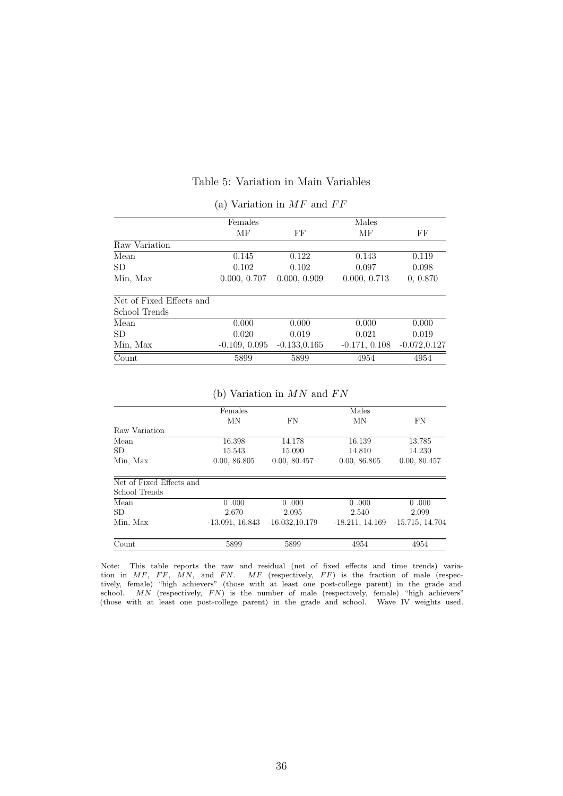|  | Table 5: Variation in Main Variables |  |  |
|--|--------------------------------------|--|--|
|--|--------------------------------------|--|--|

|                          | Females         |                 | Males           |                 |  |  |
|--------------------------|-----------------|-----------------|-----------------|-----------------|--|--|
|                          | MF              | FF              | МF              | FF              |  |  |
| Raw Variation            |                 |                 |                 |                 |  |  |
| Mean                     | 0.145           | 0.122           | 0.143           | 0.119           |  |  |
| SD.                      | 0.102           | 0.102           | 0.097           | 0.098           |  |  |
| Min, Max                 | 0.000, 0.707    | 0.000, 0.909    | 0.000, 0.713    | 0, 0.870        |  |  |
| Net of Fixed Effects and |                 |                 |                 |                 |  |  |
| School Trends            |                 |                 |                 |                 |  |  |
| Mean                     | 0.000           | 0.000           | 0.000           | 0.000           |  |  |
| SD.                      | 0.020           | 0.019           | 0.021           | 0.019           |  |  |
| Min, Max                 | $-0.109, 0.095$ | $-0.133, 0.165$ | $-0.171, 0.108$ | $-0.072, 0.127$ |  |  |
| Count                    | 5899            | 5899            | 4954            | 4954            |  |  |

### (a) Variation in  $MF$  and  $FF$

(b) Variation in  $MN$  and  $FN$ 

|                          | Females           |                   | Males             |                   |
|--------------------------|-------------------|-------------------|-------------------|-------------------|
|                          | MN                | FN                | MN                | FN                |
| Raw Variation            |                   |                   |                   |                   |
| Mean                     | 16.398            | 14.178            | 16.139            | 13.785            |
| SD.                      | 15.543            | 15.090            | 14.810            | 14.230            |
| Min, Max                 | 0.00, 86.805      | 0.00, 80.457      | 0.00, 86.805      | 0.00, 80.457      |
| Net of Fixed Effects and |                   |                   |                   |                   |
| School Trends            |                   |                   |                   |                   |
| Mean                     | 0.000             | 0.000             | 0.000             | 0.000             |
| <b>SD</b>                | 2.670             | 2.095             | 2.540             | 2.099             |
| Min, Max                 | $-13.091, 16.843$ | $-16.032, 10.179$ | $-18.211, 14.169$ | $-15.715, 14.704$ |
| Count                    | 5899              | 5899              | 4954              | 4954              |

Note: This table reports the raw and residual (net of fixed effects and time trends) variation in MF, FF, MN, and FN. MF (respectively, FF) is the fraction of male (respectively, female) "high achievers" (those with at least one post-college parent) in the grade and school.  $MN$  (respectively,  $FN$ ) is the number of male (respectively, female) "high achievers" (those with at least one post-college parent) in the grade and school. Wave IV weights used.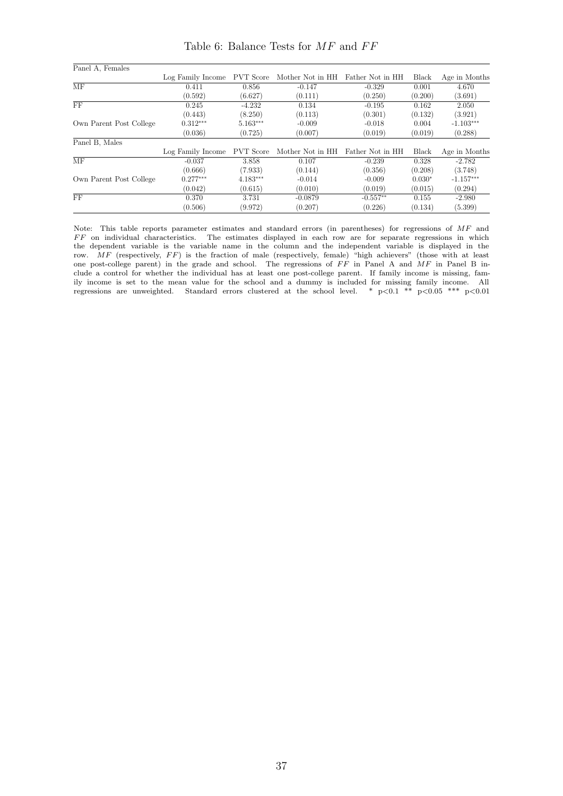Panel A, Females Log Family Income PVT Score Mother Not in HH Father Not in HH Black Age in Months MF 0.411 0.856 -0.147 -0.329 0.001 4.670  $(0.592)$   $(6.627)$   $(0.111)$   $(0.250)$   $(0.200)$   $(3.691)$ FF  $0.245$   $-4.232$   $0.134$   $-0.195$   $0.162$   $2.050$  $(0.443)$   $(8.250)$   $(0.113)$   $(0.301)$   $(0.132)$   $(3.921)$ Own Parent Post College  $(0.443)$   $(8.250)$   $(0.113)$   $(0.301)$   $(0.132)$   $(3.921)$ <br>  $-0.018$   $0.004$   $-1.103**$ <br>  $(0.036)$   $(0.725)$   $(0.007)$   $(0.019)$   $(0.019)$   $(0.288)$  $(0.036)$   $(0.725)$   $(0.007)$   $(0.019)$   $(0.019)$   $(0.288)$ Panel B, Males Log Family Income PVT Score Mother Not in HH Father Not in HH Black Age in Months  $\overline{\text{MF}}$  -0.037 3.858 0.107 -0.239 0.328 -2.782  $(0.666)$   $(7.933)$   $(0.144)$   $(0.356)$   $(0.208)$   $(3.748)$  $\text{Own Parent Post College} \begin{array}{c|cccc} \text{(0.666)} & \text{(7.933)} & \text{(0.144)} & \text{(0.356)} & \text{(0.208)} \\ \text{Own Parent Post College} & 0.277*** & 4.183*** & -0.014 & -0.009 & 0.030* \\ & & & & & & (0.042) & \text{(0.615)} & \text{(0.010)} & \text{(0.019)} & \text{(0.015)} \\ \end{array}$ -1.157∗∗∗  $(0.042)$   $(0.615)$   $(0.010)$   $(0.019)$   $(0.015)$   $(0.294)$  $\overline{FF}$  0.370 3.731 -0.0879 -0.557<sup>\*\*</sup> 0.155 -2.980  $(0.506)$   $(9.972)$   $(0.207)$   $(0.226)$   $(0.134)$   $(5.399)$ 

Table 6: Balance Tests for  $MF$  and  $FF$ 

Note: This table reports parameter estimates and standard errors (in parentheses) for regressions of MF and  $FF$  on individual characteristics. The estimates displayed in each row are for separate regressions in which the dependent variable is the variable name in the column and the independent variable is displayed in the row.  $MF$  (respectively,  $FF$ ) is the fraction of male (respectively, female) "high achievers" (those with at least one post-college parent) in the grade and school. The regressions of  $FF$  in Panel A and  $MF$  in Panel B include a control for whether the individual has at least one post-college parent. If family income is missing, family income is set to the mean value for the school and a dummy is included for missing family income. All regressions are unweighted. Standard errors clustered at the school level. \*  $p<0.1$  \*\*  $p<0.05$  \*\*\*  $p<0.01$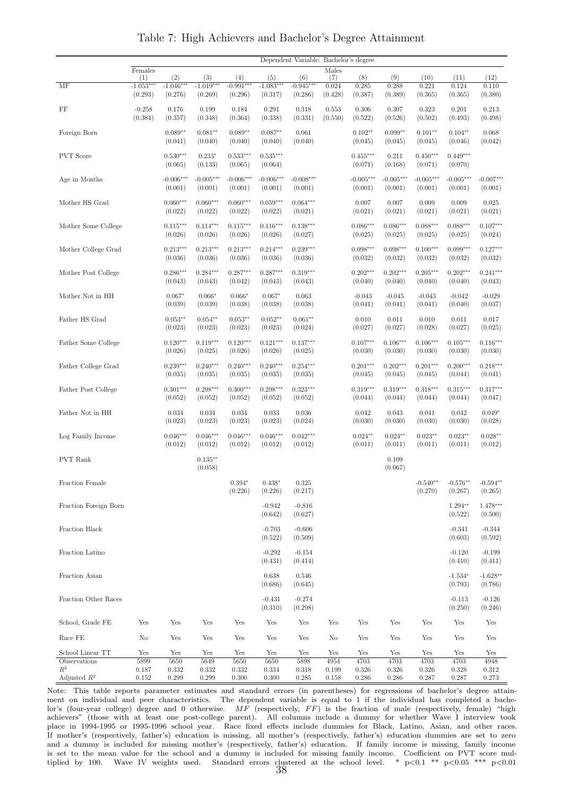|                         |                  |                       |                       |                       |                       | Dependent Variable: Bachelor's degree |         |                  |                  |                  |                  |                  |
|-------------------------|------------------|-----------------------|-----------------------|-----------------------|-----------------------|---------------------------------------|---------|------------------|------------------|------------------|------------------|------------------|
|                         | $\mbox{Females}$ |                       |                       |                       |                       |                                       | Males   |                  |                  |                  |                  |                  |
|                         | (1)              | (2)                   | (3)                   | (4)                   | (5)                   | (6)                                   | (7)     | (8)              | (9)              | (10)             | (11)             | (12)             |
| MF                      | $-1.053***$      | $-1.046***$           | $-1.019***$           | $-0.991***$           | $-1.083***$           | $-0.945***$                           | 0.024   | 0.285            | 0.288            | 0.221            | 0.124            | 0.110            |
|                         | (0.293)          | (0.276)               | (0.269)               | (0.296)               | (0.317)               | (0.286)                               | (0.428) | (0.387)          | (0.389)          | (0.365)          | (0.365)          | (0.380)          |
| FF                      | $-0.258$         | 0.176                 | 0.199                 | 0.184                 | 0.291                 | 0.318                                 | 0.553   | 0.306            | 0.307            | 0.323            | 0.201            | 0.213            |
|                         | (0.384)          | (0.357)               | (0.348)               | (0.364)               | (0.338)               | (0.331)                               | (0.550) | (0.522)          | (0.526)          | (0.502)          | (0.493)          | (0.498)          |
| Foreign Born            |                  | $0.089**$             | $0.081**$             | $0.089**$             | $0.087**$             | 0.061                                 |         | $0.102**$        | $0.099**$        | $0.101**$        | $0.104**$        | 0.068            |
|                         |                  | (0.041)               | (0.040)               | (0.040)               | (0.040)               | (0.040)                               |         | (0.045)          | (0.045)          | (0.045)          | (0.046)          | (0.042)          |
|                         |                  |                       |                       |                       |                       |                                       |         |                  |                  |                  |                  |                  |
| <b>PVT</b> Score        |                  | $0.530***$            | $0.233*$              | $0.533***$            | $0.535***$            |                                       |         | $0.455***$       | 0.211            | $0.450***$       | $0.449***$       |                  |
|                         |                  | (0.065)               | (0.133)               | (0.065)               | (0.064)               |                                       |         | (0.071)          | (0.168)          | (0.071)          | (0.070)          |                  |
| Age in Months           |                  | $-0.006***$           | $-0.005***$           | $-0.006***$           | $-0.006***$           | $-0.008***$                           |         | $-0.005***$      | $-0.005***$      | $-0.005***$      | $-0.005***$      | $-0.007***$      |
|                         |                  | (0.001)               | (0.001)               | (0.001)               | (0.001)               | (0.001)                               |         | (0.001)          | (0.001)          | (0.001)          | (0.001)          | (0.001)          |
|                         |                  |                       |                       |                       |                       |                                       |         |                  |                  |                  |                  |                  |
| Mother HS Grad          |                  | $0.060***$<br>(0.022) | $0.060***$<br>(0.022) | $0.060***$<br>(0.022) | $0.059***$<br>(0.022) | $0.064***$<br>(0.021)                 |         | 0.007<br>(0.021) | 0.007<br>(0.021) | 0.009<br>(0.021) | 0.009<br>(0.021) | 0.025<br>(0.021) |
|                         |                  |                       |                       |                       |                       |                                       |         |                  |                  |                  |                  |                  |
| Mother Some College     |                  | $0.115***$            | $0.114***$            | $0.115***$            | $0.116***$            | $0.138***$                            |         | $0.086***$       | $0.086***$       | $0.088***$       | $0.088***$       | $0.107***$       |
|                         |                  | (0.026)               | (0.026)               | (0.026)               | (0.026)               | (0.027)                               |         | (0.025)          | (0.025)          | (0.025)          | (0.025)          | (0.024)          |
| Mother College Grad     |                  | $0.213***$            | $0.213***$            | $0.213***$            | $0.214***$            | $0.239***$                            |         | $0.098***$       | $0.098***$       | $0.100***$       | $0.099***$       | $0.127***$       |
|                         |                  | (0.036)               | (0.036)               | (0.036)               | (0.036)               | (0.036)                               |         | (0.032)          | (0.032)          | (0.032)          | (0.032)          | (0.032)          |
|                         |                  |                       |                       |                       |                       |                                       |         |                  |                  |                  |                  |                  |
| Mother Post College     |                  | $0.286***$            | $0.284***$            | $0.287***$            | $0.287***$            | $0.319***$                            |         | $0.202***$       | $0.202***$       | $0.205***$       | $0.202***$       | $0.241***$       |
|                         |                  | (0.043)               | (0.043)               | (0.042)               | (0.043)               | (0.043)                               |         | (0.040)          | (0.040)          | (0.040)          | (0.040)          | (0.043)          |
| Mother Not in HH        |                  | $0.067*$              | $0.066*$              | $0.066*$              | $0.067*$              | 0.063                                 |         | $-0.043$         | $-0.045$         | $-0.043$         | $-0.042$         | $-0.029$         |
|                         |                  | (0.039)               | (0.039)               | (0.038)               | (0.038)               | (0.038)                               |         | (0.041)          | (0.041)          | (0.041)          | (0.040)          | (0.037)          |
| Father HS Grad          |                  | $0.053**$             | $0.054**$             | $0.053**$             | $0.052**$             | $0.061**$                             |         | 0.010            | 0.011            | 0.010            | 0.011            | 0.017            |
|                         |                  | (0.023)               | (0.023)               | (0.023)               | (0.023)               | (0.024)                               |         | (0.027)          | (0.027)          | (0.028)          | (0.027)          | (0.025)          |
|                         |                  |                       |                       |                       |                       |                                       |         |                  |                  |                  |                  |                  |
| Father Some College     |                  | $0.120***$            | $0.119***$            | $0.120***$            | $0.121***$            | $0.137***$                            |         | $0.107***$       | $0.106***$       | $0.106***$       | $0.105***$       | $0.116***$       |
|                         |                  | (0.026)               | (0.025)               | (0.026)               | (0.026)               | (0.025)                               |         | (0.030)          | (0.030)          | (0.030)          | (0.030)          | (0.030)          |
| Father College Grad     |                  | $0.239***$            | $0.240***$            | $0.240***$            | $0.240***$            | $0.254***$                            |         | $0.201***$       | $0.202***$       | $0.201***$       | $0.200***$       | $0.218***$       |
|                         |                  | (0.035)               | (0.035)               | (0.035)               | (0.035)               | (0.035)                               |         | (0.045)          | (0.045)          | (0.045)          | (0.044)          | (0.041)          |
|                         |                  |                       |                       |                       |                       |                                       |         |                  |                  |                  |                  |                  |
| Father Post College     |                  | $0.301***$            | $0.298***$            | $0.300***$            | $0.298***$            | $0.323***$                            |         | $0.319***$       | $0.319***$       | $0.318***$       | $0.315***$       | $0.317***$       |
|                         |                  | (0.052)               | (0.052)               | (0.052)               | (0.052)               | (0.052)                               |         | (0.044)          | (0.044)          | (0.044)          | (0.044)          | (0.047)          |
| Father Not in HH        |                  | 0.034                 | 0.034                 | 0.034                 | 0.033                 | 0.036                                 |         | 0.042            | 0.043            | 0.041            | 0.042            | $0.049*$         |
|                         |                  | (0.023)               | (0.023)               | (0.023)               | (0.023)               | (0.024)                               |         | (0.030)          | (0.030)          | (0.030)          | (0.030)          | (0.028)          |
| Log Family Income       |                  | $0.046***$            | $0.046***$            | $0.046***$            | $0.046***$            | $0.042***$                            |         | $0.024**$        | $0.024**$        | $0.023**$        | $0.023**$        | $0.028**$        |
|                         |                  | (0.012)               | (0.012)               | (0.012)               | (0.012)               | (0.012)                               |         | (0.011)          | (0.011)          | (0.011)          | (0.011)          | (0.012)          |
|                         |                  |                       |                       |                       |                       |                                       |         |                  |                  |                  |                  |                  |
| <b>PVT</b> Rank         |                  |                       | $0.135***$            |                       |                       |                                       |         |                  | 0.109            |                  |                  |                  |
|                         |                  |                       | (0.058)               |                       |                       |                                       |         |                  | (0.067)          |                  |                  |                  |
| Fraction Female         |                  |                       |                       | $0.394*$              | $0.438*$              | 0.325                                 |         |                  |                  | $-0.540**$       | $-0.576**$       | $-0.594**$       |
|                         |                  |                       |                       | (0.226)               | (0.226)               | (0.217)                               |         |                  |                  | (0.270)          | (0.267)          | (0.265)          |
| Fraction Foreign Born   |                  |                       |                       |                       | $-0.942$              | $-0.816$                              |         |                  |                  |                  | $1.294**$        | 1.478***         |
|                         |                  |                       |                       |                       | (0.642)               | (0.627)                               |         |                  |                  |                  | (0.522)          | (0.500)          |
|                         |                  |                       |                       |                       |                       |                                       |         |                  |                  |                  |                  |                  |
| Fraction Black          |                  |                       |                       |                       | $-0.703$              | $-0.606$                              |         |                  |                  |                  | $-0.341$         | $-0.344$         |
|                         |                  |                       |                       |                       | (0.522)               | (0.509)                               |         |                  |                  |                  | (0.603)          | (0.592)          |
| Fraction Latino         |                  |                       |                       |                       | $-0.292$              | $-0.154$                              |         |                  |                  |                  | $-0.120$         | $-0.199$         |
|                         |                  |                       |                       |                       | (0.431)               | (0.414)                               |         |                  |                  |                  | (0.410)          | (0.411)          |
|                         |                  |                       |                       |                       |                       |                                       |         |                  |                  |                  |                  |                  |
| Fraction Asian          |                  |                       |                       |                       | 0.638                 | 0.546                                 |         |                  |                  |                  | $-1.534*$        | $-1.628**$       |
|                         |                  |                       |                       |                       | (0.686)               | (0.645)                               |         |                  |                  |                  | (0.793)          | (0.786)          |
| Fraction Other Races    |                  |                       |                       |                       | $-0.431$              | $-0.274$                              |         |                  |                  |                  | $-0.113$         | $-0.126$         |
|                         |                  |                       |                       |                       | (0.310)               | (0.298)                               |         |                  |                  |                  | (0.250)          | (0.246)          |
| School, Grade FE        | Yes              | Yes                   | Yes                   | Yes                   | Yes                   | Yes                                   | Yes     | Yes              | Yes              | Yes              | Yes              | Yes              |
|                         |                  |                       |                       |                       |                       |                                       |         |                  |                  |                  |                  |                  |
| Race FE                 | No               | Yes                   | Yes                   | Yes                   | Yes                   | Yes                                   | No      | Yes              | Yes              | Yes              | Yes              | Yes              |
| School Linear TT        | Yes              | Yes                   | Yes                   | Yes                   | Yes                   | Yes                                   | Yes     | Yes              | Yes              | Yes              | Yes              | Yes              |
| Observations            | 5899             | 5650                  | 5649                  | 5650                  | 5650                  | 5898                                  | 4954    | 4703             | 4703             | 4703             | 4703             | 4948             |
| $R^2$                   | 0.187            | 0.332                 | 0.332                 | 0.332                 | 0.334                 | 0.318                                 | 0.199   | 0.326            | 0.326            | 0.326            | 0.328            | 0.312            |
| Adjusted $\mathbb{R}^2$ | 0.152            | 0.299                 | 0.299                 | 0.300                 | 0.300                 | 0.285                                 | 0.158   | 0.286            | 0.286            | 0.287            | 0.287            | 0.273            |

Table 7: High Achievers and Bachelor's Degree Attainment

Note: This table reports parameter estimates and standard errors (in parentheses) for regressions of bachelor's degree attainment on individual and peer characteristics. The dependent variable is equal to 1 if the individual has completed a bachelor's (four-year college) degree and 0 otherwise.  $MF$  (respectively,  $FF$ ) is the fraction of male (respectively, female) "high achievers" (those with at least one post-college parent). All columns include a dummy for whether Wave I interview took place in 1994-1995 or 1995-1996 school year. Race fixed effects include dummies for Black, Latino, Asian, and other races. If mother's (respectively, father's) education is missing, all mother's (respectively, father's) education dummies are set to zero and a dummy is included for missing mother's (respectively, father's) education. If family income is missing, family income is set to the mean value for the school and a dummy is included for missing family income. Coefficient on PVT score multiplied by 100. Wave IV weights used. Standard errors clustered at the school level. \*  $p<0.1$  \*\*  $p<0.05$  \*\*\*  $p<0.01$ <br>38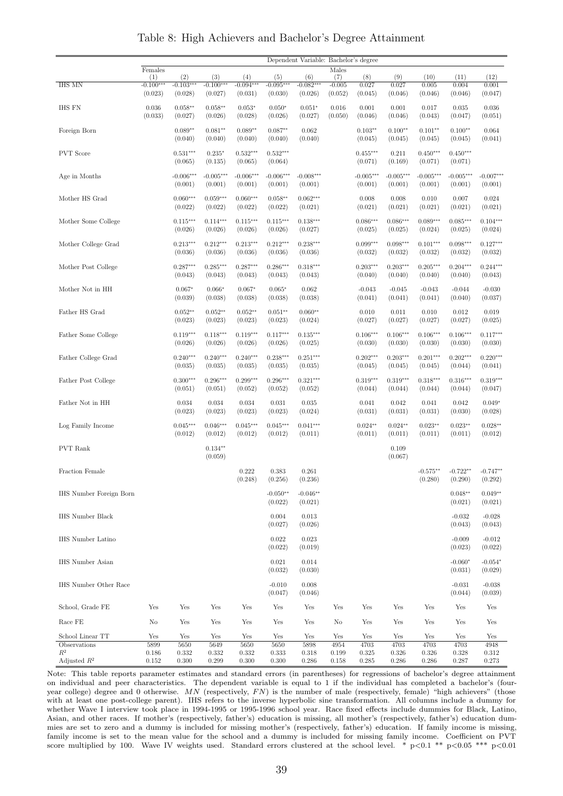|                         | Dependent Variable: Bachelor's degree |                        |                        |                        |                        |                        |                     |                        |                        |                        |                        |                        |
|-------------------------|---------------------------------------|------------------------|------------------------|------------------------|------------------------|------------------------|---------------------|------------------------|------------------------|------------------------|------------------------|------------------------|
|                         | Females<br>(1)                        | (2)                    | (3)                    | (4)                    | (5)                    | (6)                    | Males<br>(7)        | (8)                    | (9)                    | (10)                   | (11)                   | (12)                   |
| <b>IHS MN</b>           | $-0.100***$<br>(0.023)                | $-0.103***$<br>(0.028) | $-0.100***$<br>(0.027) | $-0.094***$<br>(0.031) | $-0.095***$<br>(0.030) | $-0.082***$<br>(0.026) | $-0.005$<br>(0.052) | 0.027<br>(0.045)       | 0.027<br>(0.046)       | 0.005<br>(0.046)       | 0.004<br>(0.046)       | 0.001<br>(0.047)       |
| IHS FN                  | 0.036<br>(0.033)                      | $0.058**$<br>(0.027)   | $0.058**$<br>(0.026)   | $0.053*$<br>(0.028)    | $0.050*$<br>(0.026)    | $0.051*$<br>(0.027)    | 0.016<br>(0.050)    | 0.001<br>(0.046)       | 0.001<br>(0.046)       | 0.017<br>(0.043)       | 0.035<br>(0.047)       | 0.036<br>(0.051)       |
| Foreign Born            |                                       | $0.089**$<br>(0.040)   | $0.081**$<br>(0.040)   | $0.089**$<br>(0.040)   | $0.087**$<br>(0.040)   | 0.062<br>(0.040)       |                     | $0.103**$<br>(0.045)   | $0.100**$<br>(0.045)   | $0.101**$<br>(0.045)   | $0.100**$<br>(0.045)   | 0.064<br>(0.041)       |
| <b>PVT</b> Score        |                                       | $0.531***$<br>(0.065)  | $0.235*$<br>(0.135)    | $0.532***$<br>(0.065)  | $0.532***$<br>(0.064)  |                        |                     | $0.455***$<br>(0.071)  | 0.211<br>(0.169)       | $0.450***$<br>(0.071)  | $0.450***$<br>(0.071)  |                        |
| Age in Months           |                                       | $-0.006***$<br>(0.001) | $-0.005***$<br>(0.001) | $-0.006***$<br>(0.001) | $-0.006***$<br>(0.001) | $-0.008***$<br>(0.001) |                     | $-0.005***$<br>(0.001) | $-0.005***$<br>(0.001) | $-0.005***$<br>(0.001) | $-0.005***$<br>(0.001) | $-0.007***$<br>(0.001) |
| Mother HS Grad          |                                       | $0.060***$<br>(0.022)  | $0.059***$<br>(0.022)  | $0.060***$<br>(0.022)  | $0.058**$<br>(0.022)   | $0.062***$<br>(0.021)  |                     | 0.008<br>(0.021)       | 0.008<br>(0.021)       | 0.010<br>(0.021)       | 0.007<br>(0.021)       | 0.024<br>(0.021)       |
| Mother Some College     |                                       | $0.115***$<br>(0.026)  | $0.114***$<br>(0.026)  | $0.115***$<br>(0.026)  | $0.115***$<br>(0.026)  | $0.138***$<br>(0.027)  |                     | $0.086***$<br>(0.025)  | $0.086***$<br>(0.025)  | $0.089***$<br>(0.024)  | $0.085***$<br>(0.025)  | $0.104***$<br>(0.024)  |
| Mother College Grad     |                                       | $0.213***$<br>(0.036)  | $0.212***$<br>(0.036)  | $0.213***$<br>(0.036)  | $0.212***$<br>(0.036)  | $0.238***$<br>(0.036)  |                     | $0.099***$<br>(0.032)  | $0.098***$<br>(0.032)  | $0.101***$<br>(0.032)  | $0.098***$<br>(0.032)  | $0.127***$<br>(0.032)  |
| Mother Post College     |                                       | $0.287***$<br>(0.043)  | $0.285***$<br>(0.043)  | $0.287***$<br>(0.043)  | $0.286***$<br>(0.043)  | $0.318***$<br>(0.043)  |                     | $0.203***$<br>(0.040)  | $0.203***$<br>(0.040)  | $0.205***$<br>(0.040)  | $0.204***$<br>(0.040)  | $0.244***$<br>(0.043)  |
| Mother Not in HH        |                                       | $0.067*$<br>(0.039)    | $0.066*$<br>(0.038)    | $0.067*$<br>(0.038)    | $0.065*$<br>(0.038)    | 0.062<br>(0.038)       |                     | $-0.043$<br>(0.041)    | $-0.045$<br>(0.041)    | $-0.043$<br>(0.041)    | $-0.044$<br>(0.040)    | $-0.030$<br>(0.037)    |
| Father HS Grad          |                                       | $0.052**$<br>(0.023)   | $0.052**$<br>(0.023)   | $0.052**$<br>(0.023)   | $0.051**$<br>(0.023)   | $0.060**$<br>(0.024)   |                     | 0.010<br>(0.027)       | 0.011<br>(0.027)       | 0.010<br>(0.027)       | 0.012<br>(0.027)       | 0.019<br>(0.025)       |
| Father Some College     |                                       | $0.119***$<br>(0.026)  | $0.118***$<br>(0.026)  | $0.119***$<br>(0.026)  | $0.117***$<br>(0.026)  | $0.135***$<br>(0.025)  |                     | $0.106***$<br>(0.030)  | $0.106***$<br>(0.030)  | $0.106***$<br>(0.030)  | $0.106***$<br>(0.030)  | $0.117***$<br>(0.030)  |
| Father College Grad     |                                       | $0.240***$<br>(0.035)  | $0.240***$<br>(0.035)  | $0.240***$<br>(0.035)  | $0.238***$<br>(0.035)  | $0.251***$<br>(0.035)  |                     | $0.202***$<br>(0.045)  | $0.203***$<br>(0.045)  | $0.201***$<br>(0.045)  | $0.202***$<br>(0.044)  | $0.220***$<br>(0.041)  |
| Father Post College     |                                       | $0.300***$<br>(0.051)  | $0.296***$<br>(0.051)  | $0.299***$<br>(0.052)  | $0.296***$<br>(0.052)  | $0.321***$<br>(0.052)  |                     | $0.319***$<br>(0.044)  | $0.319***$<br>(0.044)  | $0.318***$<br>(0.044)  | $0.316***$<br>(0.044)  | $0.319***$<br>(0.047)  |
| Father Not in HH        |                                       | 0.034<br>(0.023)       | 0.034<br>(0.023)       | 0.034<br>(0.023)       | 0.031<br>(0.023)       | 0.035<br>(0.024)       |                     | 0.041<br>(0.031)       | 0.042<br>(0.031)       | 0.041<br>(0.031)       | 0.042<br>(0.030)       | $0.049*$<br>(0.028)    |
| Log Family Income       |                                       | $0.045***$<br>(0.012)  | $0.046***$<br>(0.012)  | $0.045***$<br>(0.012)  | $0.045***$<br>(0.012)  | $0.041***$<br>(0.011)  |                     | $0.024**$<br>(0.011)   | $0.024**$<br>(0.011)   | $0.023**$<br>(0.011)   | $0.023**$<br>(0.011)   | $0.028**$<br>(0.012)   |
| <b>PVT</b> Rank         |                                       |                        | $0.134**$<br>(0.059)   |                        |                        |                        |                     |                        | 0.109<br>(0.067)       |                        |                        |                        |
| Fraction Female         |                                       |                        |                        | 0.222<br>(0.248)       | 0.383<br>(0.256)       | 0.261<br>(0.236)       |                     |                        |                        | $-0.575**$<br>(0.280)  | $-0.722**$<br>(0.290)  | $-0.747**$<br>(0.292)  |
| IHS Number Foreign Born |                                       |                        |                        |                        | $-0.050**$<br>(0.022)  | $-0.046**$<br>(0.021)  |                     |                        |                        |                        | $0.048**$<br>(0.021)   | $0.049**$<br>(0.021)   |
| <b>IHS Number Black</b> |                                       |                        |                        |                        | 0.004<br>(0.027)       | 0.013<br>(0.026)       |                     |                        |                        |                        | $-0.032$<br>(0.043)    | $-0.028$<br>(0.043)    |
| IHS Number Latino       |                                       |                        |                        |                        | 0.022<br>(0.022)       | 0.023<br>(0.019)       |                     |                        |                        |                        | $-0.009$<br>(0.023)    | $-0.012$<br>(0.022)    |
| IHS Number Asian        |                                       |                        |                        |                        | 0.021<br>(0.032)       | 0.014<br>(0.030)       |                     |                        |                        |                        | $-0.060*$<br>(0.031)   | $-0.054*$<br>(0.029)   |
| IHS Number Other Race   |                                       |                        |                        |                        | $-0.010$<br>(0.047)    | 0.008<br>(0.046)       |                     |                        |                        |                        | $-0.031$<br>(0.044)    | $-0.038$<br>(0.039)    |
| School, Grade FE        | Yes                                   | Yes                    | Yes                    | Yes                    | Yes                    | Yes                    | Yes                 | Yes                    | Yes                    | Yes                    | Yes                    | Yes                    |
| Race FE                 | No                                    | Yes                    | Yes                    | Yes                    | Yes                    | Yes                    | No                  | Yes                    | Yes                    | Yes                    | Yes                    | Yes                    |
| School Linear TT        | Yes                                   | Yes                    | Yes                    | Yes                    | Yes                    | Yes                    | Yes                 | Yes                    | Yes                    | Yes                    | Yes                    | Yes                    |
| Observations<br>$\,R^2$ | 5899<br>0.186                         | 5650<br>0.332          | 5649<br>0.332          | 5650<br>0.332          | 5650<br>0.333          | 5898<br>0.318          | 4954<br>0.199       | 4703<br>0.325          | 4703<br>0.326          | 4703<br>0.326          | 4703<br>0.328          | 4948<br>0.312          |
| Adjusted $R^2$          | 0.152                                 | 0.300                  | 0.299                  | 0.300                  | 0.300                  | 0.286                  | 0.158               | 0.285                  | 0.286                  | 0.286                  | 0.287                  | 0.273                  |

Table 8: High Achievers and Bachelor's Degree Attainment

Note: This table reports parameter estimates and standard errors (in parentheses) for regressions of bachelor's degree attainment on individual and peer characteristics. The dependent variable is equal to 1 if the individual has completed a bachelor's (fouryear college) degree and 0 otherwise.  $MN$  (respectively,  $FN$ ) is the number of male (respectively, female) "high achievers" (those with at least one post-college parent). IHS refers to the inverse hyperbolic sine transformation. All columns include a dummy for whether Wave I interview took place in 1994-1995 or 1995-1996 school year. Race fixed effects include dummies for Black, Latino, Asian, and other races. If mother's (respectively, father's) education is missing, all mother's (respectively, father's) education dummies are set to zero and a dummy is included for missing mother's (respectively, father's) education. If family income is missing, family income is set to the mean value for the school and a dummy is included for missing family income. Coefficient on PVT score multiplied by 100. Wave IV weights used. Standard errors clustered at the school level. \*  $p < 0.1$  \*\*  $p < 0.05$  \*\*\*  $p < 0.01$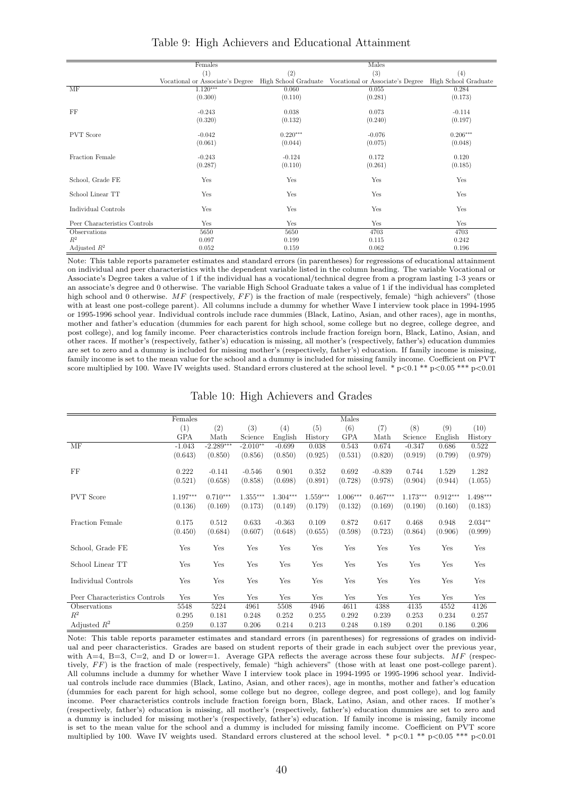|                               | Females    |            | Males                                                                                                       |            |
|-------------------------------|------------|------------|-------------------------------------------------------------------------------------------------------------|------------|
|                               | (1)        | (2)        | (3)                                                                                                         | (4)        |
|                               |            |            | Vocational or Associate's Degree High School Graduate Vocational or Associate's Degree High School Graduate |            |
| MF                            | $1.120***$ | 0.060      | 0.055                                                                                                       | 0.284      |
|                               | (0.300)    | (0.110)    | (0.281)                                                                                                     | (0.173)    |
| FF                            | $-0.243$   | 0.038      | 0.073                                                                                                       | $-0.114$   |
|                               | (0.320)    | (0.132)    | (0.240)                                                                                                     | (0.197)    |
|                               |            |            |                                                                                                             |            |
| <b>PVT</b> Score              | $-0.042$   | $0.220***$ | $-0.076$                                                                                                    | $0.206***$ |
|                               | (0.061)    | (0.044)    | (0.075)                                                                                                     | (0.048)    |
| Fraction Female               | $-0.243$   | $-0.124$   | 0.172                                                                                                       | 0.120      |
|                               | (0.287)    | (0.110)    | (0.261)                                                                                                     | (0.185)    |
|                               |            |            |                                                                                                             |            |
| School, Grade FE              | Yes        | Yes        | Yes                                                                                                         | Yes        |
|                               |            |            |                                                                                                             |            |
| School Linear TT              | Yes        | Yes        | Yes                                                                                                         | Yes        |
| Individual Controls           | Yes        | Yes        | Yes                                                                                                         | Yes        |
|                               |            |            |                                                                                                             |            |
| Peer Characteristics Controls | Yes        | Yes        | Yes                                                                                                         | Yes        |
| Observations                  | 5650       | 5650       | 4703                                                                                                        | 4703       |
| $R^2$                         | 0.097      | 0.199      | 0.115                                                                                                       | 0.242      |
| Adjusted $R^2$                | 0.052      | 0.159      | 0.062                                                                                                       | 0.196      |

Table 9: High Achievers and Educational Attainment

Note: This table reports parameter estimates and standard errors (in parentheses) for regressions of educational attainment on individual and peer characteristics with the dependent variable listed in the column heading. The variable Vocational or Associate's Degree takes a value of 1 if the individual has a vocational/technical degree from a program lasting 1-3 years or an associate's degree and 0 otherwise. The variable High School Graduate takes a value of 1 if the individual has completed high school and 0 otherwise. MF (respectively,  $FF$ ) is the fraction of male (respectively, female) "high achievers" (those with at least one post-college parent). All columns include a dummy for whether Wave I interview took place in 1994-1995 or 1995-1996 school year. Individual controls include race dummies (Black, Latino, Asian, and other races), age in months, mother and father's education (dummies for each parent for high school, some college but no degree, college degree, and post college), and log family income. Peer characteristics controls include fraction foreign born, Black, Latino, Asian, and other races. If mother's (respectively, father's) education is missing, all mother's (respectively, father's) education dummies are set to zero and a dummy is included for missing mother's (respectively, father's) education. If family income is missing, family income is set to the mean value for the school and a dummy is included for missing family income. Coefficient on PVT score multiplied by 100. Wave IV weights used. Standard errors clustered at the school level. \*  $p < 0.1$  \*\*  $p < 0.05$  \*\*\*  $p < 0.01$ 

|  |  |  | Table 10: High Achievers and Grades |  |  |
|--|--|--|-------------------------------------|--|--|
|--|--|--|-------------------------------------|--|--|

|                               | Females    |             |            |            |            | Males      |            |            |            |            |
|-------------------------------|------------|-------------|------------|------------|------------|------------|------------|------------|------------|------------|
|                               | (1)        | (2)         | (3)        | (4)        | (5)        | (6)        | (7)        | (8)        | (9)        | (10)       |
|                               | <b>GPA</b> | Math        | Science    | English    | History    | <b>GPA</b> | Math       | Science    | English    | History    |
| MF                            | $-1.043$   | $-2.289***$ | $-2.010**$ | $-0.699$   | 0.038      | 0.543      | 0.674      | $-0.347$   | 0.686      | 0.522      |
|                               | (0.643)    | (0.850)     | (0.856)    | (0.850)    | (0.925)    | (0.531)    | (0.820)    | (0.919)    | (0.799)    | (0.979)    |
|                               |            |             |            |            |            |            |            |            |            |            |
| FF                            | 0.222      | $-0.141$    | $-0.546$   | 0.901      | 0.352      | 0.692      | $-0.839$   | 0.744      | 1.529      | 1.282      |
|                               | (0.521)    | (0.658)     | (0.858)    | (0.698)    | (0.891)    | (0.728)    | (0.978)    | (0.904)    | (0.944)    | (1.055)    |
|                               |            |             |            |            |            |            |            |            |            |            |
| <b>PVT</b> Score              | 1.197***   | $0.710***$  | $1.355***$ | $1.304***$ | $1.559***$ | $1.006***$ | $0.467***$ | $1.173***$ | $0.912***$ | $1.498***$ |
|                               | (0.136)    | (0.169)     | (0.173)    | (0.149)    | (0.179)    | (0.132)    | (0.169)    | (0.190)    | (0.160)    | (0.183)    |
| Fraction Female               | 0.175      | 0.512       | 0.633      | $-0.363$   |            | 0.872      | 0.617      |            |            | $2.034**$  |
|                               |            |             |            |            | 0.109      |            |            | 0.468      | 0.948      |            |
|                               | (0.450)    | (0.684)     | (0.607)    | (0.648)    | (0.655)    | (0.598)    | (0.723)    | (0.864)    | (0.906)    | (0.999)    |
| School, Grade FE              | Yes        | Yes         | Yes        | Yes        | Yes        | Yes        | Yes        | Yes        | Yes        | Yes        |
|                               |            |             |            |            |            |            |            |            |            |            |
| School Linear TT              | Yes        | Yes         | Yes        | Yes        | Yes        | Yes        | Yes        | Yes        | Yes        | Yes        |
|                               |            |             |            |            |            |            |            |            |            |            |
| Individual Controls           | Yes        | Yes         | Yes        | Yes        | Yes        | Yes        | Yes        | Yes        | Yes        | Yes        |
|                               |            |             |            |            |            |            |            |            |            |            |
| Peer Characteristics Controls | Yes        | Yes         | Yes        | Yes        | Yes        | Yes        | Yes        | Yes        | Yes        | Yes        |
| Observations                  | 5548       | 5224        | 4961       | 5508       | 4946       | 4611       | 4388       | 4135       | 4552       | 4126       |
| $R^2$                         | 0.295      | 0.181       | 0.248      | 0.252      | 0.255      | 0.292      | 0.239      | 0.253      | 0.234      | 0.257      |
| Adjusted $R^2$                | 0.259      | 0.137       | 0.206      | 0.214      | 0.213      | 0.248      | 0.189      | 0.201      | 0.186      | 0.206      |

Note: This table reports parameter estimates and standard errors (in parentheses) for regressions of grades on individual and peer characteristics. Grades are based on student reports of their grade in each subject over the previous year, with  $A=4$ ,  $B=3$ ,  $C=2$ , and D or lower=1. Average GPA reflects the average across these four subjects. MF (respectively, FF) is the fraction of male (respectively, female) "high achievers" (those with at least one post-college parent). All columns include a dummy for whether Wave I interview took place in 1994-1995 or 1995-1996 school year. Individual controls include race dummies (Black, Latino, Asian, and other races), age in months, mother and father's education (dummies for each parent for high school, some college but no degree, college degree, and post college), and log family income. Peer characteristics controls include fraction foreign born, Black, Latino, Asian, and other races. If mother's (respectively, father's) education is missing, all mother's (respectively, father's) education dummies are set to zero and a dummy is included for missing mother's (respectively, father's) education. If family income is missing, family income is set to the mean value for the school and a dummy is included for missing family income. Coefficient on PVT score multiplied by 100. Wave IV weights used. Standard errors clustered at the school level. \*  $p<0.1$  \*\*  $p<0.05$  \*\*\*  $p<0.01$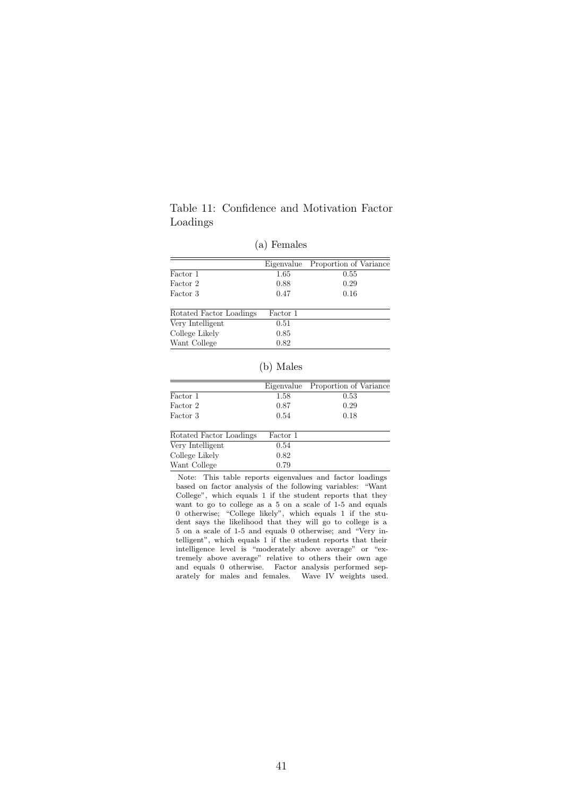## Table 11: Confidence and Motivation Factor Loadings

| Eigenvalue | Proportion of Variance |
|------------|------------------------|
| 1.65       | 0.55                   |
| 0.88       | 0.29                   |
| 0.47       | 0.16                   |
| Factor 1   |                        |
| 0.51       |                        |
| 0.85       |                        |
| 0.82       |                        |
|            |                        |

(a) Females

|  | Males |
|--|-------|
|--|-------|

|          | Eigenvalue Proportion of Variance |
|----------|-----------------------------------|
| 1.58     | 0.53                              |
| 0.87     | 0.29                              |
| 0.54     | 0.18                              |
| Factor 1 |                                   |
| 0.54     |                                   |
| 0.82     |                                   |
| 0.79     |                                   |
|          |                                   |

Note: This table reports eigenvalues and factor loadings based on factor analysis of the following variables: "Want College", which equals 1 if the student reports that they want to go to college as a 5 on a scale of 1-5 and equals 0 otherwise; "College likely", which equals 1 if the student says the likelihood that they will go to college is a 5 on a scale of 1-5 and equals 0 otherwise; and "Very intelligent", which equals 1 if the student reports that their intelligence level is "moderately above average" or "extremely above average" relative to others their own age and equals 0 otherwise. Factor analysis performed separately for males and females. Wave IV weights used.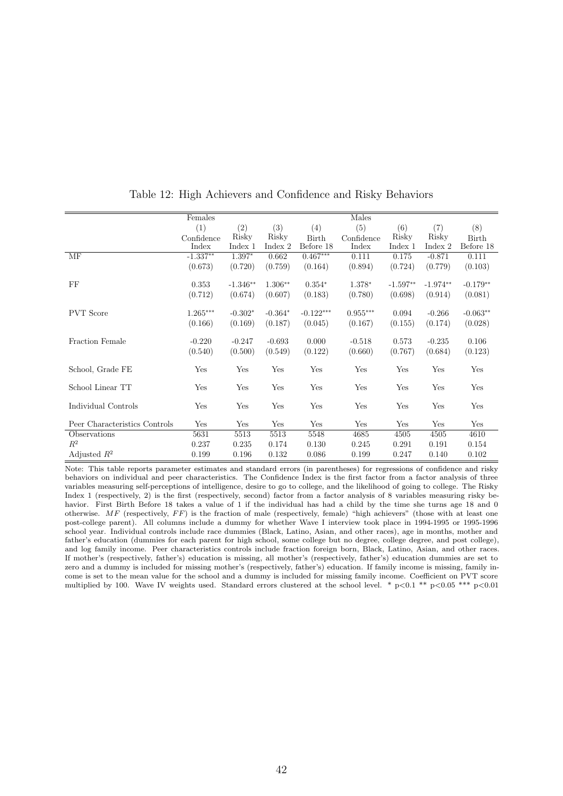|                               | Females    |            |           |             | Males      |            |            |               |
|-------------------------------|------------|------------|-----------|-------------|------------|------------|------------|---------------|
|                               | (1)        | (2)        | (3)       | (4)         | (5)        | (6)        | (7)        | (8)           |
|                               | Confidence | Risky      | Risky     | Birth       | Confidence | Risky      | Risky      | ${\rm Birth}$ |
|                               | Index      | Index 1    | Index 2   | Before 18   | Index      | Index 1    | Index 2    | Before 18     |
| MF                            | $-1.337**$ | 1.397*     | 0.662     | $0.467***$  | 0.111      | 0.175      | $-0.871$   | 0.111         |
|                               | (0.673)    | (0.720)    | (0.759)   | (0.164)     | (0.894)    | (0.724)    | (0.779)    | (0.103)       |
| FF                            | 0.353      | $-1.346**$ | $1.306**$ | $0.354*$    | 1.378*     | $-1.597**$ | $-1.974**$ | $-0.179**$    |
|                               | (0.712)    | (0.674)    | (0.607)   | (0.183)     | (0.780)    | (0.698)    | (0.914)    | (0.081)       |
| <b>PVT</b> Score              | $1.265***$ | $-0.302*$  | $-0.364*$ | $-0.122***$ | $0.955***$ | 0.094      | $-0.266$   | $-0.063**$    |
|                               | (0.166)    | (0.169)    | (0.187)   | (0.045)     | (0.167)    | (0.155)    | (0.174)    | (0.028)       |
| Fraction Female               | $-0.220$   | $-0.247$   | $-0.693$  | 0.000       | $-0.518$   | 0.573      | $-0.235$   | 0.106         |
|                               | (0.540)    | (0.500)    | (0.549)   | (0.122)     | (0.660)    | (0.767)    | (0.684)    | (0.123)       |
| School, Grade FE              | Yes        | Yes        | Yes       | Yes         | Yes        | Yes        | Yes        | Yes           |
| School Linear TT              | Yes        | Yes        | Yes       | Yes         | Yes        | Yes        | Yes        | Yes           |
| Individual Controls           | Yes        | Yes        | Yes       | Yes         | Yes        | Yes        | Yes        | Yes           |
| Peer Characteristics Controls | Yes        | Yes        | Yes       | Yes         | Yes        | Yes        | Yes        | Yes           |
| Observations                  | 5631       | 5513       | 5513      | 5548        | 4685       | 4505       | 4505       | 4610          |
| $R^2$                         | 0.237      | 0.235      | 0.174     | 0.130       | 0.245      | 0.291      | 0.191      | 0.154         |
| Adjusted $R^2$                | 0.199      | 0.196      | 0.132     | 0.086       | 0.199      | 0.247      | 0.140      | 0.102         |

Table 12: High Achievers and Confidence and Risky Behaviors

Note: This table reports parameter estimates and standard errors (in parentheses) for regressions of confidence and risky behaviors on individual and peer characteristics. The Confidence Index is the first factor from a factor analysis of three variables measuring self-perceptions of intelligence, desire to go to college, and the likelihood of going to college. The Risky Index 1 (respectively, 2) is the first (respectively, second) factor from a factor analysis of 8 variables measuring risky behavior. First Birth Before 18 takes a value of 1 if the individual has had a child by the time she turns age 18 and 0 otherwise.  $MF$  (respectively,  $FF$ ) is the fraction of male (respectively, female) "high achievers" (those with at least one post-college parent). All columns include a dummy for whether Wave I interview took place in 1994-1995 or 1995-1996 school year. Individual controls include race dummies (Black, Latino, Asian, and other races), age in months, mother and father's education (dummies for each parent for high school, some college but no degree, college degree, and post college), and log family income. Peer characteristics controls include fraction foreign born, Black, Latino, Asian, and other races. If mother's (respectively, father's) education is missing, all mother's (respectively, father's) education dummies are set to zero and a dummy is included for missing mother's (respectively, father's) education. If family income is missing, family income is set to the mean value for the school and a dummy is included for missing family income. Coefficient on PVT score multiplied by 100. Wave IV weights used. Standard errors clustered at the school level. \* p<0.1 \*\* p<0.05 \*\*\* p<0.01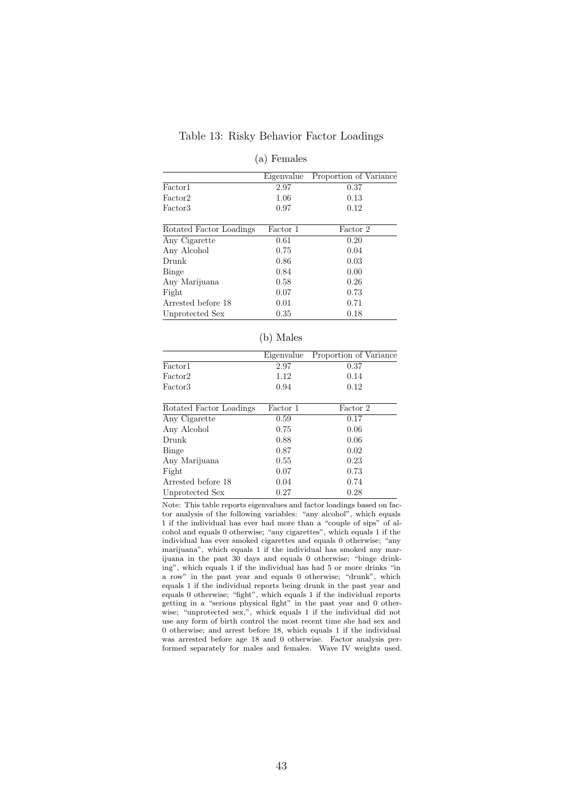#### Table 13: Risky Behavior Factor Loadings

#### (a) Females

|                         | Eigenvalue | Proportion of Variance |
|-------------------------|------------|------------------------|
| Factor1                 | 2.97       | 0.37                   |
| Factor2                 | 1.06       | 0.13                   |
| Factor3                 | 0.97       | 0.12                   |
| Rotated Factor Loadings | Factor 1   | Factor 2               |
| Any Cigarette           | 0.61       | 0.20                   |
| Any Alcohol             | 0.75       | 0.04                   |
| Drunk                   | 0.86       | 0.03                   |
| Binge                   | 0.84       | 0.00                   |
| Any Marijuana           | 0.58       | 0.26                   |
| Fight                   | 0.07       | 0.73                   |
| Arrested before 18      | 0.01       | 0.71                   |
| Unprotected Sex         | 0.35       | 0.18                   |

#### (b) Males

|         |      | Eigenvalue Proportion of Variance |
|---------|------|-----------------------------------|
| Factor1 | 2.97 | 0.37                              |
| Factor2 | 1.12 | 0.14                              |
| Factor3 | 0.94 | 0.12                              |
|         |      |                                   |

| Rotated Factor Loadings | Factor 1 | Factor 2 |
|-------------------------|----------|----------|
| Any Cigarette           | 0.59     | 0.17     |
| Any Alcohol             | 0.75     | 0.06     |
| Drunk                   | 0.88     | 0.06     |
| Binge                   | 0.87     | 0.02     |
| Any Marijuana           | 0.55     | 0.23     |
| Fight                   | 0.07     | 0.73     |
| Arrested before 18      | 0.04     | 0.74     |
| Unprotected Sex         | 0.27     | 0.28     |
|                         |          |          |

Note: This table reports eigenvalues and factor loadings based on factor analysis of the following variables: "any alcohol", which equals 1 if the individual has ever had more than a "couple of sips" of alcohol and equals 0 otherwise; "any cigarettes", which equals 1 if the individual has ever smoked cigarettes and equals 0 otherwise; "any marijuana", which equals 1 if the individual has smoked any marijuana in the past 30 days and equals 0 otherwise; "binge drinking", which equals 1 if the individual has had 5 or more drinks "in a row" in the past year and equals 0 otherwise; "drunk", which equals 1 if the individual reports being drunk in the past year and equals 0 otherwise; "fight", which equals 1 if the individual reports getting in a "serious physical fight" in the past year and 0 otherwise; "unprotected sex,", whick equals 1 if the individual did not use any form of birth control the most recent time she had sex and 0 otherwise; and arrest before 18, which equals 1 if the individual was arrested before age 18 and 0 otherwise. Factor analysis performed separately for males and females. Wave IV weights used.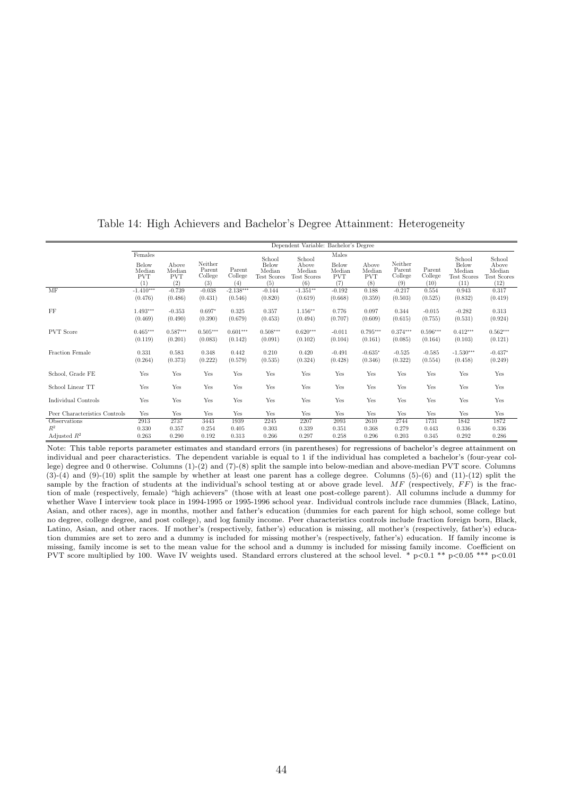|                               |                                                 |                                      |                                     |                             |                                                 | Dependent Variable: Bachelor's Degree                  |                                               |                                      |                                     |                                |                                                         |                                                  |
|-------------------------------|-------------------------------------------------|--------------------------------------|-------------------------------------|-----------------------------|-------------------------------------------------|--------------------------------------------------------|-----------------------------------------------|--------------------------------------|-------------------------------------|--------------------------------|---------------------------------------------------------|--------------------------------------------------|
|                               | Females<br>Below<br>Median<br><b>PVT</b><br>(1) | Above<br>Median<br><b>PVT</b><br>(2) | Neither<br>Parent<br>College<br>(3) | Parent<br>College<br>(4)    | School<br>Below<br>Median<br>Test Scores<br>(5) | School<br>Above<br>Median<br><b>Test Scores</b><br>(6) | Males<br>Below<br>Median<br><b>PVT</b><br>(7) | Above<br>Median<br><b>PVT</b><br>(8) | Neither<br>Parent<br>College<br>(9) | Parent<br>College<br>(10)      | School<br>Below<br>Median<br><b>Test Scores</b><br>(11) | School<br>Above<br>Median<br>Test Scores<br>(12) |
| MF                            | $-1.410***$                                     | $-0.739$                             | $-0.038$                            | $-2.138***$                 | $-0.144$                                        | $-1.351**$                                             | $-0.192$                                      | 0.188                                | $-0.217$                            | 0.554                          | 0.943                                                   | 0.317                                            |
| FF                            | (0.476)<br>$1.493***$<br>(0.469)                | (0.486)<br>$-0.353$<br>(0.490)       | (0.431)<br>$0.697*$<br>(0.390)      | (0.546)<br>0.325<br>(0.679) | (0.820)<br>0.357<br>(0.453)                     | (0.619)<br>$1.156**$<br>(0.494)                        | (0.668)<br>0.776<br>(0.707)                   | (0.359)<br>0.097<br>(0.609)          | (0.503)<br>0.344<br>(0.615)         | (0.525)<br>$-0.015$<br>(0.755) | (0.832)<br>$-0.282$<br>(0.531)                          | (0.419)<br>0.313<br>(0.924)                      |
| <b>PVT</b> Score              | $0.465***$<br>(0.119)                           | $0.587***$<br>(0.201)                | $0.505***$<br>(0.083)               | $0.601***$<br>(0.142)       | $0.508***$<br>(0.091)                           | $0.620***$<br>(0.102)                                  | $-0.011$<br>(0.104)                           | $0.795***$<br>(0.161)                | $0.374***$<br>(0.085)               | $0.596***$<br>(0.164)          | $0.412***$<br>(0.103)                                   | $0.562***$<br>(0.121)                            |
| <b>Fraction Female</b>        | 0.331<br>(0.264)                                | 0.583<br>(0.373)                     | 0.348<br>(0.222)                    | 0.442<br>(0.579)            | 0.210<br>(0.535)                                | 0.420<br>(0.324)                                       | $-0.491$<br>(0.428)                           | $-0.635*$<br>(0.346)                 | $-0.525$<br>(0.322)                 | $-0.585$<br>(0.554)            | $-1.530***$<br>(0.458)                                  | $-0.437*$<br>(0.249)                             |
| School, Grade FE              | Yes                                             | Yes                                  | Yes                                 | Yes                         | Yes                                             | Yes                                                    | Yes                                           | Yes                                  | Yes                                 | Yes                            | Yes                                                     | Yes                                              |
| School Linear TT              | Yes                                             | Yes                                  | Yes                                 | Yes                         | Yes                                             | Yes                                                    | Yes                                           | Yes                                  | Yes                                 | Yes                            | Yes                                                     | Yes                                              |
| Individual Controls           | Yes                                             | Yes                                  | Yes                                 | Yes                         | Yes                                             | Yes                                                    | Yes                                           | Yes                                  | Yes                                 | Yes                            | Yes                                                     | Yes                                              |
| Peer Characteristics Controls | Yes                                             | Yes                                  | Yes                                 | Yes                         | Yes                                             | Yes                                                    | Yes                                           | Yes                                  | Yes                                 | Yes                            | Yes                                                     | Yes                                              |
| Observations                  | 2913                                            | 2737                                 | 3443                                | 1939                        | 2245                                            | 2207                                                   | 2093                                          | 2610                                 | 2744                                | 1731                           | 1842                                                    | 1872                                             |
| $R^2$                         | 0.330                                           | 0.357                                | 0.254                               | 0.405                       | 0.303                                           | 0.339                                                  | 0.351                                         | 0.368                                | 0.279                               | 0.443                          | 0.336                                                   | 0.336                                            |
| Adjusted $R^2$                | 0.263                                           | 0.290                                | 0.192                               | 0.313                       | 0.266                                           | 0.297                                                  | 0.258                                         | 0.296                                | 0.203                               | 0.345                          | 0.292                                                   | 0.286                                            |

Table 14: High Achievers and Bachelor's Degree Attainment: Heterogeneity

Note: This table reports parameter estimates and standard errors (in parentheses) for regressions of bachelor's degree attainment on individual and peer characteristics. The dependent variable is equal to 1 if the individual has completed a bachelor's (four-year college) degree and 0 otherwise. Columns (1)-(2) and (7)-(8) split the sample into below-median and above-median PVT score. Columns  $(3)-(4)$  and  $(9)-(10)$  split the sample by whether at least one parent has a college degree. Columns  $(5)-(6)$  and  $(11)-(12)$  split the sample by the fraction of students at the individual's school testing at or above grade level.  $MF$  (respectively,  $FF$ ) is the fraction of male (respectively, female) "high achievers" (those with at least one post-college parent). All columns include a dummy for whether Wave I interview took place in 1994-1995 or 1995-1996 school year. Individual controls include race dummies (Black, Latino, Asian, and other races), age in months, mother and father's education (dummies for each parent for high school, some college but no degree, college degree, and post college), and log family income. Peer characteristics controls include fraction foreign born, Black, Latino, Asian, and other races. If mother's (respectively, father's) education is missing, all mother's (respectively, father's) education dummies are set to zero and a dummy is included for missing mother's (respectively, father's) education. If family income is missing, family income is set to the mean value for the school and a dummy is included for missing family income. Coefficient on PVT score multiplied by 100. Wave IV weights used. Standard errors clustered at the school level. \* p<0.1 \*\* p<0.05 \*\*\* p<0.01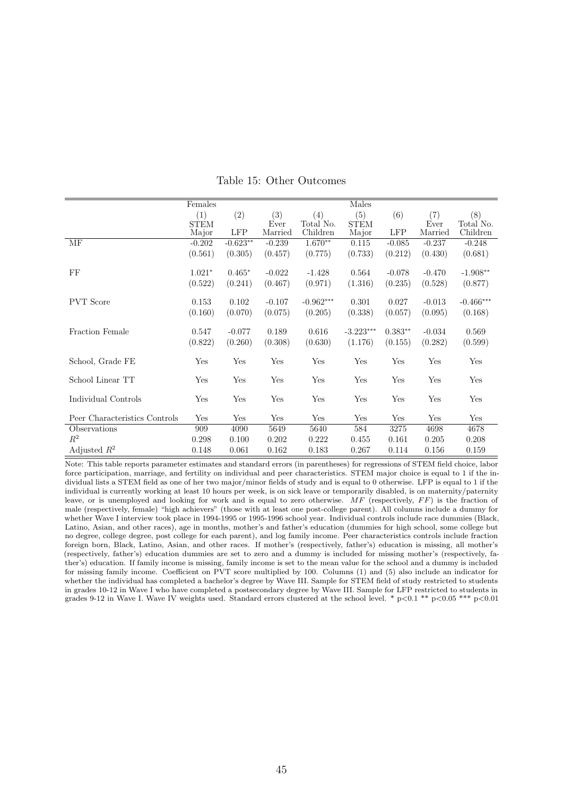|                               | Females     |            |          |             | Males       |            |          |             |
|-------------------------------|-------------|------------|----------|-------------|-------------|------------|----------|-------------|
|                               | (1)         | (2)        | (3)      | (4)         | (5)         | (6)        | (7)      | (8)         |
|                               | <b>STEM</b> |            | Ever     | Total No.   | <b>STEM</b> |            | Ever     | Total No.   |
|                               | Major       | <b>LFP</b> | Married  | Children    | Major       | <b>LFP</b> | Married  | Children    |
| MF                            | $-0.202$    | $-0.623**$ | $-0.239$ | $1.670**$   | 0.115       | $-0.085$   | $-0.237$ | $-0.248$    |
|                               | (0.561)     | (0.305)    | (0.457)  | (0.775)     | (0.733)     | (0.212)    | (0.430)  | (0.681)     |
| FF                            | $1.021*$    | $0.465*$   | $-0.022$ | $-1.428$    | 0.564       | $-0.078$   | $-0.470$ | $-1.908**$  |
|                               | (0.522)     | (0.241)    | (0.467)  | (0.971)     | (1.316)     | (0.235)    | (0.528)  | (0.877)     |
|                               |             |            |          |             |             |            |          |             |
| <b>PVT</b> Score              | 0.153       | 0.102      | $-0.107$ | $-0.962***$ | 0.301       | 0.027      | $-0.013$ | $-0.466***$ |
|                               | (0.160)     | (0.070)    | (0.075)  | (0.205)     | (0.338)     | (0.057)    | (0.095)  | (0.168)     |
| Fraction Female               | 0.547       | $-0.077$   | 0.189    | 0.616       | $-3.223***$ | $0.383**$  | $-0.034$ | 0.569       |
|                               | (0.822)     | (0.260)    | (0.308)  | (0.630)     | (1.176)     | (0.155)    | (0.282)  | (0.599)     |
| School, Grade FE              | Yes         | Yes        | Yes      | Yes         | Yes         | Yes        | Yes      | Yes         |
|                               |             |            |          |             |             |            |          |             |
| School Linear TT              | Yes         | Yes        | Yes      | Yes         | Yes         | Yes        | Yes      | Yes         |
| Individual Controls           | Yes         | Yes        | Yes      | Yes         | Yes         | Yes        | Yes      | Yes         |
|                               |             |            |          |             |             |            |          |             |
| Peer Characteristics Controls | Yes         | Yes        | Yes      | Yes         | Yes         | Yes        | Yes      | Yes         |
| Observations                  | 909         | 4090       | 5649     | 5640        | 584         | 3275       | 4698     | 4678        |
| $R^2$                         | 0.298       | 0.100      | 0.202    | 0.222       | 0.455       | 0.161      | 0.205    | 0.208       |
| Adjusted $R^2$                | 0.148       | 0.061      | 0.162    | 0.183       | 0.267       | 0.114      | 0.156    | 0.159       |

Table 15: Other Outcomes

Note: This table reports parameter estimates and standard errors (in parentheses) for regressions of STEM field choice, labor force participation, marriage, and fertility on individual and peer characteristics. STEM major choice is equal to 1 if the individual lists a STEM field as one of her two major/minor fields of study and is equal to 0 otherwise. LFP is equal to 1 if the individual is currently working at least 10 hours per week, is on sick leave or temporarily disabled, is on maternity/paternity leave, or is unemployed and looking for work and is equal to zero otherwise.  $MF$  (respectively,  $FF$ ) is the fraction of male (respectively, female) "high achievers" (those with at least one post-college parent). All columns include a dummy for whether Wave I interview took place in 1994-1995 or 1995-1996 school year. Individual controls include race dummies (Black, Latino, Asian, and other races), age in months, mother's and father's education (dummies for high school, some college but no degree, college degree, post college for each parent), and log family income. Peer characteristics controls include fraction foreign born, Black, Latino, Asian, and other races. If mother's (respectively, father's) education is missing, all mother's (respectively, father's) education dummies are set to zero and a dummy is included for missing mother's (respectively, father's) education. If family income is missing, family income is set to the mean value for the school and a dummy is included for missing family income. Coefficient on PVT score multiplied by 100. Columns (1) and (5) also include an indicator for whether the individual has completed a bachelor's degree by Wave III. Sample for STEM field of study restricted to students in grades 10-12 in Wave I who have completed a postsecondary degree by Wave III. Sample for LFP restricted to students in grades 9-12 in Wave I. Wave IV weights used. Standard errors clustered at the school level. \*  $p<0.1$  \*\*  $p<0.05$  \*\*\*  $p<0.01$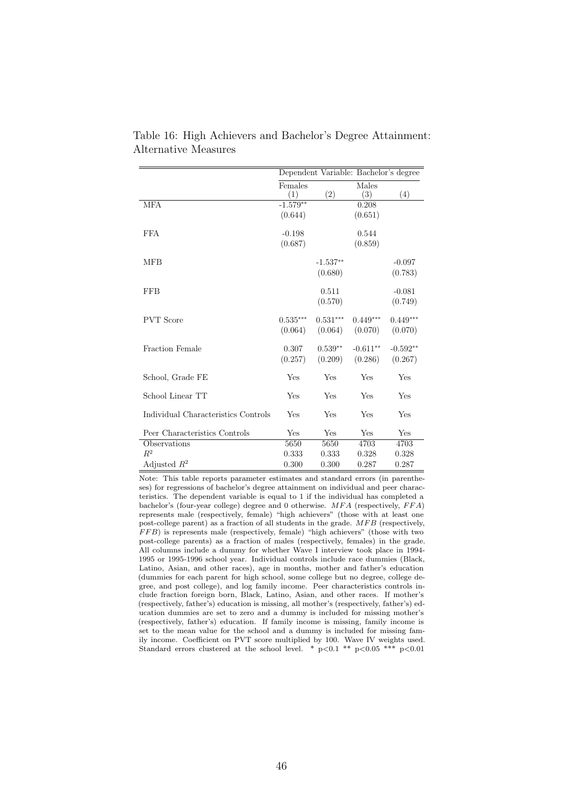|                                     |                | Dependent Variable: Bachelor's degree |              |            |
|-------------------------------------|----------------|---------------------------------------|--------------|------------|
|                                     | Females<br>(1) | (2)                                   | Males<br>(3) | (4)        |
| <b>MFA</b>                          | $-1.579**$     |                                       | 0.208        |            |
|                                     | (0.644)        |                                       | (0.651)      |            |
| <b>FFA</b>                          | $-0.198$       |                                       | 0.544        |            |
|                                     | (0.687)        |                                       | (0.859)      |            |
| <b>MFB</b>                          |                | $-1.537**$                            |              | $-0.097$   |
|                                     |                | (0.680)                               |              | (0.783)    |
| <b>FFB</b>                          |                | 0.511                                 |              | $-0.081$   |
|                                     |                | (0.570)                               |              | (0.749)    |
| <b>PVT</b> Score                    | $0.535***$     | $0.531***$                            | $0.449***$   | $0.449***$ |
|                                     | (0.064)        | (0.064)                               | (0.070)      | (0.070)    |
| <b>Fraction Female</b>              | 0.307          | $0.539**$                             | $-0.611**$   | $-0.592**$ |
|                                     | (0.257)        | (0.209)                               | (0.286)      | (0.267)    |
| School, Grade FE                    | Yes            | Yes                                   | Yes          | Yes        |
| School Linear TT                    | Yes            | Yes                                   | Yes          | Yes        |
| Individual Characteristics Controls | Yes            | Yes                                   | Yes          | Yes        |
| Peer Characteristics Controls       | Yes            | Yes                                   | Yes          | Yes        |
| Observations                        | 5650           | 5650                                  | 4703         | 4703       |
| $R^2$                               | 0.333          | 0.333                                 | 0.328        | 0.328      |
| Adjusted $R^2$                      | 0.300          | 0.300                                 | 0.287        | 0.287      |

Table 16: High Achievers and Bachelor's Degree Attainment: Alternative Measures

Note: This table reports parameter estimates and standard errors (in parentheses) for regressions of bachelor's degree attainment on individual and peer characteristics. The dependent variable is equal to 1 if the individual has completed a bachelor's (four-year college) degree and 0 otherwise.  $MFA$  (respectively,  $FFA$ ) represents male (respectively, female) "high achievers" (those with at least one post-college parent) as a fraction of all students in the grade.  $MFB$  (respectively, FFB) is represents male (respectively, female) "high achievers" (those with two post-college parents) as a fraction of males (respectively, females) in the grade. All columns include a dummy for whether Wave I interview took place in 1994- 1995 or 1995-1996 school year. Individual controls include race dummies (Black, Latino, Asian, and other races), age in months, mother and father's education (dummies for each parent for high school, some college but no degree, college degree, and post college), and log family income. Peer characteristics controls include fraction foreign born, Black, Latino, Asian, and other races. If mother's (respectively, father's) education is missing, all mother's (respectively, father's) education dummies are set to zero and a dummy is included for missing mother's (respectively, father's) education. If family income is missing, family income is set to the mean value for the school and a dummy is included for missing family income. Coefficient on PVT score multiplied by 100. Wave IV weights used. Standard errors clustered at the school level. \*  $p<0.1$  \*\*  $p<0.05$  \*\*\*  $p<0.01$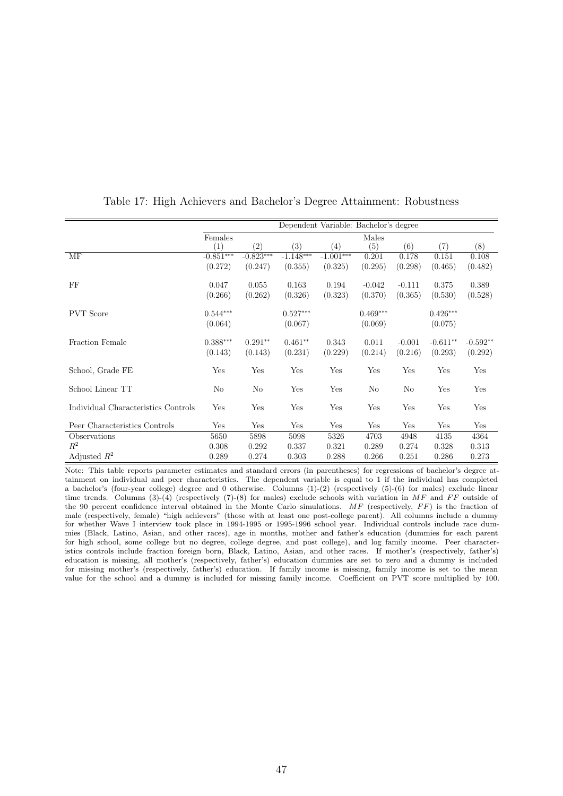|                                     | Dependent Variable: Bachelor's degree |                   |             |                   |                   |          |            |            |
|-------------------------------------|---------------------------------------|-------------------|-------------|-------------------|-------------------|----------|------------|------------|
|                                     | Females                               |                   |             |                   | Males             |          |            |            |
|                                     | (1)                                   | $\left( 2\right)$ | (3)         | $\left( 4\right)$ | $\left( 5\right)$ | (6)      | (7)        | (8)        |
| MF                                  | $-0.851***$                           | $-0.823***$       | $-1.148***$ | $-1.001***$       | 0.201             | 0.178    | 0.151      | 0.108      |
|                                     | (0.272)                               | (0.247)           | (0.355)     | (0.325)           | (0.295)           | (0.298)  | (0.465)    | (0.482)    |
| FF                                  | 0.047                                 | 0.055             | 0.163       | 0.194             | $-0.042$          | $-0.111$ | 0.375      | 0.389      |
|                                     | (0.266)                               | (0.262)           | (0.326)     | (0.323)           | (0.370)           | (0.365)  | (0.530)    | (0.528)    |
| <b>PVT</b> Score                    | $0.544***$                            |                   | $0.527***$  |                   | $0.469***$        |          | $0.426***$ |            |
|                                     | (0.064)                               |                   | (0.067)     |                   | (0.069)           |          | (0.075)    |            |
| Fraction Female                     | $0.388***$                            | $0.291**$         | $0.461**$   | 0.343             | 0.011             | $-0.001$ | $-0.611**$ | $-0.592**$ |
|                                     | (0.143)                               | (0.143)           | (0.231)     | (0.229)           | (0.214)           | (0.216)  | (0.293)    | (0.292)    |
| School, Grade FE                    | Yes                                   | Yes               | Yes         | Yes               | Yes               | Yes      | Yes        | Yes        |
| School Linear TT                    | No                                    | No                | Yes         | Yes               | No                | No       | Yes        | Yes        |
| Individual Characteristics Controls | Yes                                   | Yes               | Yes         | Yes               | Yes               | Yes      | Yes        | Yes        |
| Peer Characteristics Controls       | Yes                                   | Yes               | Yes         | Yes               | Yes               | Yes      | Yes        | Yes        |
| Observations                        | 5650                                  | 5898              | 5098        | 5326              | 4703              | 4948     | 4135       | 4364       |
| $R^2$                               | 0.308                                 | 0.292             | 0.337       | 0.321             | 0.289             | 0.274    | 0.328      | 0.313      |
| Adjusted $R^2$                      | 0.289                                 | 0.274             | 0.303       | 0.288             | 0.266             | 0.251    | 0.286      | 0.273      |

### Table 17: High Achievers and Bachelor's Degree Attainment: Robustness

Note: This table reports parameter estimates and standard errors (in parentheses) for regressions of bachelor's degree attainment on individual and peer characteristics. The dependent variable is equal to 1 if the individual has completed a bachelor's (four-year college) degree and 0 otherwise. Columns (1)-(2) (respectively (5)-(6) for males) exclude linear time trends. Columns (3)-(4) (respectively (7)-(8) for males) exclude schools with variation in  $MF$  and  $FF$  outside of the 90 percent confidence interval obtained in the Monte Carlo simulations.  $MF$  (respectively,  $FF$ ) is the fraction of male (respectively, female) "high achievers" (those with at least one post-college parent). All columns include a dummy for whether Wave I interview took place in 1994-1995 or 1995-1996 school year. Individual controls include race dummies (Black, Latino, Asian, and other races), age in months, mother and father's education (dummies for each parent for high school, some college but no degree, college degree, and post college), and log family income. Peer characteristics controls include fraction foreign born, Black, Latino, Asian, and other races. If mother's (respectively, father's) education is missing, all mother's (respectively, father's) education dummies are set to zero and a dummy is included for missing mother's (respectively, father's) education. If family income is missing, family income is set to the mean value for the school and a dummy is included for missing family income. Coefficient on PVT score multiplied by 100.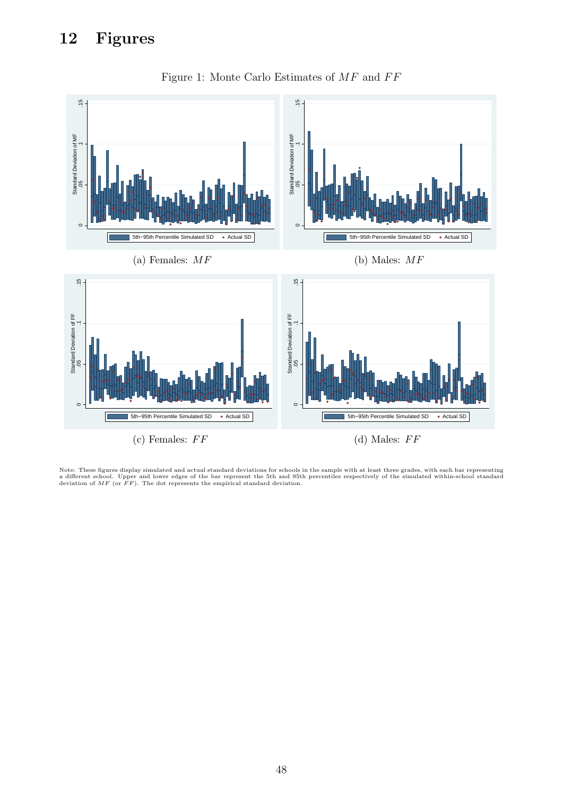## 12 Figures



Figure 1: Monte Carlo Estimates of  $MF$  and  $FF$ 

Note: These figures display simulated and actual standard deviations for schools in the sample with at least three grades, with each bar representing<br>a different school. Upper and lower edges of the bar represent the 5th a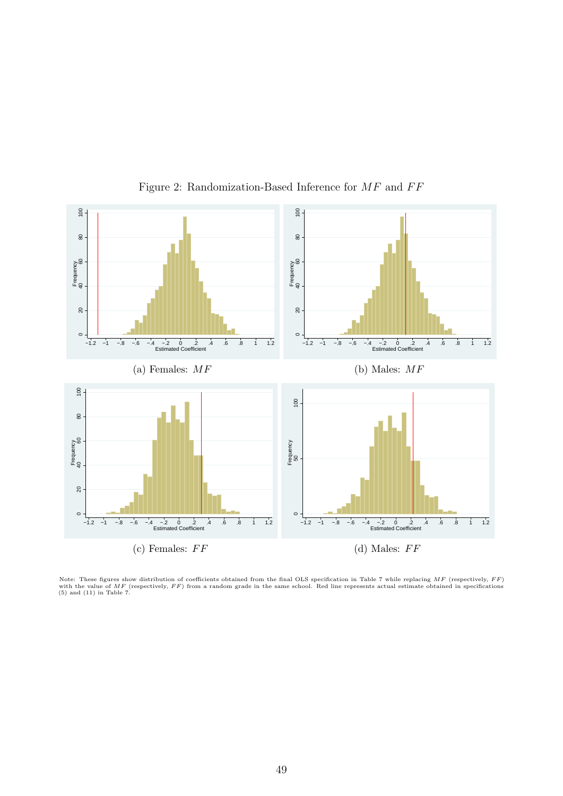

Figure 2: Randomization-Based Inference for  $MF$  and  $FF$ 

Note: These figures show distribution of coefficients obtained from the final OLS specification in Table 7 while replacing  $MF$  (respectively,  $FF$ )  $F$ ,  $\forall$  is the same school. Red line represents actual estimate obtained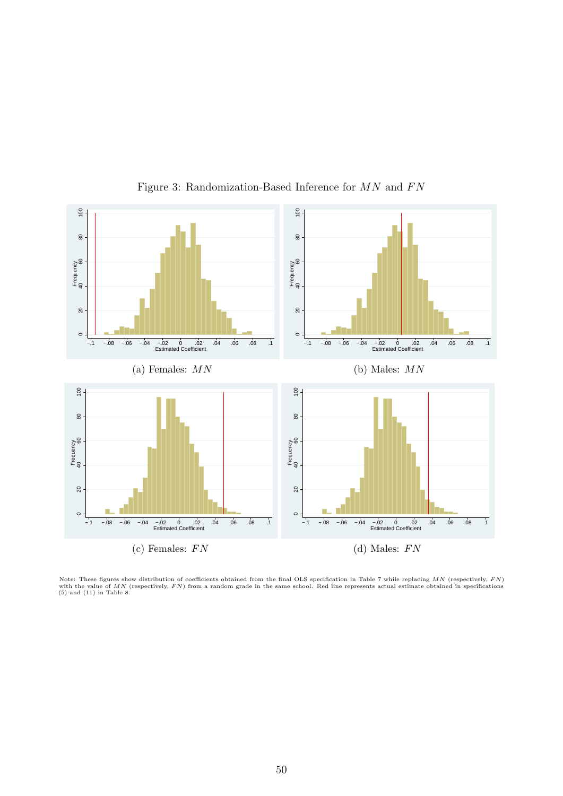

Figure 3: Randomization-Based Inference for  $MN$  and  $FN$ 

Note: These figures show distribution of coefficients obtained from the final OLS specification in Table 7 while replacing MN (respectively, FN)  $\sigma$  with the value of MN (respectively, FN) from a random grade in the same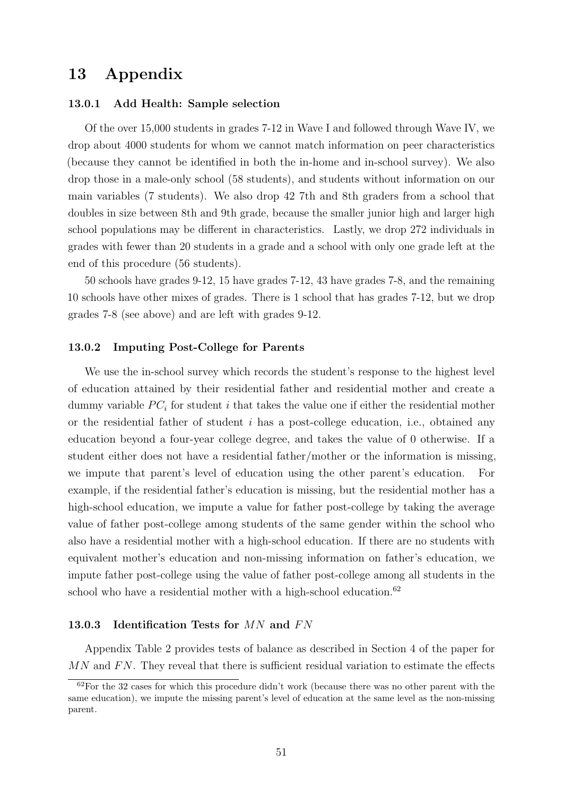## 13 Appendix

#### 13.0.1 Add Health: Sample selection

Of the over 15,000 students in grades 7-12 in Wave I and followed through Wave IV, we drop about 4000 students for whom we cannot match information on peer characteristics (because they cannot be identified in both the in-home and in-school survey). We also drop those in a male-only school (58 students), and students without information on our main variables (7 students). We also drop 42 7th and 8th graders from a school that doubles in size between 8th and 9th grade, because the smaller junior high and larger high school populations may be different in characteristics. Lastly, we drop 272 individuals in grades with fewer than 20 students in a grade and a school with only one grade left at the end of this procedure (56 students).

50 schools have grades 9-12, 15 have grades 7-12, 43 have grades 7-8, and the remaining 10 schools have other mixes of grades. There is 1 school that has grades 7-12, but we drop grades 7-8 (see above) and are left with grades 9-12.

#### 13.0.2 Imputing Post-College for Parents

We use the in-school survey which records the student's response to the highest level of education attained by their residential father and residential mother and create a dummy variable  $PC_i$  for student i that takes the value one if either the residential mother or the residential father of student i has a post-college education, i.e., obtained any education beyond a four-year college degree, and takes the value of 0 otherwise. If a student either does not have a residential father/mother or the information is missing, we impute that parent's level of education using the other parent's education. For example, if the residential father's education is missing, but the residential mother has a high-school education, we impute a value for father post-college by taking the average value of father post-college among students of the same gender within the school who also have a residential mother with a high-school education. If there are no students with equivalent mother's education and non-missing information on father's education, we impute father post-college using the value of father post-college among all students in the school who have a residential mother with a high-school education.<sup>62</sup>

#### 13.0.3 Identification Tests for  $MN$  and  $FN$

Appendix Table 2 provides tests of balance as described in Section 4 of the paper for  $MN$  and  $FN$ . They reveal that there is sufficient residual variation to estimate the effects

<sup>62</sup>For the 32 cases for which this procedure didn't work (because there was no other parent with the same education), we impute the missing parent's level of education at the same level as the non-missing parent.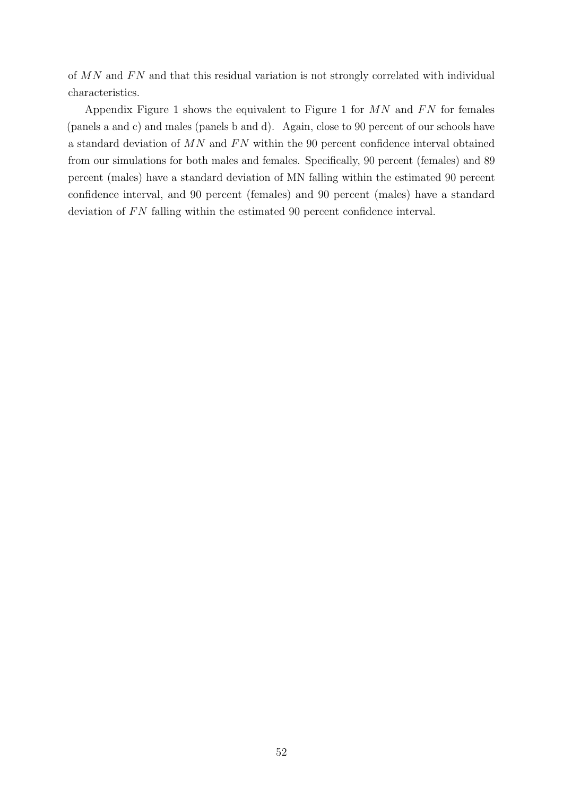of  $MN$  and  $FN$  and that this residual variation is not strongly correlated with individual characteristics.

Appendix Figure 1 shows the equivalent to Figure 1 for  $MN$  and  $FN$  for females (panels a and c) and males (panels b and d). Again, close to 90 percent of our schools have a standard deviation of  $MN$  and  $FN$  within the 90 percent confidence interval obtained from our simulations for both males and females. Specifically, 90 percent (females) and 89 percent (males) have a standard deviation of MN falling within the estimated 90 percent confidence interval, and 90 percent (females) and 90 percent (males) have a standard deviation of  $FN$  falling within the estimated 90 percent confidence interval.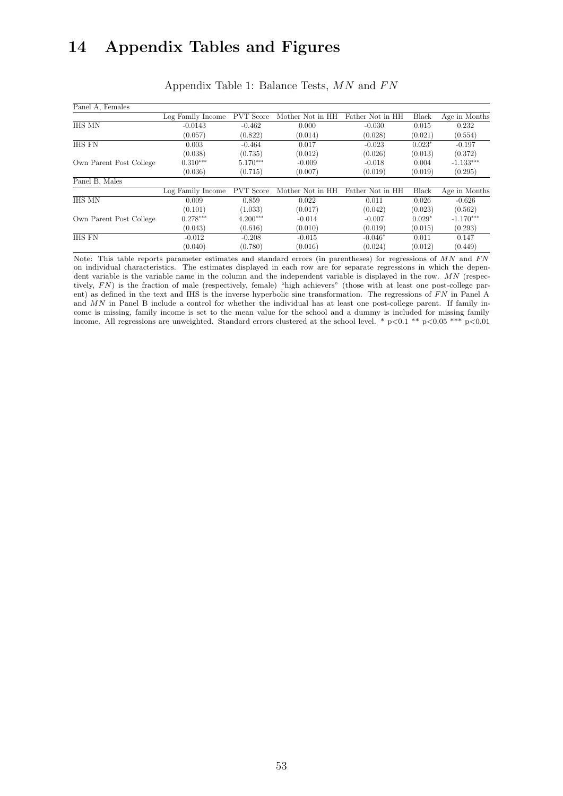## 14 Appendix Tables and Figures

| Panel A, Females        |                   |                  |                  |                  |          |               |
|-------------------------|-------------------|------------------|------------------|------------------|----------|---------------|
|                         | Log Family Income | <b>PVT</b> Score | Mother Not in HH | Father Not in HH | Black    | Age in Months |
| <b>IHS MN</b>           | $-0.0143$         | $-0.462$         | 0.000            | $-0.030$         | 0.015    | 0.232         |
|                         | (0.057)           | (0.822)          | (0.014)          | (0.028)          | (0.021)  | (0.554)       |
| <b>IHS FN</b>           | 0.003             | $-0.464$         | 0.017            | $-0.023$         | $0.023*$ | $-0.197$      |
|                         | (0.038)           | (0.735)          | (0.012)          | (0.026)          | (0.013)  | (0.372)       |
| Own Parent Post College | $0.310***$        | $5.170***$       | $-0.009$         | $-0.018$         | 0.004    | $-1.133***$   |
|                         | (0.036)           | (0.715)          | (0.007)          | (0.019)          | (0.019)  | (0.295)       |
| Panel B, Males          |                   |                  |                  |                  |          |               |
|                         | Log Family Income | <b>PVT</b> Score | Mother Not in HH | Father Not in HH | Black    | Age in Months |
| <b>IHS MN</b>           | 0.009             | 0.859            | 0.022            | 0.011            | 0.026    | $-0.626$      |
|                         | (0.101)           | (1.033)          | (0.017)          | (0.042)          | (0.023)  | (0.562)       |
| Own Parent Post College | $0.278***$        | $4.200***$       | $-0.014$         | $-0.007$         | $0.029*$ | $-1.170***$   |
|                         | (0.043)           | (0.616)          | (0.010)          | (0.019)          | (0.015)  | (0.293)       |
| <b>IHS FN</b>           | $-0.012$          | $-0.208$         | $-0.015$         | $-0.046*$        | 0.011    | 0.147         |
|                         | (0.040)           | (0.780)          | (0.016)          | (0.024)          | (0.012)  | (0.449)       |

Appendix Table 1: Balance Tests,  $MN$  and  $FN$ 

Note: This table reports parameter estimates and standard errors (in parentheses) for regressions of  $MN$  and  $FN$ on individual characteristics. The estimates displayed in each row are for separate regressions in which the dependent variable is the variable name in the column and the independent variable is displayed in the row. MN (respectively, FN) is the fraction of male (respectively, female) "high achievers" (those with at least one post-college parent) as defined in the text and IHS is the inverse hyperbolic sine transformation. The regressions of  $FN$  in Panel A and MN in Panel B include a control for whether the individual has at least one post-college parent. If family income is missing, family income is set to the mean value for the school and a dummy is included for missing family income. All regressions are unweighted. Standard errors clustered at the school level. \* p<0.1 \*\* p<0.05 \*\*\* p<0.01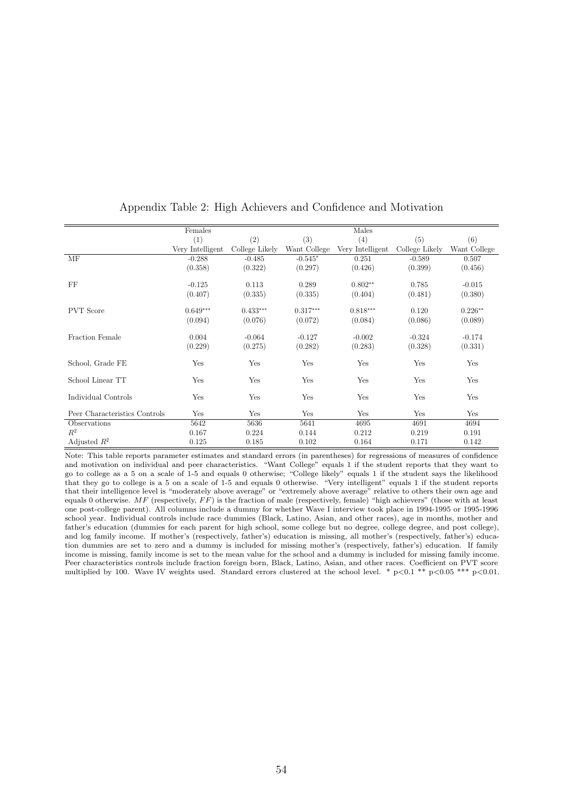|                               | Females          |                |              | Males            |                |              |
|-------------------------------|------------------|----------------|--------------|------------------|----------------|--------------|
|                               | (1)              | (2)            | (3)          | (4)              | (5)            | (6)          |
|                               | Very Intelligent | College Likely | Want College | Very Intelligent | College Likely | Want College |
| MF                            | $-0.288$         | $-0.485$       | $-0.545*$    | 0.251            | $-0.589$       | 0.507        |
|                               | (0.358)          | (0.322)        | (0.297)      | (0.426)          | (0.399)        | (0.456)      |
|                               |                  |                |              |                  |                |              |
| FF                            | $-0.125$         | 0.113          | 0.289        | $0.802**$        | 0.785          | $-0.015$     |
|                               | (0.407)          | (0.335)        | (0.335)      | (0.404)          | (0.481)        | (0.380)      |
| <b>PVT</b> Score              | $0.649***$       | $0.433***$     | $0.317***$   | $0.818***$       | 0.120          | $0.226**$    |
|                               | (0.094)          | (0.076)        | (0.072)      | (0.084)          | (0.086)        | (0.089)      |
|                               |                  |                |              |                  |                |              |
| Fraction Female               | 0.004            | $-0.064$       | $-0.127$     | $-0.002$         | $-0.324$       | $-0.174$     |
|                               | (0.229)          | (0.275)        | (0.282)      | (0.283)          | (0.328)        | (0.331)      |
| School, Grade FE              | Yes              | Yes            | Yes          | Yes              | Yes            | Yes          |
|                               |                  |                |              |                  |                |              |
| School Linear TT              | Yes              | Yes            | Yes          | Yes              | Yes            | Yes          |
| Individual Controls           | Yes              | Yes            | Yes          | Yes              | Yes            | Yes          |
|                               |                  |                |              |                  |                |              |
| Peer Characteristics Controls | Yes              | Yes            | Yes          | Yes              | Yes            | Yes          |
| Observations                  | 5642             | 5636           | 5641         | 4695             | 4691           | 4694         |
| $R^2$                         | 0.167            | 0.224          | 0.144        | 0.212            | 0.219          | 0.191        |
| Adjusted $R^2$                | 0.125            | 0.185          | 0.102        | 0.164            | 0.171          | 0.142        |

### Appendix Table 2: High Achievers and Confidence and Motivation

Note: This table reports parameter estimates and standard errors (in parentheses) for regressions of measures of confidence and motivation on individual and peer characteristics. "Want College" equals 1 if the student reports that they want to go to college as a 5 on a scale of 1-5 and equals 0 otherwise; "College likely" equals 1 if the student says the likelihood that they go to college is a 5 on a scale of 1-5 and equals 0 otherwise. "Very intelligent" equals 1 if the student reports that their intelligence level is "moderately above average" or "extremely above average" relative to others their own age and equals 0 otherwise.  $MF$  (respectively,  $FF$ ) is the fraction of male (respectively, female) "high achievers" (those with at least one post-college parent). All columns include a dummy for whether Wave I interview took place in 1994-1995 or 1995-1996 school year. Individual controls include race dummies (Black, Latino, Asian, and other races), age in months, mother and father's education (dummies for each parent for high school, some college but no degree, college degree, and post college), and log family income. If mother's (respectively, father's) education is missing, all mother's (respectively, father's) education dummies are set to zero and a dummy is included for missing mother's (respectively, father's) education. If family income is missing, family income is set to the mean value for the school and a dummy is included for missing family income. Peer characteristics controls include fraction foreign born, Black, Latino, Asian, and other races. Coefficient on PVT score multiplied by 100. Wave IV weights used. Standard errors clustered at the school level. \* p<0.1 \*\* p<0.05 \*\*\* p<0.01.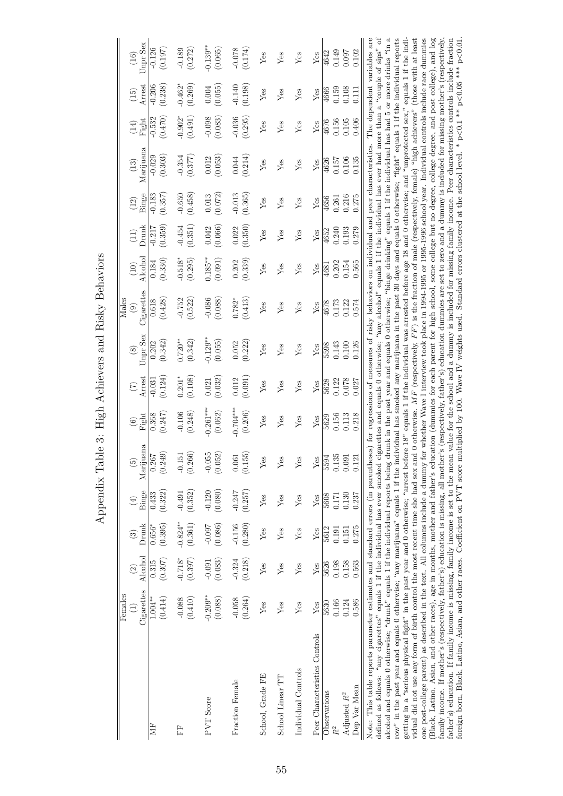Appendix Table 3: High Achievers and Risky Behaviors Appendix Table 3: High Achievers and Risky Behaviors

|                                                                                                                                                                                                                                                                                                                                                                                                                      | Females    |           |                |                              |                         |                                               |                |               | Males                                                                                                                           |                    |                             |                   |           |           |                   |                |
|----------------------------------------------------------------------------------------------------------------------------------------------------------------------------------------------------------------------------------------------------------------------------------------------------------------------------------------------------------------------------------------------------------------------|------------|-----------|----------------|------------------------------|-------------------------|-----------------------------------------------|----------------|---------------|---------------------------------------------------------------------------------------------------------------------------------|--------------------|-----------------------------|-------------------|-----------|-----------|-------------------|----------------|
|                                                                                                                                                                                                                                                                                                                                                                                                                      | Ξ          | $\odot$   | $\binom{3}{2}$ | $\left( \frac{4}{2} \right)$ | $\widehat{E}$           | $\odot$                                       |                | $\circledast$ | $\circledcirc$                                                                                                                  | (10)               | $\frac{(11)}{\text{Drank}}$ | $\left(12\right)$ | $(13)$    | (14)      | $\left(15\right)$ | $(16)$         |
|                                                                                                                                                                                                                                                                                                                                                                                                                      | Cigarettes | Alcohol   | Drunk          | Binge                        | Marijuana               | Fight                                         | Arrest         | Unpr Sex      | Cigarettes                                                                                                                      | Alcohol            |                             | Binge             | Marijuana | Fight     | Arrest            | Unpr Sex       |
| È                                                                                                                                                                                                                                                                                                                                                                                                                    | $1.004**$  | 0.315     | $0.656*$       | 0.433                        | $\frac{0.267}{(0.249)}$ | 0.368                                         | $-0.031$       | 0.202         | 0.618                                                                                                                           | 0.184              | $-0.217$                    | $-0.183$          | $-0.029$  | $-0.532$  | $-0.206$          | $-0.126$       |
|                                                                                                                                                                                                                                                                                                                                                                                                                      | (0.414)    | (0.307)   | (0.395)        | (0.322)                      |                         | (0.247)                                       | (0.124)        | (0.342)       | (0.428)                                                                                                                         | (0.330)            | (0.359)                     | (0.357)           | (0.303)   | (0.470)   | (0.238)           | (0.197)        |
| 臣                                                                                                                                                                                                                                                                                                                                                                                                                    | $-0.088$   | $-0.718*$ | $-0.824**$     | $-0.491$                     | $-0.151$                | $-0.106$                                      | $0.201*$       | $0.720**$     | $-0.752$                                                                                                                        | $0.518^\ast$       | $-0.454$<br>(0.351)         | $-0.650$          | $-0.354$  | $-0.902*$ | $-0.462*$         | $-0.189$       |
|                                                                                                                                                                                                                                                                                                                                                                                                                      | (0.410)    | (0.397)   | (0.361)        | (0.352)                      | (0.266)                 | (0.248)                                       | (0.108)        | (0.342)       | (0.522)                                                                                                                         | (0.295)            |                             | (0.458)           | (0.377)   | (0.491)   | (0.269)           | (0.272)        |
| <b>PVT</b> Score                                                                                                                                                                                                                                                                                                                                                                                                     | $-0.209**$ | $-0.091$  | $-0.097$       | $-0.120$                     | $-0.055$<br>$(0.052)$   | $0.261***$                                    | 0.021          | $0.129*$      | $-0.086$                                                                                                                        | $0.185**$          |                             | 0.013             | $0.012\,$ | $-0.098$  | 0.004             | $-0.139**$     |
|                                                                                                                                                                                                                                                                                                                                                                                                                      | (0.088)    | (0.083)   | (0.086)        | (0.080)                      |                         | (0.062)                                       | (0.032)        | (0.055)       | (0.088)                                                                                                                         | (0.091)            | (0.042)                     | (0.072)           | (0.053)   | (0.083)   | (0.055)           | (0.065)        |
| Fraction Female                                                                                                                                                                                                                                                                                                                                                                                                      | $-0.058$   | $-0.324$  | $-0.156$       | $-0.247$                     | (0.155)                 | $0.704***$                                    | 0.012          | 0.052         | $0.782*$                                                                                                                        | 0.202              | 0.022                       | $-0.013$          | 0.044     | $-0.036$  | $-0.140$          | $-0.078$       |
|                                                                                                                                                                                                                                                                                                                                                                                                                      | (0.264)    | (0.218)   | (0.280)        | (0.257)                      |                         | (0.206)                                       | (0.091)        | (0.222)       | (0.413)                                                                                                                         | (0.339)            | (0.350)                     | (0.365)           | (0.214)   | (0.295)   | (0.198)           | (0.174)        |
| School, Grade FE                                                                                                                                                                                                                                                                                                                                                                                                     | Yes        | Yes       | Yes            | Yes                          | ${\rm Yes}$             | ${\rm Yes}$                                   | Yes            | Yes           | Yes                                                                                                                             | Yes                | Yes                         | Yes               | Yes       | Yes       | ${\rm Yes}$       | Yes            |
| School Linear TT                                                                                                                                                                                                                                                                                                                                                                                                     | Yes        | Yes       | Yes            | Yes                          | ${\rm Yes}$             | Yes                                           | Yes            | Yes           | Yes                                                                                                                             | Yes                | Yes                         | Yes               | Yes       | Yes       | Yes               | Yes            |
| Individual Controls                                                                                                                                                                                                                                                                                                                                                                                                  | Yes        | Yes       | Yes            | Yes                          | Yes                     | Yes                                           | Yes            | Yes           | Yes                                                                                                                             | Yes                | Yes                         | Yes               | Yes       | Yes       | Yes               | Yes            |
| Peer Characteristics Controls                                                                                                                                                                                                                                                                                                                                                                                        | Yes        | Yes       | Yes            | Yes                          | $\frac{Yes}{5594}$      | ${\rm Yes}$                                   | ${\rm Yes}$    | Yes           | Yes                                                                                                                             | Yes                | Yes                         | Yes               | Yes       | Yes       | ${\rm Yes}$       | ${\rm Yes}$    |
| Observations                                                                                                                                                                                                                                                                                                                                                                                                         | 5630       | 5626      | 5612           | 5608                         |                         | 5629                                          | 5628           | 5598          | 4678                                                                                                                            | 4681               | 4652                        | 4656              | 4626      | 4676      | 4666              | 4642           |
|                                                                                                                                                                                                                                                                                                                                                                                                                      | 0.166      | 0.198     | 0.191          | 0.171                        | $0.135\,$               | $\begin{array}{c} 0.156 \\ 0.113 \end{array}$ | 0.122<br>0.078 | 0.143         | 0.173                                                                                                                           | $0.202$<br>$0.154$ | 0.240<br>0.193              | 0.261             | 0.157     | 0.156     | 0.159             |                |
| Adjusted $R^2$                                                                                                                                                                                                                                                                                                                                                                                                       | 0.124      | 0.158     | 0.151          | 0.130                        | $0.091\,$               |                                               |                | $0.100\,$     | 0.122                                                                                                                           |                    |                             | 0.216             | 0.106     | 0.105     | 0.108             | 0.149<br>0.097 |
| Dep Var Mean                                                                                                                                                                                                                                                                                                                                                                                                         | 0.586      | 0.563     | 0.275          | 0.237                        | 0.121                   | 0.218                                         | 0.027          | 0.126         | $0.574\,$                                                                                                                       | 0.565              | 0.279                       | 0.275             | 0.135     | 0.406     | 0.111             | 0.102          |
| Note: This table reports parameter estimates and standard errors (in parentheses) for regressions of measures of risky behaviors on individual and peer characteristics. The dependent variables are                                                                                                                                                                                                                 |            |           |                |                              |                         |                                               |                |               |                                                                                                                                 |                    |                             |                   |           |           |                   |                |
| defined as follows: "any cigarettes" equals 1 if the individual has ever smoked o                                                                                                                                                                                                                                                                                                                                    |            |           |                |                              |                         |                                               |                |               | cigarettes and equals 0 otherwise; "any alcohol" equals 1 if the individual has ever had more than a "couple of sips" of        |                    |                             |                   |           |           |                   |                |
| row" in the past year and equals 0 otherwise; "any marijuana" equals 1 if the individual has smoked any marijuana in the past 30 days and equals 0 otherwise; "fight" equals 1 if the individual reports<br>alcohol and equals 0 otherwise; "drunk" equals 1 if the individual reports being drunk in the past year and equals 0 otherwise; "binge drinking" equals 1 if the individual has had 5 or more drinks "in |            |           |                |                              |                         |                                               |                |               |                                                                                                                                 |                    |                             |                   |           |           |                   | ಸ              |
| getting in a "serious physical fight" in the past year and 0 otherwise; "arrest before 18" equals 1 if the individual was arrested before age 18 and 0 otherwise; and "unprotected sex," equals 1 if the indi-                                                                                                                                                                                                       |            |           |                |                              |                         |                                               |                |               |                                                                                                                                 |                    |                             |                   |           |           |                   |                |
| vidual did not use any form of birth control the most recent time she had sex an                                                                                                                                                                                                                                                                                                                                     |            |           |                |                              |                         |                                               |                |               | of 0 otherwise. $MF$ (respectively, $FF$ ) is the fraction of male (respectively, female) "high achievers" (those with at least |                    |                             |                   |           |           |                   |                |
| one post-college parent) as described in the text. All columns include a dummy i                                                                                                                                                                                                                                                                                                                                     |            |           |                |                              |                         |                                               |                |               | for whether Wave I interview took place in 1994-1995 or 1995-1996 school year. Individual controls include race dummies         |                    |                             |                   |           |           |                   |                |

one post-college parent) as described in the text. All columns include a dummy for whether Wave I interview took place in 1994-1995 or 1995-1996 school year. Individual controls include race dummies (Black, Latino, Asian, and other races), age in months, mother and father's education (dummies for each parent for high school, some college but no degree, college degree, and post college), and log family income. If mother's (respectively, father's) education is missing, all mother's (respectively, father's) education dummies are set to zero and a dummy is included for missing mother's (respectively, father's) education. If family income is missing, family income is set to the mean value for the school and a dummy is included for missing family income. Peer characteristics controls include fraction foreign born, Black, Latino, Asian, and other races. Coefficient on PVT score multiplied by 100. Wave IV weights used. Standard errors clustered at the school level. \* p<0.1 \*\* p<0.05 \*\*\* p<0.01.

(Black, Latino, Asian, and other races), age in months, mother and father's education (dummies for each parent for high school, some college but no degree, college degree, and post college), and log family income. If mothe father's) education. If family income is missing, family income is set to the mean value for the school and a dummy is included for missing family income. Peer characteristics controls include fraction foreign born, Black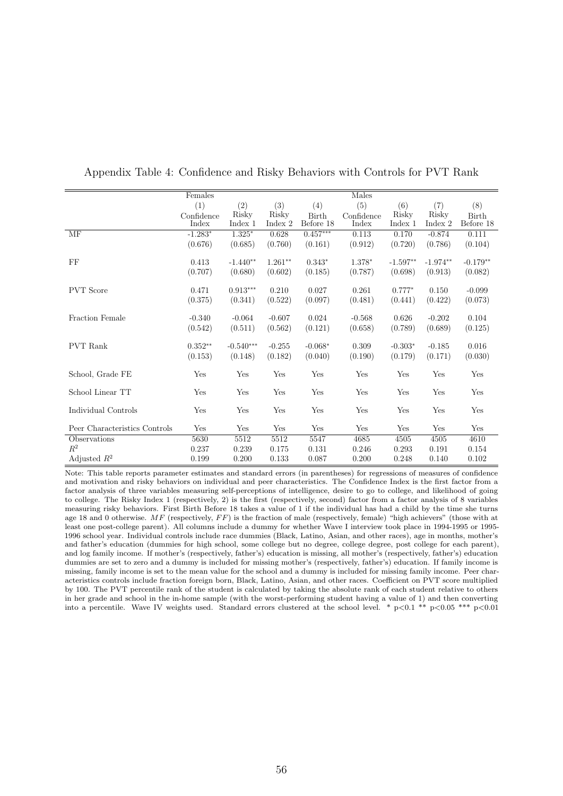|                               | Females    |             |           |              | Males      |            |            |            |
|-------------------------------|------------|-------------|-----------|--------------|------------|------------|------------|------------|
|                               | (1)        | (2)         | (3)       | (4)          | (5)        | (6)        | (7)        | (8)        |
|                               | Confidence | Risky       | Risky     | <b>Birth</b> | Confidence | Risky      | Risky      | Birth      |
|                               | Index      | Index 1     | Index 2   | Before 18    | Index      | Index 1    | Index 2    | Before 18  |
| MF                            | $-1.283*$  | $1.325*$    | 0.628     | $0.457***$   | 0.113      | 0.170      | $-0.874$   | 0.111      |
|                               | (0.676)    | (0.685)     | (0.760)   | (0.161)      | (0.912)    | (0.720)    | (0.786)    | (0.104)    |
|                               |            |             |           |              |            |            |            |            |
| FF                            | 0.413      | $-1.440**$  | $1.261**$ | $0.343*$     | 1.378*     | $-1.597**$ | $-1.974**$ | $-0.179**$ |
|                               | (0.707)    | (0.680)     | (0.602)   | (0.185)      | (0.787)    | (0.698)    | (0.913)    | (0.082)    |
|                               |            |             |           |              |            |            |            |            |
| <b>PVT</b> Score              | 0.471      | $0.913***$  | 0.210     | 0.027        | 0.261      | $0.777*$   | 0.150      | $-0.099$   |
|                               | (0.375)    | (0.341)     | (0.522)   | (0.097)      | (0.481)    | (0.441)    | (0.422)    | (0.073)    |
|                               |            |             |           |              |            |            |            |            |
| Fraction Female               | $-0.340$   | $-0.064$    | $-0.607$  | 0.024        | $-0.568$   | 0.626      | $-0.202$   | 0.104      |
|                               | (0.542)    | (0.511)     | (0.562)   | (0.121)      | (0.658)    | (0.789)    | (0.689)    | (0.125)    |
|                               |            |             |           |              |            |            |            |            |
| <b>PVT</b> Rank               | $0.352**$  | $-0.540***$ | $-0.255$  | $-0.068*$    | 0.309      | $-0.303*$  | $-0.185$   | 0.016      |
|                               | (0.153)    | (0.148)     | (0.182)   | (0.040)      | (0.190)    | (0.179)    | (0.171)    | (0.030)    |
|                               |            | Yes         |           | Yes          |            | Yes        | Yes        |            |
| School, Grade FE              | Yes        |             | Yes       |              | Yes        |            |            | Yes        |
| School Linear TT              | Yes        | Yes         | Yes       | Yes          | Yes        | Yes        | Yes        | Yes        |
|                               |            |             |           |              |            |            |            |            |
| Individual Controls           | Yes        | Yes         | Yes       | Yes          | Yes        | Yes        | Yes        | Yes        |
|                               |            |             |           |              |            |            |            |            |
| Peer Characteristics Controls | Yes        | Yes         | Yes       | Yes          | Yes        | Yes        | Yes        | Yes        |
| Observations                  | 5630       | 5512        | 5512      | 5547         | 4685       | 4505       | 4505       | 4610       |
| $R^2$                         | 0.237      | 0.239       | 0.175     | 0.131        | 0.246      | 0.293      | 0.191      | 0.154      |
| Adjusted $R^2$                | 0.199      | 0.200       | 0.133     | 0.087        | 0.200      | 0.248      | 0.140      | 0.102      |

Appendix Table 4: Confidence and Risky Behaviors with Controls for PVT Rank

Note: This table reports parameter estimates and standard errors (in parentheses) for regressions of measures of confidence and motivation and risky behaviors on individual and peer characteristics. The Confidence Index is the first factor from a factor analysis of three variables measuring self-perceptions of intelligence, desire to go to college, and likelihood of going to college. The Risky Index 1 (respectively, 2) is the first (respectively, second) factor from a factor analysis of 8 variables measuring risky behaviors. First Birth Before 18 takes a value of 1 if the individual has had a child by the time she turns age 18 and 0 otherwise.  $MF$  (respectively,  $FF$ ) is the fraction of male (respectively, female) "high achievers" (those with at least one post-college parent). All columns include a dummy for whether Wave I interview took place in 1994-1995 or 1995- 1996 school year. Individual controls include race dummies (Black, Latino, Asian, and other races), age in months, mother's and father's education (dummies for high school, some college but no degree, college degree, post college for each parent), and log family income. If mother's (respectively, father's) education is missing, all mother's (respectively, father's) education dummies are set to zero and a dummy is included for missing mother's (respectively, father's) education. If family income is missing, family income is set to the mean value for the school and a dummy is included for missing family income. Peer characteristics controls include fraction foreign born, Black, Latino, Asian, and other races. Coefficient on PVT score multiplied by 100. The PVT percentile rank of the student is calculated by taking the absolute rank of each student relative to others in her grade and school in the in-home sample (with the worst-performing student having a value of 1) and then converting into a percentile. Wave IV weights used. Standard errors clustered at the school level. \*  $p<0.1$  \*\*  $p<0.05$  \*\*\*  $p<0.01$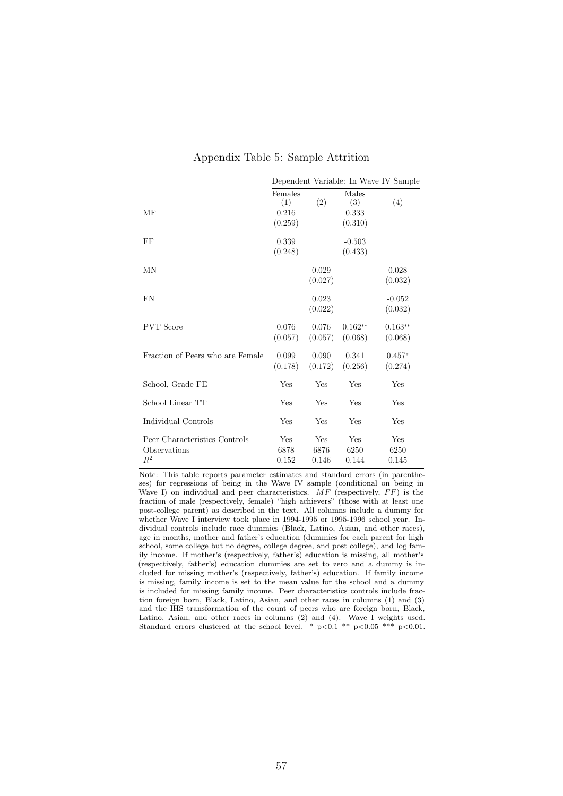|                                  |                |         |              | Dependent Variable: In Wave IV Sample |
|----------------------------------|----------------|---------|--------------|---------------------------------------|
|                                  | Females<br>(1) | (2)     | Males<br>(3) | (4)                                   |
| МF                               | 0.216          |         | 0.333        |                                       |
|                                  | (0.259)        |         | (0.310)      |                                       |
| FF                               | 0.339          |         | $-0.503$     |                                       |
|                                  | (0.248)        |         | (0.433)      |                                       |
| MΝ                               |                | 0.029   |              | 0.028                                 |
|                                  |                | (0.027) |              | (0.032)                               |
| FN                               |                | 0.023   |              | $-0.052$                              |
|                                  |                | (0.022) |              | (0.032)                               |
| <b>PVT</b> Score                 | 0.076          | 0.076   | $0.162**$    | $0.163**$                             |
|                                  | (0.057)        | (0.057) | (0.068)      | (0.068)                               |
| Fraction of Peers who are Female | 0.099          | 0.090   | 0.341        | $0.457*$                              |
|                                  | (0.178)        | (0.172) | (0.256)      | (0.274)                               |
| School, Grade FE                 | Yes            | Yes     | Yes          | Yes                                   |
| School Linear TT                 | Yes            | Yes     | Yes          | Yes                                   |
| Individual Controls              | Yes            | Yes     | Yes          | Yes                                   |
| Peer Characteristics Controls    | Yes            | Yes     | Yes          | Yes                                   |
| Observations                     | 6878           | 6876    | 6250         | 6250                                  |
| $R^2$                            | 0.152          | 0.146   | 0.144        | 0.145                                 |

#### Appendix Table 5: Sample Attrition

Note: This table reports parameter estimates and standard errors (in parentheses) for regressions of being in the Wave IV sample (conditional on being in Wave I) on individual and peer characteristics.  $MF$  (respectively,  $FF$ ) is the fraction of male (respectively, female) "high achievers" (those with at least one post-college parent) as described in the text. All columns include a dummy for whether Wave I interview took place in 1994-1995 or 1995-1996 school year. Individual controls include race dummies (Black, Latino, Asian, and other races), age in months, mother and father's education (dummies for each parent for high school, some college but no degree, college degree, and post college), and log family income. If mother's (respectively, father's) education is missing, all mother's (respectively, father's) education dummies are set to zero and a dummy is included for missing mother's (respectively, father's) education. If family income is missing, family income is set to the mean value for the school and a dummy is included for missing family income. Peer characteristics controls include fraction foreign born, Black, Latino, Asian, and other races in columns (1) and (3) and the IHS transformation of the count of peers who are foreign born, Black, Latino, Asian, and other races in columns (2) and (4). Wave I weights used. Standard errors clustered at the school level. \*  $p<0.1$  \*\*  $p<0.05$  \*\*\*  $p<0.01$ .